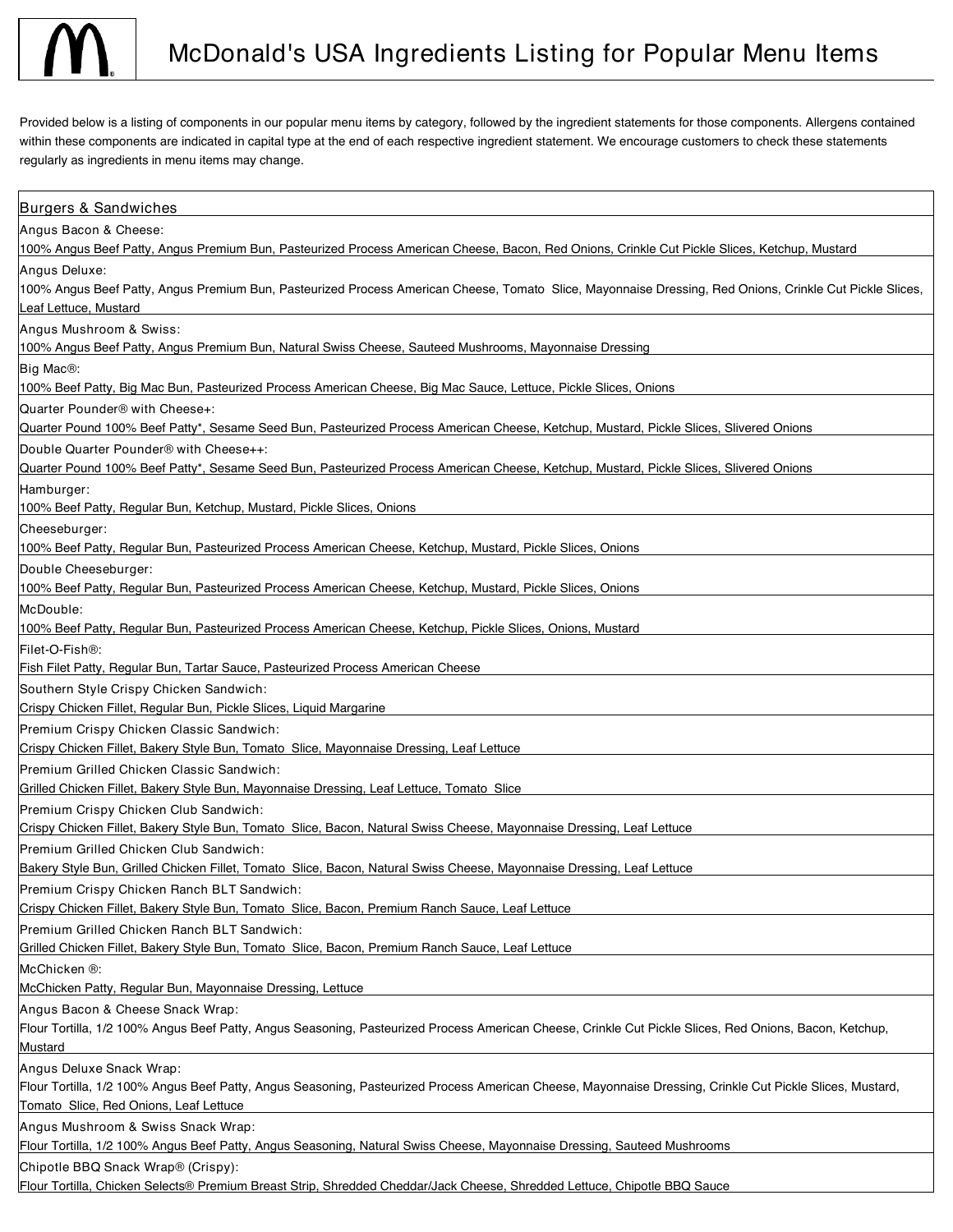Provided below is a listing of components in our popular menu items by category, followed by the ingredient statements for those components. Allergens contained within these components are indicated in capital type at the end of each respective ingredient statement. We encourage customers to check these statements regularly as ingredients in menu items may change.

Burgers & Sandwiches Angus Bacon & Cheese: 100% Angus Beef Patty, Angus Premium Bun, Pasteurized Process American Cheese, Bacon, Red Onions, Crinkle Cut Pickle Slices, Ketchup, Mustard Angus Deluxe: 100% Angus Beef Patty, Angus Premium Bun, Pasteurized Process American Cheese, Tomato Slice, Mayonnaise Dressing, Red Onions, Crinkle Cut Pickle Slices, Leaf Lettuce, Mustard Angus Mushroom & Swiss: 100% Angus Beef Patty, Angus Premium Bun, Natural Swiss Cheese, Sauteed Mushrooms, Mayonnaise Dressing Big Mac®: 100% Beef Patty, Big Mac Bun, Pasteurized Process American Cheese, Big Mac Sauce, Lettuce, Pickle Slices, Onions Quarter Pounder® with Cheese+: Quarter Pound 100% Beef Patty\*, Sesame Seed Bun, Pasteurized Process American Cheese, Ketchup, Mustard, Pickle Slices, Slivered Onions Double Quarter Pounder® with Cheese++: Quarter Pound 100% Beef Patty\*, Sesame Seed Bun, Pasteurized Process American Cheese, Ketchup, Mustard, Pickle Slices, Slivered Onions

| IQuarter Pound Tuu% Beet Patty", Sesame Seed Bun, Pasteurized Process American Uneese, Netchup, Mustard, Pickle Silces, Silvered Unions |
|-----------------------------------------------------------------------------------------------------------------------------------------|
| Hamburger:                                                                                                                              |
| 100% Beef Patty, Regular Bun, Ketchup, Mustard, Pickle Slices, Onions                                                                   |
| Cheeseburger:                                                                                                                           |
| 100% Beef Patty, Regular Bun, Pasteurized Process American Cheese, Ketchup, Mustard, Pickle Slices, Onions                              |
| Double Cheeseburger:                                                                                                                    |
| 100% Beef Patty, Regular Bun, Pasteurized Process American Cheese, Ketchup, Mustard, Pickle Slices, Onions                              |
| McDouble:                                                                                                                               |
| 100% Beef Patty, Regular Bun, Pasteurized Process American Cheese, Ketchup, Pickle Slices, Onions, Mustard                              |
| Filet-O-Fish <sup>®</sup> :                                                                                                             |
| Fish Filet Patty, Regular Bun, Tartar Sauce, Pasteurized Process American Cheese                                                        |
| Southern Style Crispy Chicken Sandwich:                                                                                                 |
| Crispy Chicken Fillet, Regular Bun, Pickle Slices, Liquid Margarine                                                                     |
| Premium Crispy Chicken Classic Sandwich:                                                                                                |
| Crispy Chicken Fillet, Bakery Style Bun, Tomato Slice, Mayonnaise Dressing, Leaf Lettuce                                                |
| <b>Premium Grilled Chicken Classic Sandwich:</b>                                                                                        |
| Grilled Chicken Fillet, Bakery Style Bun, Mayonnaise Dressing, Leaf Lettuce, Tomato Slice                                               |
| <b>Premium Crispy Chicken Club Sandwich:</b>                                                                                            |
| Crispy Chicken Fillet, Bakery Style Bun, Tomato Slice, Bacon, Natural Swiss Cheese, Mayonnaise Dressing, Leaf Lettuce                   |
| <b>Premium Grilled Chicken Club Sandwich:</b>                                                                                           |
| Bakery Style Bun, Grilled Chicken Fillet, Tomato Slice, Bacon, Natural Swiss Cheese, Mayonnaise Dressing, Leaf Lettuce                  |
| Premium Crispy Chicken Ranch BLT Sandwich:                                                                                              |
| Crispy Chicken Fillet, Bakery Style Bun, Tomato Slice, Bacon, Premium Ranch Sauce, Leaf Lettuce                                         |
| Premium Grilled Chicken Ranch BLT Sandwich:                                                                                             |

#### Grilled Chicken Fillet, Bakery Style Bun, Tomato Slice, Bacon, Premium Ranch Sauce, Leaf Lettuce

#### McChicken ®:

### McChicken Patty, Regular Bun, Mayonnaise Dressing, Lettuce

Angus Bacon & Cheese Snack Wrap:

Flour Tortilla, 1/2 100% Angus Beef Patty, Angus Seasoning, Pasteurized Process American Cheese, Crinkle Cut Pickle Slices, Red Onions, Bacon, Ketchup,

Mustard

Angus Deluxe Snack Wrap:

Flour Tortilla, 1/2 100% Angus Beef Patty, Angus Seasoning, Pasteurized Process American Cheese, Mayonnaise Dressing, Crinkle Cut Pickle Slices, Mustard,

Tomato Slice, Red Onions, Leaf Lettuce

Angus Mushroom & Swiss Snack Wrap:

Flour Tortilla, 1/2 100% Angus Beef Patty, Angus Seasoning, Natural Swiss Cheese, Mayonnaise Dressing, Sauteed Mushrooms

Chipotle BBQ Snack Wrap® (Crispy):

Flour Tortilla, Chicken Selects® Premium Breast Strip, Shredded Cheddar/Jack Cheese, Shredded Lettuce, Chipotle BBQ Sauce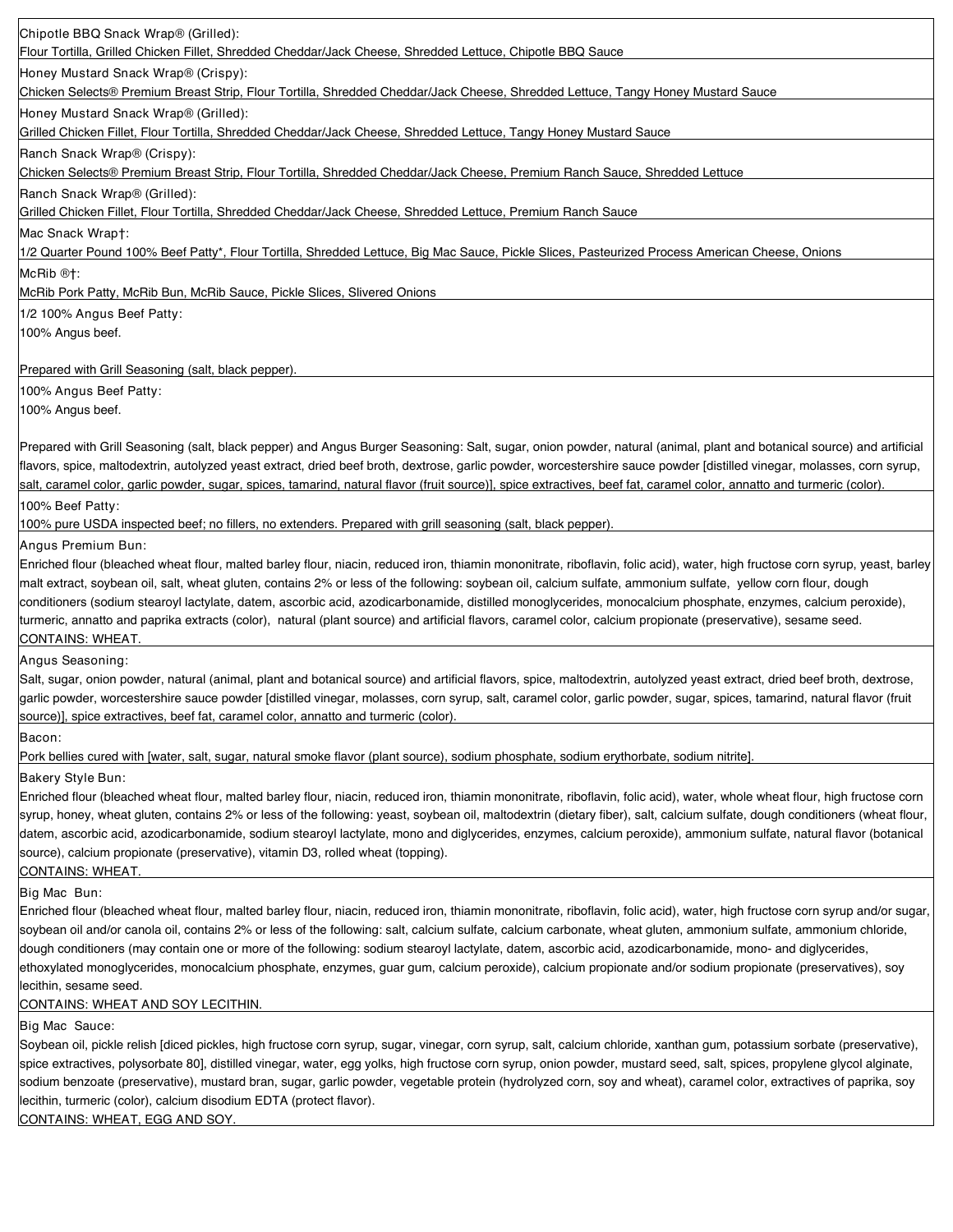Chipotle BBQ Snack Wrap® (Grilled):

Flour Tortilla, Grilled Chicken Fillet, Shredded Cheddar/Jack Cheese, Shredded Lettuce, Chipotle BBQ Sauce

Honey Mustard Snack Wrap® (Crispy):

Chicken Selects® Premium Breast Strip, Flour Tortilla, Shredded Cheddar/Jack Cheese, Shredded Lettuce, Tangy Honey Mustard Sauce

Honey Mustard Snack Wrap® (Grilled):

Grilled Chicken Fillet, Flour Tortilla, Shredded Cheddar/Jack Cheese, Shredded Lettuce, Tangy Honey Mustard Sauce

Ranch Snack Wrap® (Crispy):

Chicken Selects® Premium Breast Strip, Flour Tortilla, Shredded Cheddar/Jack Cheese, Premium Ranch Sauce, Shredded Lettuce

Ranch Snack Wrap® (Grilled):

Grilled Chicken Fillet, Flour Tortilla, Shredded Cheddar/Jack Cheese, Shredded Lettuce, Premium Ranch Sauce

Mac Snack Wrap†:

1/2 Quarter Pound 100% Beef Patty\*, Flour Tortilla, Shredded Lettuce, Big Mac Sauce, Pickle Slices, Pasteurized Process American Cheese, Onions

McRib ®†:

McRib Pork Patty, McRib Bun, McRib Sauce, Pickle Slices, Slivered Onions

1/2 100% Angus Beef Patty:

100% Angus beef.

Prepared with Grill Seasoning (salt, black pepper).

100% Angus Beef Patty:

100% Angus beef.

Prepared with Grill Seasoning (salt, black pepper) and Angus Burger Seasoning: Salt, sugar, onion powder, natural (animal, plant and botanical source) and artificial flavors, spice, maltodextrin, autolyzed yeast extract, dried beef broth, dextrose, garlic powder, worcestershire sauce powder [distilled vinegar, molasses, corn syrup, salt, caramel color, garlic powder, sugar, spices, tamarind, natural flavor (fruit source)], spice extractives, beef fat, caramel color, annatto and turmeric (color).

### 100% Beef Patty:

100% pure USDA inspected beef; no fillers, no extenders. Prepared with grill seasoning (salt, black pepper).

### Angus Premium Bun:

Enriched flour (bleached wheat flour, malted barley flour, niacin, reduced iron, thiamin mononitrate, riboflavin, folic acid), water, high fructose corn syrup, yeast, barley malt extract, soybean oil, salt, wheat gluten, contains 2% or less of the following: soybean oil, calcium sulfate, ammonium sulfate, yellow corn flour, dough conditioners (sodium stearoyl lactylate, datem, ascorbic acid, azodicarbonamide, distilled monoglycerides, monocalcium phosphate, enzymes, calcium peroxide), turmeric, annatto and paprika extracts (color), natural (plant source) and artificial flavors, caramel color, calcium propionate (preservative), sesame seed. CONTAINS: WHEAT.

Angus Seasoning:

Salt, sugar, onion powder, natural (animal, plant and botanical source) and artificial flavors, spice, maltodextrin, autolyzed yeast extract, dried beef broth, dextrose, garlic powder, worcestershire sauce powder [distilled vinegar, molasses, corn syrup, salt, caramel color, garlic powder, sugar, spices, tamarind, natural flavor (fruit source)], spice extractives, beef fat, caramel color, annatto and turmeric (color).

Bacon:

Pork bellies cured with [water, salt, sugar, natural smoke flavor (plant source), sodium phosphate, sodium erythorbate, sodium nitrite].

Bakery Style Bun:

Enriched flour (bleached wheat flour, malted barley flour, niacin, reduced iron, thiamin mononitrate, riboflavin, folic acid), water, whole wheat flour, high fructose corn syrup, honey, wheat gluten, contains 2% or less of the following: yeast, soybean oil, maltodextrin (dietary fiber), salt, calcium sulfate, dough conditioners (wheat flour, datem, ascorbic acid, azodicarbonamide, sodium stearoyl lactylate, mono and diglycerides, enzymes, calcium peroxide), ammonium sulfate, natural flavor (botanical source), calcium propionate (preservative), vitamin D3, rolled wheat (topping).

#### CONTAINS: WHEAT.

Big Mac Bun:

Enriched flour (bleached wheat flour, malted barley flour, niacin, reduced iron, thiamin mononitrate, riboflavin, folic acid), water, high fructose corn syrup and/or sugar, soybean oil and/or canola oil, contains 2% or less of the following: salt, calcium sulfate, calcium carbonate, wheat gluten, ammonium sulfate, ammonium chloride, dough conditioners (may contain one or more of the following: sodium stearoyl lactylate, datem, ascorbic acid, azodicarbonamide, mono- and diglycerides, ethoxylated monoglycerides, monocalcium phosphate, enzymes, guar gum, calcium peroxide), calcium propionate and/or sodium propionate (preservatives), soy lecithin, sesame seed.

### CONTAINS: WHEAT AND SOY LECITHIN.

Big Mac Sauce:

Soybean oil, pickle relish [diced pickles, high fructose corn syrup, sugar, vinegar, corn syrup, salt, calcium chloride, xanthan gum, potassium sorbate (preservative), spice extractives, polysorbate 80], distilled vinegar, water, egg yolks, high fructose corn syrup, onion powder, mustard seed, salt, spices, propylene glycol alginate, sodium benzoate (preservative), mustard bran, sugar, garlic powder, vegetable protein (hydrolyzed corn, soy and wheat), caramel color, extractives of paprika, soy lecithin, turmeric (color), calcium disodium EDTA (protect flavor). CONTAINS: WHEAT, EGG AND SOY.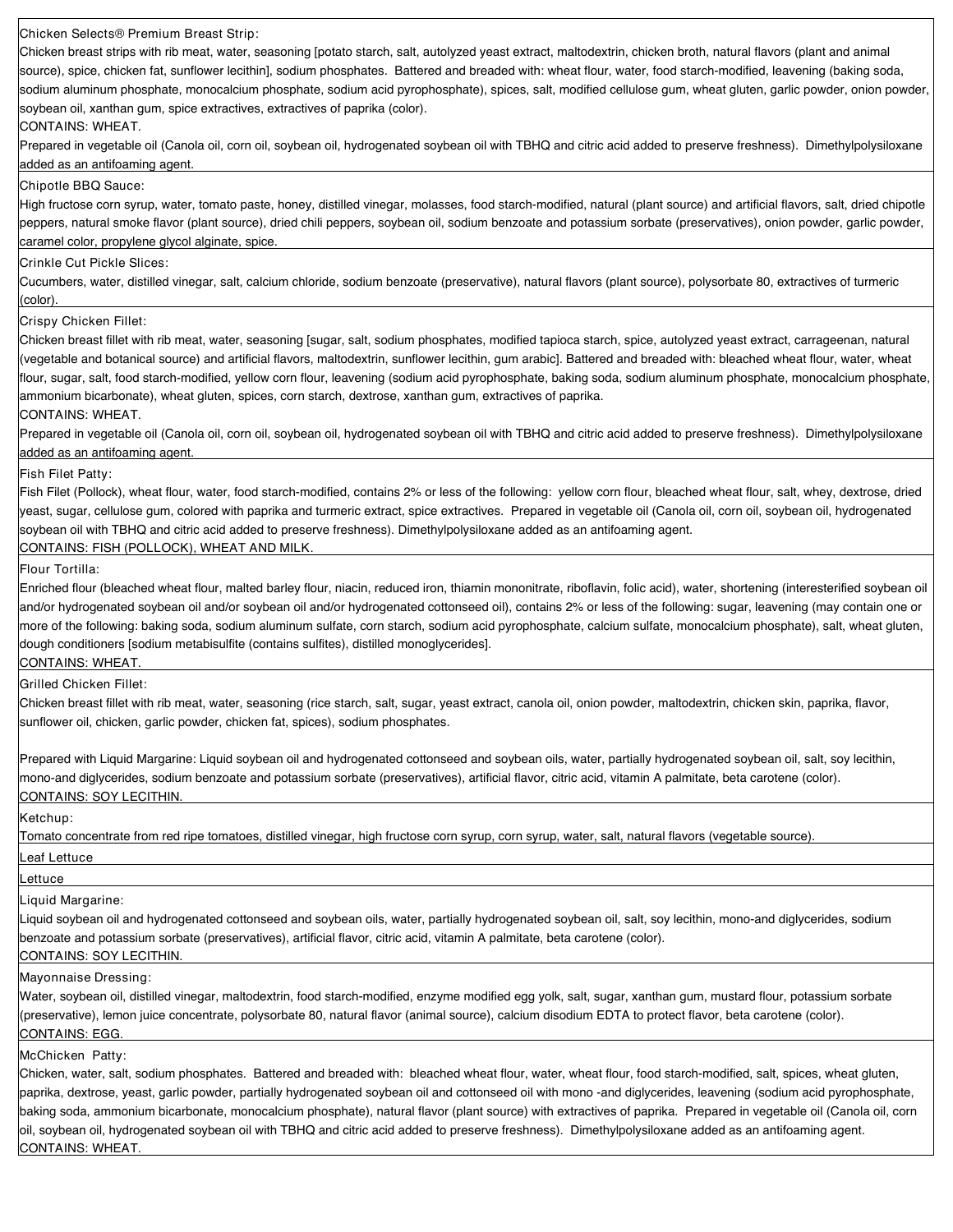Chicken Selects® Premium Breast Strip:

Prepared in vegetable oil (Canola oil, corn oil, soybean oil, hydrogenated soybean oil with TBHQ and citric acid added to preserve freshness). Dimethylpolysiloxane added as an antifoaming agent.

Chicken breast strips with rib meat, water, seasoning [potato starch, salt, autolyzed yeast extract, maltodextrin, chicken broth, natural flavors (plant and animal source), spice, chicken fat, sunflower lecithin], sodium phosphates. Battered and breaded with: wheat flour, water, food starch-modified, leavening (baking soda, sodium aluminum phosphate, monocalcium phosphate, sodium acid pyrophosphate), spices, salt, modified cellulose gum, wheat gluten, garlic powder, onion powder, soybean oil, xanthan gum, spice extractives, extractives of paprika (color).

CONTAINS: WHEAT.

Chipotle BBQ Sauce:

High fructose corn syrup, water, tomato paste, honey, distilled vinegar, molasses, food starch-modified, natural (plant source) and artificial flavors, salt, dried chipotle peppers, natural smoke flavor (plant source), dried chili peppers, soybean oil, sodium benzoate and potassium sorbate (preservatives), onion powder, garlic powder, caramel color, propylene glycol alginate, spice.

Crinkle Cut Pickle Slices:

Cucumbers, water, distilled vinegar, salt, calcium chloride, sodium benzoate (preservative), natural flavors (plant source), polysorbate 80, extractives of turmeric (color).

Crispy Chicken Fillet:

Chicken breast fillet with rib meat, water, seasoning [sugar, salt, sodium phosphates, modified tapioca starch, spice, autolyzed yeast extract, carrageenan, natural (vegetable and botanical source) and artificial flavors, maltodextrin, sunflower lecithin, gum arabic]. Battered and breaded with: bleached wheat flour, water, wheat flour, sugar, salt, food starch-modified, yellow corn flour, leavening (sodium acid pyrophosphate, baking soda, sodium aluminum phosphate, monocalcium phosphate, ammonium bicarbonate), wheat gluten, spices, corn starch, dextrose, xanthan gum, extractives of paprika.

CONTAINS: WHEAT.

Prepared in vegetable oil (Canola oil, corn oil, soybean oil, hydrogenated soybean oil with TBHQ and citric acid added to preserve freshness). Dimethylpolysiloxane added as an antifoaming agent.

Fish Filet Patty:

Fish Filet (Pollock), wheat flour, water, food starch-modified, contains 2% or less of the following: yellow corn flour, bleached wheat flour, salt, whey, dextrose, dried yeast, sugar, cellulose gum, colored with paprika and turmeric extract, spice extractives. Prepared in vegetable oil (Canola oil, corn oil, soybean oil, hydrogenated soybean oil with TBHQ and citric acid added to preserve freshness). Dimethylpolysiloxane added as an antifoaming agent.

CONTAINS: FISH (POLLOCK), WHEAT AND MILK.

Flour Tortilla:

Enriched flour (bleached wheat flour, malted barley flour, niacin, reduced iron, thiamin mononitrate, riboflavin, folic acid), water, shortening (interesterified soybean oil and/or hydrogenated soybean oil and/or soybean oil and/or hydrogenated cottonseed oil), contains 2% or less of the following: sugar, leavening (may contain one or more of the following: baking soda, sodium aluminum sulfate, corn starch, sodium acid pyrophosphate, calcium sulfate, monocalcium phosphate), salt, wheat gluten, dough conditioners [sodium metabisulfite (contains sulfites), distilled monoglycerides].

CONTAINS: WHEAT.

Grilled Chicken Fillet:

Chicken breast fillet with rib meat, water, seasoning (rice starch, salt, sugar, yeast extract, canola oil, onion powder, maltodextrin, chicken skin, paprika, flavor, sunflower oil, chicken, garlic powder, chicken fat, spices), sodium phosphates.

Prepared with Liquid Margarine: Liquid soybean oil and hydrogenated cottonseed and soybean oils, water, partially hydrogenated soybean oil, salt, soy lecithin, mono-and diglycerides, sodium benzoate and potassium sorbate (preservatives), artificial flavor, citric acid, vitamin A palmitate, beta carotene (color). CONTAINS: SOY LECITHIN.

Ketchup:

Tomato concentrate from red ripe tomatoes, distilled vinegar, high fructose corn syrup, corn syrup, water, salt, natural flavors (vegetable source).

Leaf Lettuce

Lettuce

Liquid Margarine:

Liquid soybean oil and hydrogenated cottonseed and soybean oils, water, partially hydrogenated soybean oil, salt, soy lecithin, mono-and diglycerides, sodium

Mayonnaise Dressing:

Water, soybean oil, distilled vinegar, maltodextrin, food starch-modified, enzyme modified egg yolk, salt, sugar, xanthan gum, mustard flour, potassium sorbate (preservative), lemon juice concentrate, polysorbate 80, natural flavor (animal source), calcium disodium EDTA to protect flavor, beta carotene (color). CONTAINS: EGG.

McChicken Patty:

Chicken, water, salt, sodium phosphates. Battered and breaded with: bleached wheat flour, water, wheat flour, food starch-modified, salt, spices, wheat gluten, paprika, dextrose, yeast, garlic powder, partially hydrogenated soybean oil and cottonseed oil with mono -and diglycerides, leavening (sodium acid pyrophosphate, baking soda, ammonium bicarbonate, monocalcium phosphate), natural flavor (plant source) with extractives of paprika. Prepared in vegetable oil (Canola oil, corn oil, soybean oil, hydrogenated soybean oil with TBHQ and citric acid added to preserve freshness). Dimethylpolysiloxane added as an antifoaming agent. CONTAINS: WHEAT.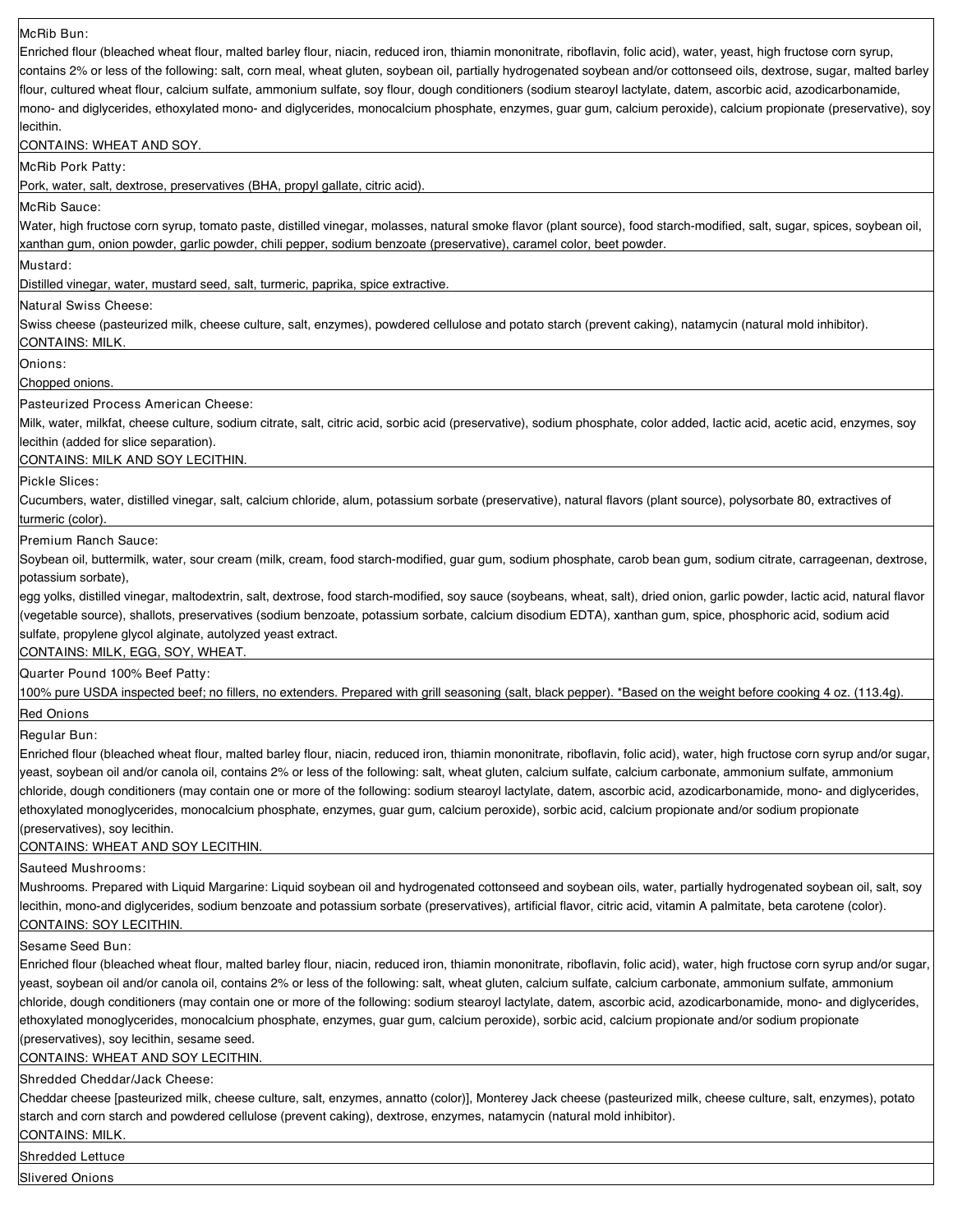#### McRib Bun:

Enriched flour (bleached wheat flour, malted barley flour, niacin, reduced iron, thiamin mononitrate, riboflavin, folic acid), water, yeast, high fructose corn syrup, contains 2% or less of the following: salt, corn meal, wheat gluten, soybean oil, partially hydrogenated soybean and/or cottonseed oils, dextrose, sugar, malted barley flour, cultured wheat flour, calcium sulfate, ammonium sulfate, soy flour, dough conditioners (sodium stearoyl lactylate, datem, ascorbic acid, azodicarbonamide, mono- and diglycerides, ethoxylated mono- and diglycerides, monocalcium phosphate, enzymes, guar gum, calcium peroxide), calcium propionate (preservative), soy lecithin.

### CONTAINS: WHEAT AND SOY.

McRib Pork Patty:

Pork, water, salt, dextrose, preservatives (BHA, propyl gallate, citric acid).

McRib Sauce:

Water, high fructose corn syrup, tomato paste, distilled vinegar, molasses, natural smoke flavor (plant source), food starch-modified, salt, sugar, spices, soybean oil, xanthan gum, onion powder, garlic powder, chili pepper, sodium benzoate (preservative), caramel color, beet powder.

Mustard:

Distilled vinegar, water, mustard seed, salt, turmeric, paprika, spice extractive.

Natural Swiss Cheese:

Swiss cheese (pasteurized milk, cheese culture, salt, enzymes), powdered cellulose and potato starch (prevent caking), natamycin (natural mold inhibitor). CONTAINS: MILK.

Onions:

Chopped onions.

Pasteurized Process American Cheese:

Milk, water, milkfat, cheese culture, sodium citrate, salt, citric acid, sorbic acid (preservative), sodium phosphate, color added, lactic acid, acetic acid, enzymes, soy lecithin (added for slice separation).

CONTAINS: MILK AND SOY LECITHIN.

Pickle Slices:

Cucumbers, water, distilled vinegar, salt, calcium chloride, alum, potassium sorbate (preservative), natural flavors (plant source), polysorbate 80, extractives of turmeric (color).

Premium Ranch Sauce:

Soybean oil, buttermilk, water, sour cream (milk, cream, food starch-modified, guar gum, sodium phosphate, carob bean gum, sodium citrate, carrageenan, dextrose, potassium sorbate),

egg yolks, distilled vinegar, maltodextrin, salt, dextrose, food starch-modified, soy sauce (soybeans, wheat, salt), dried onion, garlic powder, lactic acid, natural flavor (vegetable source), shallots, preservatives (sodium benzoate, potassium sorbate, calcium disodium EDTA), xanthan gum, spice, phosphoric acid, sodium acid sulfate, propylene glycol alginate, autolyzed yeast extract.

CONTAINS: MILK, EGG, SOY, WHEAT.

Quarter Pound 100% Beef Patty:

100% pure USDA inspected beef; no fillers, no extenders. Prepared with grill seasoning (salt, black pepper). \*Based on the weight before cooking 4 oz. (113.4g).

Red Onions

Regular Bun:

Enriched flour (bleached wheat flour, malted barley flour, niacin, reduced iron, thiamin mononitrate, riboflavin, folic acid), water, high fructose corn syrup and/or sugar, yeast, soybean oil and/or canola oil, contains 2% or less of the following: salt, wheat gluten, calcium sulfate, calcium carbonate, ammonium sulfate, ammonium chloride, dough conditioners (may contain one or more of the following: sodium stearoyl lactylate, datem, ascorbic acid, azodicarbonamide, mono- and diglycerides, ethoxylated monoglycerides, monocalcium phosphate, enzymes, guar gum, calcium peroxide), sorbic acid, calcium propionate and/or sodium propionate (preservatives), soy lecithin.

CONTAINS: WHEAT AND SOY LECITHIN.

Sauteed Mushrooms:

Mushrooms. Prepared with Liquid Margarine: Liquid soybean oil and hydrogenated cottonseed and soybean oils, water, partially hydrogenated soybean oil, salt, soy lecithin, mono-and diglycerides, sodium benzoate and potassium sorbate (preservatives), artificial flavor, citric acid, vitamin A palmitate, beta carotene (color). CONTAINS: SOY LECITHIN.

#### Sesame Seed Bun:

Enriched flour (bleached wheat flour, malted barley flour, niacin, reduced iron, thiamin mononitrate, riboflavin, folic acid), water, high fructose corn syrup and/or sugar, yeast, soybean oil and/or canola oil, contains 2% or less of the following: salt, wheat gluten, calcium sulfate, calcium carbonate, ammonium sulfate, ammonium chloride, dough conditioners (may contain one or more of the following: sodium stearoyl lactylate, datem, ascorbic acid, azodicarbonamide, mono- and diglycerides, ethoxylated monoglycerides, monocalcium phosphate, enzymes, guar gum, calcium peroxide), sorbic acid, calcium propionate and/or sodium propionate (preservatives), soy lecithin, sesame seed. CONTAINS: WHEAT AND SOY LECITHIN.

Shredded Cheddar/Jack Cheese:

Cheddar cheese [pasteurized milk, cheese culture, salt, enzymes, annatto (color)], Monterey Jack cheese (pasteurized milk, cheese culture, salt, enzymes), potato

starch and corn starch and powdered cellulose (prevent caking), dextrose, enzymes, natamycin (natural mold inhibitor).

#### CONTAINS: MILK.

Shredded Lettuce

#### Slivered Onions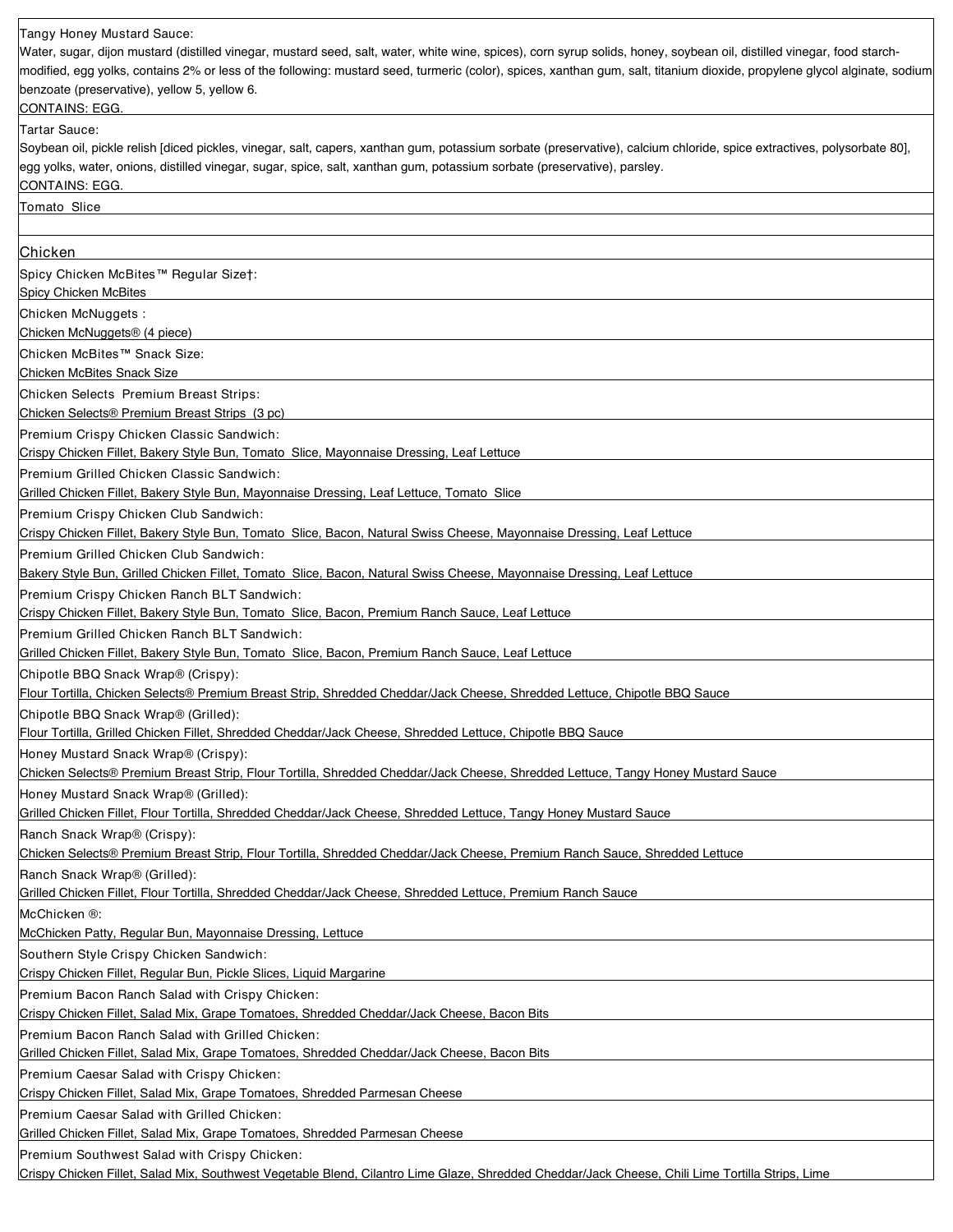#### Tangy Honey Mustard Sauce:

Water, sugar, dijon mustard (distilled vinegar, mustard seed, salt, water, white wine, spices), corn syrup solids, honey, soybean oil, distilled vinegar, food starchmodified, egg yolks, contains 2% or less of the following: mustard seed, turmeric (color), spices, xanthan gum, salt, titanium dioxide, propylene glycol alginate, sodium benzoate (preservative), yellow 5, yellow 6.

### CONTAINS: EGG.

Tartar Sauce:

Soybean oil, pickle relish [diced pickles, vinegar, salt, capers, xanthan gum, potassium sorbate (preservative), calcium chloride, spice extractives, polysorbate 80], egg yolks, water, onions, distilled vinegar, sugar, spice, salt, xanthan gum, potassium sorbate (preservative), parsley. CONTAINS: EGG.

# Tomato Slice

| Chicken                                                                                  |
|------------------------------------------------------------------------------------------|
| Spicy Chicken McBites™ Regular Size†:                                                    |
| <b>Spicy Chicken McBites</b>                                                             |
| Chicken McNuggets :                                                                      |
| Chicken McNuggets® (4 piece)                                                             |
| Chicken McBites™ Snack Size:                                                             |
| Chicken McBites Snack Size                                                               |
| Chicken Selects Premium Breast Strips:                                                   |
| Chicken Selects® Premium Breast Strips (3 pc)                                            |
| Premium Crispy Chicken Classic Sandwich:                                                 |
| Crispy Chicken Fillet, Bakery Style Bun, Tomato Slice, Mayonnaise Dressing, Leaf Lettuce |

Premium Grilled Chicken Classic Sandwich: Grilled Chicken Fillet, Bakery Style Bun, Mayonnaise Dressing, Leaf Lettuce, Tomato Slice Premium Crispy Chicken Club Sandwich: Crispy Chicken Fillet, Bakery Style Bun, Tomato Slice, Bacon, Natural Swiss Cheese, Mayonnaise Dressing, Leaf Lettuce Premium Grilled Chicken Club Sandwich: Bakery Style Bun, Grilled Chicken Fillet, Tomato Slice, Bacon, Natural Swiss Cheese, Mayonnaise Dressing, Leaf Lettuce Premium Crispy Chicken Ranch BLT Sandwich: Crispy Chicken Fillet, Bakery Style Bun, Tomato Slice, Bacon, Premium Ranch Sauce, Leaf Lettuce Premium Grilled Chicken Ranch BLT Sandwich: Grilled Chicken Fillet, Bakery Style Bun, Tomato Slice, Bacon, Premium Ranch Sauce, Leaf Lettuce Chipotle BBQ Snack Wrap® (Crispy): Flour Tortilla, Chicken Selects® Premium Breast Strip, Shredded Cheddar/Jack Cheese, Shredded Lettuce, Chipotle BBQ Sauce Chipotle BBQ Snack Wrap® (Grilled): Flour Tortilla, Grilled Chicken Fillet, Shredded Cheddar/Jack Cheese, Shredded Lettuce, Chipotle BBQ Sauce Honey Mustard Snack Wrap® (Crispy): Chicken Selects® Premium Breast Strip, Flour Tortilla, Shredded Cheddar/Jack Cheese, Shredded Lettuce, Tangy Honey Mustard Sauce Honey Mustard Snack Wrap® (Grilled): Grilled Chicken Fillet, Flour Tortilla, Shredded Cheddar/Jack Cheese, Shredded Lettuce, Tangy Honey Mustard Sauce Ranch Snack Wrap® (Crispy): Chicken Selects® Premium Breast Strip, Flour Tortilla, Shredded Cheddar/Jack Cheese, Premium Ranch Sauce, Shredded Lettuce Ranch Snack Wrap® (Grilled): Grilled Chicken Fillet, Flour Tortilla, Shredded Cheddar/Jack Cheese, Shredded Lettuce, Premium Ranch Sauce McChicken ®:

McChicken Patty, Regular Bun, Mayonnaise Dressing, Lettuce

Southern Style Crispy Chicken Sandwich:

Crispy Chicken Fillet, Regular Bun, Pickle Slices, Liquid Margarine

Premium Bacon Ranch Salad with Crispy Chicken:

Crispy Chicken Fillet, Salad Mix, Grape Tomatoes, Shredded Cheddar/Jack Cheese, Bacon Bits

Premium Bacon Ranch Salad with Grilled Chicken:

Grilled Chicken Fillet, Salad Mix, Grape Tomatoes, Shredded Cheddar/Jack Cheese, Bacon Bits

Premium Caesar Salad with Crispy Chicken:

Crispy Chicken Fillet, Salad Mix, Grape Tomatoes, Shredded Parmesan Cheese

Premium Caesar Salad with Grilled Chicken:

Grilled Chicken Fillet, Salad Mix, Grape Tomatoes, Shredded Parmesan Cheese

Premium Southwest Salad with Crispy Chicken:

Crispy Chicken Fillet, Salad Mix, Southwest Vegetable Blend, Cilantro Lime Glaze, Shredded Cheddar/Jack Cheese, Chili Lime Tortilla Strips, Lime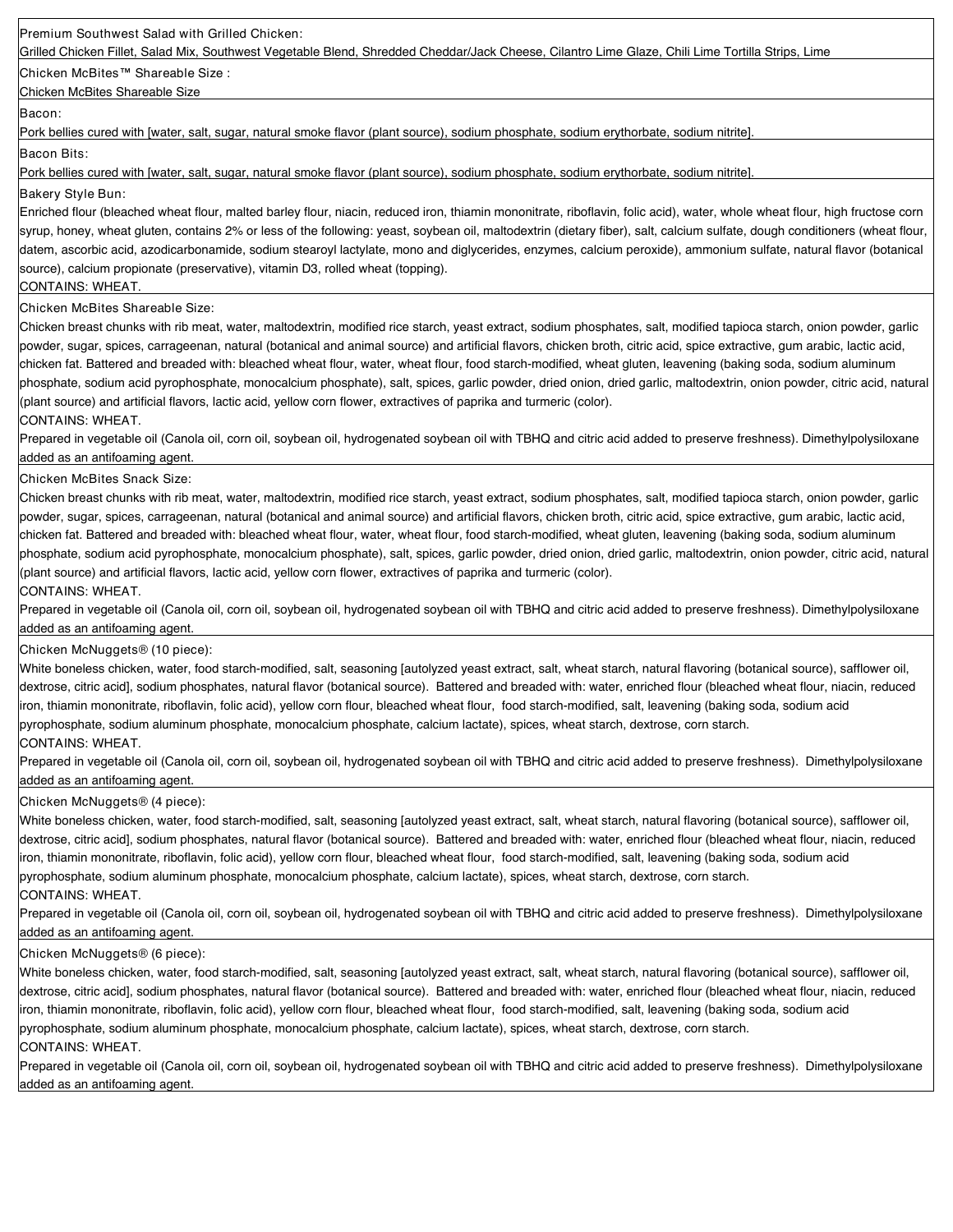Premium Southwest Salad with Grilled Chicken:

Grilled Chicken Fillet, Salad Mix, Southwest Vegetable Blend, Shredded Cheddar/Jack Cheese, Cilantro Lime Glaze, Chili Lime Tortilla Strips, Lime

Chicken McBites™ Shareable Size :

Chicken McBites Shareable Size

Bacon:

Pork bellies cured with [water, salt, sugar, natural smoke flavor (plant source), sodium phosphate, sodium erythorbate, sodium nitrite].

Bacon Bits:

Pork bellies cured with [water, salt, sugar, natural smoke flavor (plant source), sodium phosphate, sodium erythorbate, sodium nitrite].

Bakery Style Bun:

Enriched flour (bleached wheat flour, malted barley flour, niacin, reduced iron, thiamin mononitrate, riboflavin, folic acid), water, whole wheat flour, high fructose corn syrup, honey, wheat gluten, contains 2% or less of the following: yeast, soybean oil, maltodextrin (dietary fiber), salt, calcium sulfate, dough conditioners (wheat flour, datem, ascorbic acid, azodicarbonamide, sodium stearoyl lactylate, mono and diglycerides, enzymes, calcium peroxide), ammonium sulfate, natural flavor (botanical source), calcium propionate (preservative), vitamin D3, rolled wheat (topping). CONTAINS: WHEAT.

# Chicken McBites Shareable Size:

Chicken breast chunks with rib meat, water, maltodextrin, modified rice starch, yeast extract, sodium phosphates, salt, modified tapioca starch, onion powder, garlic powder, sugar, spices, carrageenan, natural (botanical and animal source) and artificial flavors, chicken broth, citric acid, spice extractive, gum arabic, lactic acid, chicken fat. Battered and breaded with: bleached wheat flour, water, wheat flour, food starch-modified, wheat gluten, leavening (baking soda, sodium aluminum phosphate, sodium acid pyrophosphate, monocalcium phosphate), salt, spices, garlic powder, dried onion, dried garlic, maltodextrin, onion powder, citric acid, natural (plant source) and artificial flavors, lactic acid, yellow corn flower, extractives of paprika and turmeric (color).

## CONTAINS: WHEAT.

Prepared in vegetable oil (Canola oil, corn oil, soybean oil, hydrogenated soybean oil with TBHQ and citric acid added to preserve freshness). Dimethylpolysiloxane added as an antifoaming agent.

Chicken McBites Snack Size:

Chicken breast chunks with rib meat, water, maltodextrin, modified rice starch, yeast extract, sodium phosphates, salt, modified tapioca starch, onion powder, garlic powder, sugar, spices, carrageenan, natural (botanical and animal source) and artificial flavors, chicken broth, citric acid, spice extractive, gum arabic, lactic acid, chicken fat. Battered and breaded with: bleached wheat flour, water, wheat flour, food starch-modified, wheat gluten, leavening (baking soda, sodium aluminum phosphate, sodium acid pyrophosphate, monocalcium phosphate), salt, spices, garlic powder, dried onion, dried garlic, maltodextrin, onion powder, citric acid, natural (plant source) and artificial flavors, lactic acid, yellow corn flower, extractives of paprika and turmeric (color).

CONTAINS: WHEAT.

Prepared in vegetable oil (Canola oil, corn oil, soybean oil, hydrogenated soybean oil with TBHQ and citric acid added to preserve freshness). Dimethylpolysiloxane added as an antifoaming agent.

Chicken McNuggets® (10 piece):

White boneless chicken, water, food starch-modified, salt, seasoning [autolyzed yeast extract, salt, wheat starch, natural flavoring (botanical source), safflower oil, dextrose, citric acid], sodium phosphates, natural flavor (botanical source). Battered and breaded with: water, enriched flour (bleached wheat flour, niacin, reduced iron, thiamin mononitrate, riboflavin, folic acid), yellow corn flour, bleached wheat flour, food starch-modified, salt, leavening (baking soda, sodium acid pyrophosphate, sodium aluminum phosphate, monocalcium phosphate, calcium lactate), spices, wheat starch, dextrose, corn starch. CONTAINS: WHEAT.

Prepared in vegetable oil (Canola oil, corn oil, soybean oil, hydrogenated soybean oil with TBHQ and citric acid added to preserve freshness). Dimethylpolysiloxane added as an antifoaming agent.

Chicken McNuggets® (4 piece):

White boneless chicken, water, food starch-modified, salt, seasoning [autolyzed yeast extract, salt, wheat starch, natural flavoring (botanical source), safflower oil, dextrose, citric acid], sodium phosphates, natural flavor (botanical source). Battered and breaded with: water, enriched flour (bleached wheat flour, niacin, reduced iron, thiamin mononitrate, riboflavin, folic acid), yellow corn flour, bleached wheat flour, food starch-modified, salt, leavening (baking soda, sodium acid pyrophosphate, sodium aluminum phosphate, monocalcium phosphate, calcium lactate), spices, wheat starch, dextrose, corn starch. CONTAINS: WHEAT.

Prepared in vegetable oil (Canola oil, corn oil, soybean oil, hydrogenated soybean oil with TBHQ and citric acid added to preserve freshness). Dimethylpolysiloxane added as an antifoaming agent.

#### Chicken McNuggets® (6 piece):

White boneless chicken, water, food starch-modified, salt, seasoning [autolyzed yeast extract, salt, wheat starch, natural flavoring (botanical source), safflower oil, dextrose, citric acid], sodium phosphates, natural flavor (botanical source). Battered and breaded with: water, enriched flour (bleached wheat flour, niacin, reduced iron, thiamin mononitrate, riboflavin, folic acid), yellow corn flour, bleached wheat flour, food starch-modified, salt, leavening (baking soda, sodium acid pyrophosphate, sodium aluminum phosphate, monocalcium phosphate, calcium lactate), spices, wheat starch, dextrose, corn starch. CONTAINS: WHEAT.

Prepared in vegetable oil (Canola oil, corn oil, soybean oil, hydrogenated soybean oil with TBHQ and citric acid added to preserve freshness). Dimethylpolysiloxane added as an antifoaming agent.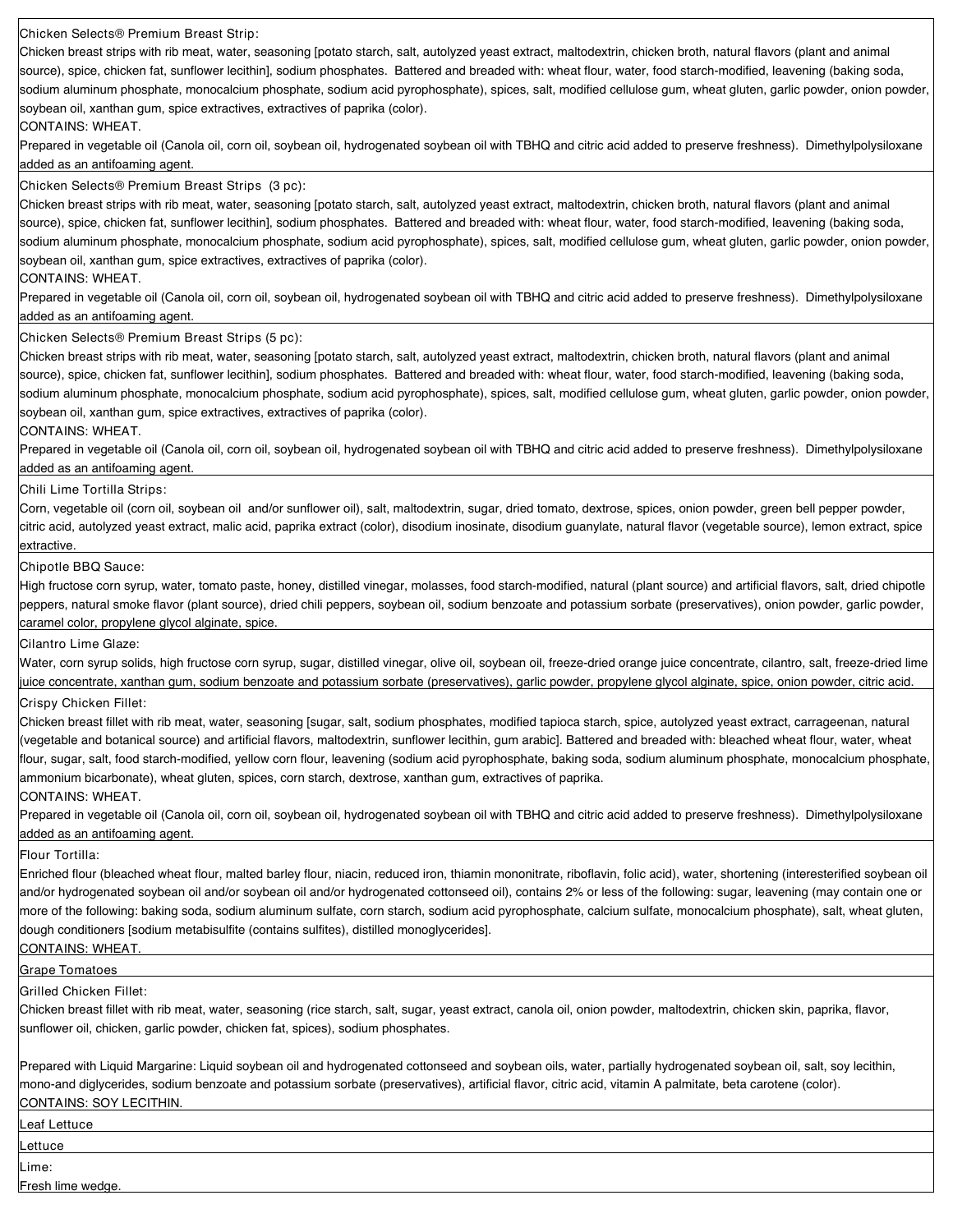Chicken Selects® Premium Breast Strip:

Chicken breast strips with rib meat, water, seasoning [potato starch, salt, autolyzed yeast extract, maltodextrin, chicken broth, natural flavors (plant and animal source), spice, chicken fat, sunflower lecithin], sodium phosphates. Battered and breaded with: wheat flour, water, food starch-modified, leavening (baking soda, sodium aluminum phosphate, monocalcium phosphate, sodium acid pyrophosphate), spices, salt, modified cellulose gum, wheat gluten, garlic powder, onion powder, soybean oil, xanthan gum, spice extractives, extractives of paprika (color).

CONTAINS: WHEAT.

Prepared in vegetable oil (Canola oil, corn oil, soybean oil, hydrogenated soybean oil with TBHQ and citric acid added to preserve freshness). Dimethylpolysiloxane added as an antifoaming agent.

Chicken Selects® Premium Breast Strips (3 pc):

Chicken breast strips with rib meat, water, seasoning [potato starch, salt, autolyzed yeast extract, maltodextrin, chicken broth, natural flavors (plant and animal source), spice, chicken fat, sunflower lecithin], sodium phosphates. Battered and breaded with: wheat flour, water, food starch-modified, leavening (baking soda, sodium aluminum phosphate, monocalcium phosphate, sodium acid pyrophosphate), spices, salt, modified cellulose gum, wheat gluten, garlic powder, onion powder, soybean oil, xanthan gum, spice extractives, extractives of paprika (color).

CONTAINS: WHEAT.

Prepared in vegetable oil (Canola oil, corn oil, soybean oil, hydrogenated soybean oil with TBHQ and citric acid added to preserve freshness). Dimethylpolysiloxane added as an antifoaming agent.

Chicken Selects® Premium Breast Strips (5 pc):

Chicken breast strips with rib meat, water, seasoning [potato starch, salt, autolyzed yeast extract, maltodextrin, chicken broth, natural flavors (plant and animal source), spice, chicken fat, sunflower lecithin], sodium phosphates. Battered and breaded with: wheat flour, water, food starch-modified, leavening (baking soda, sodium aluminum phosphate, monocalcium phosphate, sodium acid pyrophosphate), spices, salt, modified cellulose gum, wheat gluten, garlic powder, onion powder, soybean oil, xanthan gum, spice extractives, extractives of paprika (color).

#### CONTAINS: WHEAT.

Prepared in vegetable oil (Canola oil, corn oil, soybean oil, hydrogenated soybean oil with TBHQ and citric acid added to preserve freshness). Dimethylpolysiloxane

#### added as an antifoaming agent.

#### Chili Lime Tortilla Strips:

Corn, vegetable oil (corn oil, soybean oil and/or sunflower oil), salt, maltodextrin, sugar, dried tomato, dextrose, spices, onion powder, green bell pepper powder, citric acid, autolyzed yeast extract, malic acid, paprika extract (color), disodium inosinate, disodium guanylate, natural flavor (vegetable source), lemon extract, spice extractive.

#### Chipotle BBQ Sauce:

High fructose corn syrup, water, tomato paste, honey, distilled vinegar, molasses, food starch-modified, natural (plant source) and artificial flavors, salt, dried chipotle peppers, natural smoke flavor (plant source), dried chili peppers, soybean oil, sodium benzoate and potassium sorbate (preservatives), onion powder, garlic powder, caramel color, propylene glycol alginate, spice.

Cilantro Lime Glaze:

Water, corn syrup solids, high fructose corn syrup, sugar, distilled vinegar, olive oil, soybean oil, freeze-dried orange juice concentrate, cilantro, salt, freeze-dried lime juice concentrate, xanthan gum, sodium benzoate and potassium sorbate (preservatives), garlic powder, propylene glycol alginate, spice, onion powder, citric acid.

Crispy Chicken Fillet:

Chicken breast fillet with rib meat, water, seasoning [sugar, salt, sodium phosphates, modified tapioca starch, spice, autolyzed yeast extract, carrageenan, natural (vegetable and botanical source) and artificial flavors, maltodextrin, sunflower lecithin, gum arabic]. Battered and breaded with: bleached wheat flour, water, wheat flour, sugar, salt, food starch-modified, yellow corn flour, leavening (sodium acid pyrophosphate, baking soda, sodium aluminum phosphate, monocalcium phosphate, ammonium bicarbonate), wheat gluten, spices, corn starch, dextrose, xanthan gum, extractives of paprika.

CONTAINS: WHEAT.

Prepared in vegetable oil (Canola oil, corn oil, soybean oil, hydrogenated soybean oil with TBHQ and citric acid added to preserve freshness). Dimethylpolysiloxane added as an antifoaming agent.

Flour Tortilla:

Enriched flour (bleached wheat flour, malted barley flour, niacin, reduced iron, thiamin mononitrate, riboflavin, folic acid), water, shortening (interesterified soybean oil and/or hydrogenated soybean oil and/or soybean oil and/or hydrogenated cottonseed oil), contains 2% or less of the following: sugar, leavening (may contain one or more of the following: baking soda, sodium aluminum sulfate, corn starch, sodium acid pyrophosphate, calcium sulfate, monocalcium phosphate), salt, wheat gluten, dough conditioners [sodium metabisulfite (contains sulfites), distilled monoglycerides].

### CONTAINS: WHEAT.

#### Grape Tomatoes

Grilled Chicken Fillet:

Chicken breast fillet with rib meat, water, seasoning (rice starch, salt, sugar, yeast extract, canola oil, onion powder, maltodextrin, chicken skin, paprika, flavor, sunflower oil, chicken, garlic powder, chicken fat, spices), sodium phosphates.

Prepared with Liquid Margarine: Liquid soybean oil and hydrogenated cottonseed and soybean oils, water, partially hydrogenated soybean oil, salt, soy lecithin, mono-and diglycerides, sodium benzoate and potassium sorbate (preservatives), artificial flavor, citric acid, vitamin A palmitate, beta carotene (color). CONTAINS: SOY LECITHIN.

| Leaf Lettuce      |
|-------------------|
| Lettuce           |
| Lime:             |
| Fresh lime wedge. |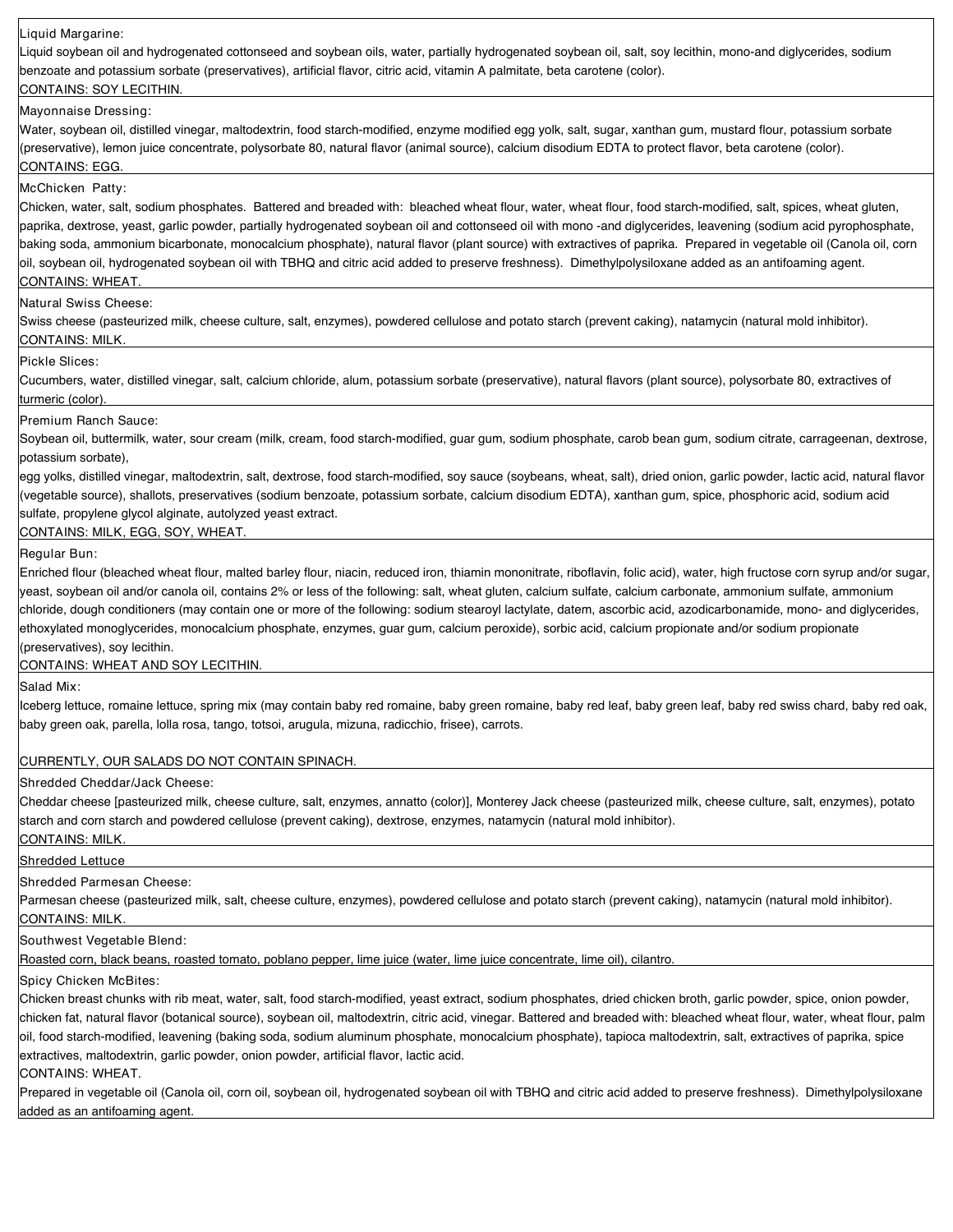### Liquid Margarine:

Liquid soybean oil and hydrogenated cottonseed and soybean oils, water, partially hydrogenated soybean oil, salt, soy lecithin, mono-and diglycerides, sodium benzoate and potassium sorbate (preservatives), artificial flavor, citric acid, vitamin A palmitate, beta carotene (color).

# CONTAINS: SOY LECITHIN.

### Mayonnaise Dressing:

Water, soybean oil, distilled vinegar, maltodextrin, food starch-modified, enzyme modified egg yolk, salt, sugar, xanthan gum, mustard flour, potassium sorbate (preservative), lemon juice concentrate, polysorbate 80, natural flavor (animal source), calcium disodium EDTA to protect flavor, beta carotene (color). CONTAINS: EGG.

McChicken Patty:

Chicken, water, salt, sodium phosphates. Battered and breaded with: bleached wheat flour, water, wheat flour, food starch-modified, salt, spices, wheat gluten, paprika, dextrose, yeast, garlic powder, partially hydrogenated soybean oil and cottonseed oil with mono -and diglycerides, leavening (sodium acid pyrophosphate, baking soda, ammonium bicarbonate, monocalcium phosphate), natural flavor (plant source) with extractives of paprika. Prepared in vegetable oil (Canola oil, corn oil, soybean oil, hydrogenated soybean oil with TBHQ and citric acid added to preserve freshness). Dimethylpolysiloxane added as an antifoaming agent. CONTAINS: WHEAT.

Natural Swiss Cheese:

Swiss cheese (pasteurized milk, cheese culture, salt, enzymes), powdered cellulose and potato starch (prevent caking), natamycin (natural mold inhibitor). CONTAINS: MILK.

Pickle Slices:

Cucumbers, water, distilled vinegar, salt, calcium chloride, alum, potassium sorbate (preservative), natural flavors (plant source), polysorbate 80, extractives of turmeric (color).

Iceberg lettuce, romaine lettuce, spring mix (may contain baby red romaine, baby red leaf, baby green leaf, baby red swiss chard, baby red oak, baby green oak, parella, lolla rosa, tango, totsoi, arugula, mizuna, radicchio, frisee), carrots.

Premium Ranch Sauce:

Soybean oil, buttermilk, water, sour cream (milk, cream, food starch-modified, guar gum, sodium phosphate, carob bean gum, sodium citrate, carrageenan, dextrose, potassium sorbate),

egg yolks, distilled vinegar, maltodextrin, salt, dextrose, food starch-modified, soy sauce (soybeans, wheat, salt), dried onion, garlic powder, lactic acid, natural flavor (vegetable source), shallots, preservatives (sodium benzoate, potassium sorbate, calcium disodium EDTA), xanthan gum, spice, phosphoric acid, sodium acid sulfate, propylene glycol alginate, autolyzed yeast extract.

CONTAINS: MILK, EGG, SOY, WHEAT.

Regular Bun:

Enriched flour (bleached wheat flour, malted barley flour, niacin, reduced iron, thiamin mononitrate, riboflavin, folic acid), water, high fructose corn syrup and/or sugar, yeast, soybean oil and/or canola oil, contains 2% or less of the following: salt, wheat gluten, calcium sulfate, calcium carbonate, ammonium sulfate, ammonium chloride, dough conditioners (may contain one or more of the following: sodium stearoyl lactylate, datem, ascorbic acid, azodicarbonamide, mono- and diglycerides, ethoxylated monoglycerides, monocalcium phosphate, enzymes, guar gum, calcium peroxide), sorbic acid, calcium propionate and/or sodium propionate (preservatives), soy lecithin.

CONTAINS: WHEAT AND SOY LECITHIN.

Salad Mix:

# CURRENTLY, OUR SALADS DO NOT CONTAIN SPINACH.

Shredded Cheddar/Jack Cheese:

Cheddar cheese [pasteurized milk, cheese culture, salt, enzymes, annatto (color)], Monterey Jack cheese (pasteurized milk, cheese culture, salt, enzymes), potato starch and corn starch and powdered cellulose (prevent caking), dextrose, enzymes, natamycin (natural mold inhibitor). CONTAINS: MILK.

Shredded Lettuce

Shredded Parmesan Cheese:

Parmesan cheese (pasteurized milk, salt, cheese culture, enzymes), powdered cellulose and potato starch (prevent caking), natamycin (natural mold inhibitor). CONTAINS: MILK.

#### Roasted corn, black beans, roasted tomato, poblano pepper, lime juice (water, lime juice concentrate, lime oil), cilantro.

# Spicy Chicken McBites:

Chicken breast chunks with rib meat, water, salt, food starch-modified, yeast extract, sodium phosphates, dried chicken broth, garlic powder, spice, onion powder, chicken fat, natural flavor (botanical source), soybean oil, maltodextrin, citric acid, vinegar. Battered and breaded with: bleached wheat flour, water, wheat flour, palm oil, food starch-modified, leavening (baking soda, sodium aluminum phosphate, monocalcium phosphate), tapioca maltodextrin, salt, extractives of paprika, spice extractives, maltodextrin, garlic powder, onion powder, artificial flavor, lactic acid. CONTAINS: WHEAT.

Prepared in vegetable oil (Canola oil, corn oil, soybean oil, hydrogenated soybean oil with TBHQ and citric acid added to preserve freshness). Dimethylpolysiloxane added as an antifoaming agent.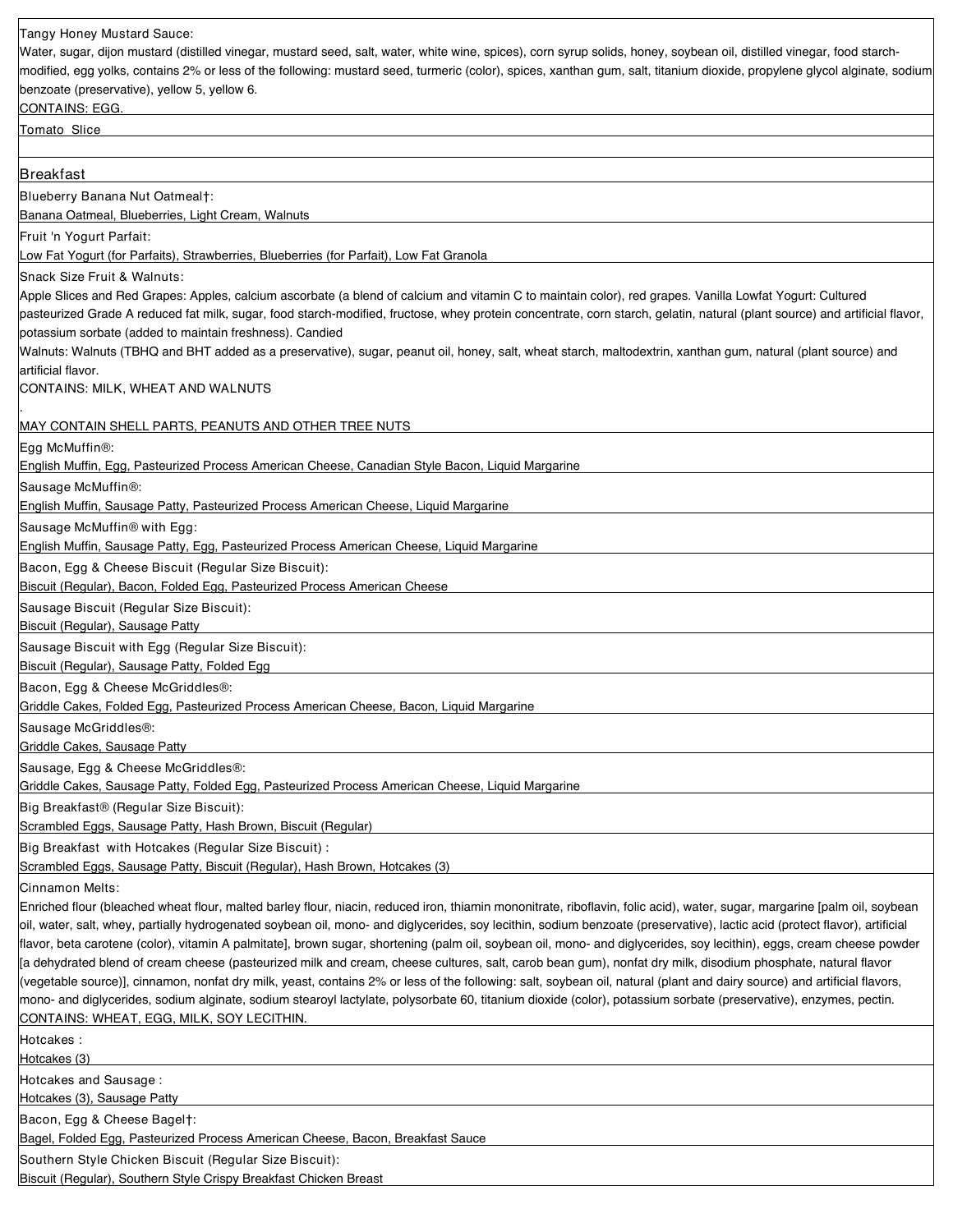#### Tangy Honey Mustard Sauce:

Water, sugar, dijon mustard (distilled vinegar, mustard seed, salt, water, white wine, spices), corn syrup solids, honey, soybean oil, distilled vinegar, food starchmodified, egg yolks, contains 2% or less of the following: mustard seed, turmeric (color), spices, xanthan gum, salt, titanium dioxide, propylene glycol alginate, sodium benzoate (preservative), yellow 5, yellow 6.

#### CONTAINS: EGG.

Tomato Slice

# Breakfast

Blueberry Banana Nut Oatmeal†:

Banana Oatmeal, Blueberries, Light Cream, Walnuts

Fruit 'n Yogurt Parfait:

Low Fat Yogurt (for Parfaits), Strawberries, Blueberries (for Parfait), Low Fat Granola

Snack Size Fruit & Walnuts:

Apple Slices and Red Grapes: Apples, calcium ascorbate (a blend of calcium and vitamin C to maintain color), red grapes. Vanilla Lowfat Yogurt: Cultured pasteurized Grade A reduced fat milk, sugar, food starch-modified, fructose, whey protein concentrate, corn starch, gelatin, natural (plant source) and artificial flavor,

potassium sorbate (added to maintain freshness). Candied

Walnuts: Walnuts (TBHQ and BHT added as a preservative), sugar, peanut oil, honey, salt, wheat starch, maltodextrin, xanthan gum, natural (plant source) and artificial flavor.

CONTAINS: MILK, WHEAT AND WALNUTS

.

### MAY CONTAIN SHELL PARTS, PEANUTS AND OTHER TREE NUTS

Egg McMuffin®:

| English Muffin, Egg, Pasteurized Process American Cheese, Canadian Style Bacon, Liquid Margarine                                                                          |  |
|---------------------------------------------------------------------------------------------------------------------------------------------------------------------------|--|
| <b>Sausage McMuffin®:</b>                                                                                                                                                 |  |
| English Muffin, Sausage Patty, Pasteurized Process American Cheese, Liquid Margarine                                                                                      |  |
| Sausage McMuffin <sup>®</sup> with Egg:                                                                                                                                   |  |
| English Muffin, Sausage Patty, Egg, Pasteurized Process American Cheese, Liquid Margarine                                                                                 |  |
| Bacon, Egg & Cheese Biscuit (Regular Size Biscuit):                                                                                                                       |  |
| Biscuit (Regular), Bacon, Folded Egg, Pasteurized Process American Cheese                                                                                                 |  |
| Sausage Biscuit (Regular Size Biscuit):                                                                                                                                   |  |
| Biscuit (Regular), Sausage Patty                                                                                                                                          |  |
| Sausage Biscuit with Egg (Regular Size Biscuit):                                                                                                                          |  |
| Biscuit (Regular), Sausage Patty, Folded Egg                                                                                                                              |  |
| Bacon, Egg & Cheese McGriddles <sup>®</sup> :                                                                                                                             |  |
| Griddle Cakes, Folded Egg, Pasteurized Process American Cheese, Bacon, Liquid Margarine                                                                                   |  |
| <b>Sausage McGriddles®:</b>                                                                                                                                               |  |
| Griddle Cakes, Sausage Patty                                                                                                                                              |  |
| Sausage, Egg & Cheese McGriddles <sup>®</sup> :                                                                                                                           |  |
| Griddle Cakes, Sausage Patty, Folded Egg, Pasteurized Process American Cheese, Liquid Margarine                                                                           |  |
| Big Breakfast® (Regular Size Biscuit):                                                                                                                                    |  |
| Scrambled Eggs, Sausage Patty, Hash Brown, Biscuit (Regular)                                                                                                              |  |
| Big Breakfast with Hotcakes (Regular Size Biscuit):                                                                                                                       |  |
| Scrambled Eggs, Sausage Patty, Biscuit (Regular), Hash Brown, Hotcakes (3)                                                                                                |  |
| Cinnamon Melts:                                                                                                                                                           |  |
| Enriched flour (bleached wheat flour, malted barley flour, niacin, reduced iron, thiamin mononitrate, riboflavin, folic acid), water, sugar, margarine [palm oil, soybean |  |

oil, water, salt, whey, partially hydrogenated soybean oil, mono- and diglycerides, soy lecithin, sodium benzoate (preservative), lactic acid (protect flavor), artificial

flavor, beta carotene (color), vitamin A palmitate], brown sugar, shortening (palm oil, soybean oil, mono- and diglycerides, soy lecithin), eggs, cream cheese powder [a dehydrated blend of cream cheese (pasteurized milk and cream, cheese cultures, salt, carob bean gum), nonfat dry milk, disodium phosphate, natural flavor (vegetable source)], cinnamon, nonfat dry milk, yeast, contains 2% or less of the following: salt, soybean oil, natural (plant and dairy source) and artificial flavors, mono- and diglycerides, sodium alginate, sodium stearoyl lactylate, polysorbate 60, titanium dioxide (color), potassium sorbate (preservative), enzymes, pectin. CONTAINS: WHEAT, EGG, MILK, SOY LECITHIN.

Hotcakes :

Hotcakes (3)

Hotcakes and Sausage :

Hotcakes (3), Sausage Patty

Bacon, Egg & Cheese Bagel†:

Bagel, Folded Egg, Pasteurized Process American Cheese, Bacon, Breakfast Sauce

Southern Style Chicken Biscuit (Regular Size Biscuit):

Biscuit (Regular), Southern Style Crispy Breakfast Chicken Breast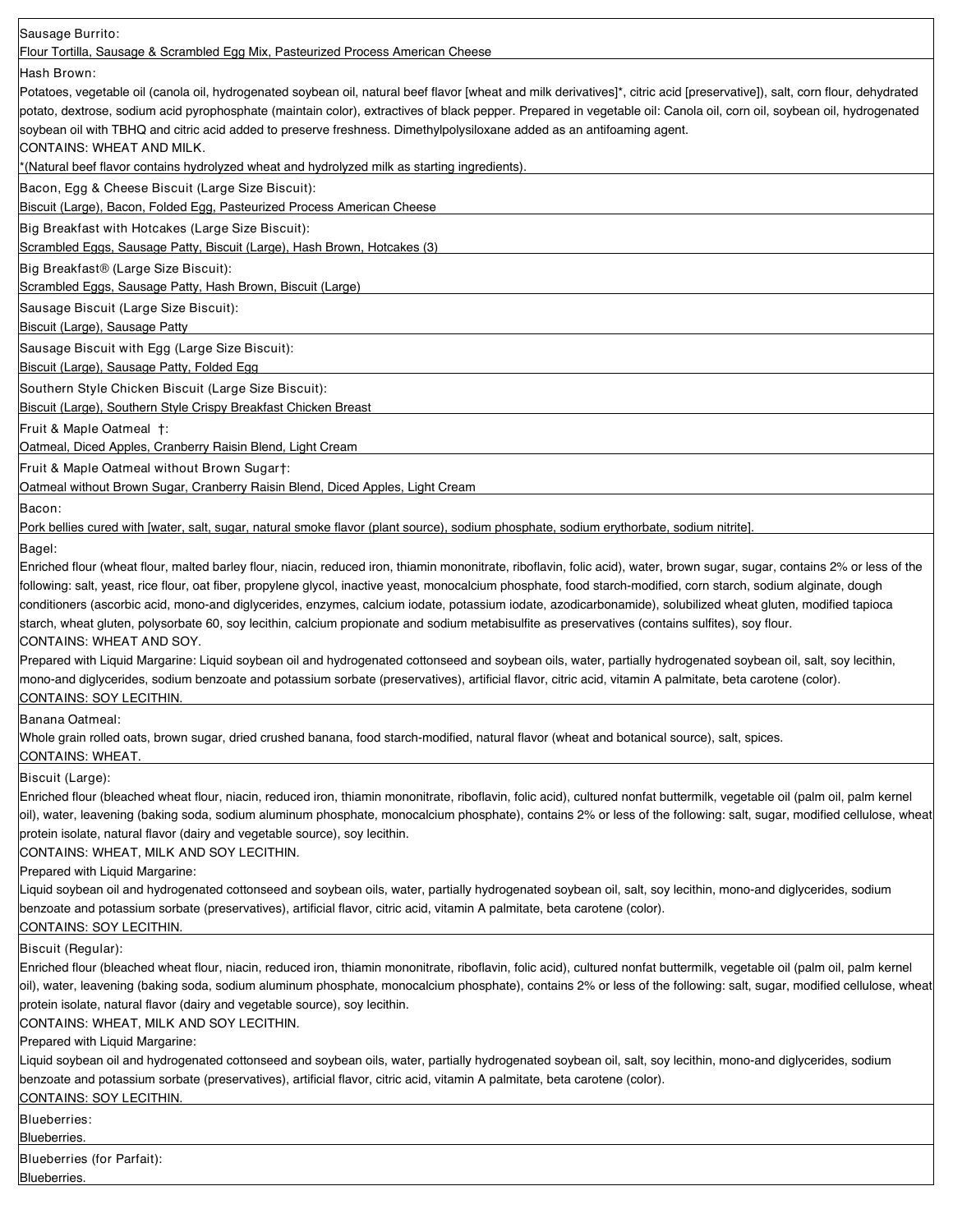| Sausage Burrito: |  |  |  |
|------------------|--|--|--|
|------------------|--|--|--|

#### Flour Tortilla, Sausage & Scrambled Egg Mix, Pasteurized Process American Cheese

Hash Brown:

Potatoes, vegetable oil (canola oil, hydrogenated soybean oil, natural beef flavor [wheat and milk derivatives]\*, citric acid [preservative]), salt, corn flour, dehydrated potato, dextrose, sodium acid pyrophosphate (maintain color), extractives of black pepper. Prepared in vegetable oil: Canola oil, corn oil, soybean oil, hydrogenated soybean oil with TBHQ and citric acid added to preserve freshness. Dimethylpolysiloxane added as an antifoaming agent.

CONTAINS: WHEAT AND MILK.

\*(Natural beef flavor contains hydrolyzed wheat and hydrolyzed milk as starting ingredients).

Bacon, Egg & Cheese Biscuit (Large Size Biscuit):

Biscuit (Large), Bacon, Folded Egg, Pasteurized Process American Cheese

Big Breakfast with Hotcakes (Large Size Biscuit):

Scrambled Eggs, Sausage Patty, Biscuit (Large), Hash Brown, Hotcakes (3)

Big Breakfast® (Large Size Biscuit):

Scrambled Eggs, Sausage Patty, Hash Brown, Biscuit (Large)

Sausage Biscuit (Large Size Biscuit):

Biscuit (Large), Sausage Patty

Sausage Biscuit with Egg (Large Size Biscuit):

Biscuit (Large), Sausage Patty, Folded Egg

Southern Style Chicken Biscuit (Large Size Biscuit):

Biscuit (Large), Southern Style Crispy Breakfast Chicken Breast

Fruit & Maple Oatmeal †:

Oatmeal, Diced Apples, Cranberry Raisin Blend, Light Cream

Fruit & Maple Oatmeal without Brown Sugar†:

Oatmeal without Brown Sugar, Cranberry Raisin Blend, Diced Apples, Light Cream

Bacon:

Pork bellies cured with [water, salt, sugar, natural smoke flavor (plant source), sodium phosphate, sodium erythorbate, sodium nitrite].

#### Bagel:

Enriched flour (wheat flour, malted barley flour, niacin, reduced iron, thiamin mononitrate, riboflavin, folic acid), water, brown sugar, sugar, contains 2% or less of the following: salt, yeast, rice flour, oat fiber, propylene glycol, inactive yeast, monocalcium phosphate, food starch-modified, corn starch, sodium alginate, dough conditioners (ascorbic acid, mono-and diglycerides, enzymes, calcium iodate, potassium iodate, azodicarbonamide), solubilized wheat gluten, modified tapioca starch, wheat gluten, polysorbate 60, soy lecithin, calcium propionate and sodium metabisulfite as preservatives (contains sulfites), soy flour. CONTAINS: WHEAT AND SOY.

Prepared with Liquid Margarine: Liquid soybean oil and hydrogenated cottonseed and soybean oils, water, partially hydrogenated soybean oil, salt, soy lecithin, mono-and diglycerides, sodium benzoate and potassium sorbate (preservatives), artificial flavor, citric acid, vitamin A palmitate, beta carotene (color). CONTAINS: SOY LECITHIN.

Banana Oatmeal:

Whole grain rolled oats, brown sugar, dried crushed banana, food starch-modified, natural flavor (wheat and botanical source), salt, spices. CONTAINS: WHEAT.

# Biscuit (Large):

Enriched flour (bleached wheat flour, niacin, reduced iron, thiamin mononitrate, riboflavin, folic acid), cultured nonfat buttermilk, vegetable oil (palm oil, palm kernel  $|$ oil), water, leavening (baking soda, sodium aluminum phosphate, monocalcium phosphate), contains 2% or less of the following: salt, sugar, modified cellulose, wheat protein isolate, natural flavor (dairy and vegetable source), soy lecithin.

CONTAINS: WHEAT, MILK AND SOY LECITHIN.

Prepared with Liquid Margarine:

Liquid soybean oil and hydrogenated cottonseed and soybean oils, water, partially hydrogenated soybean oil, salt, soy lecithin, mono-and diglycerides, sodium benzoate and potassium sorbate (preservatives), artificial flavor, citric acid, vitamin A palmitate, beta carotene (color).

#### CONTAINS: SOY LECITHIN.

### Biscuit (Regular):

Enriched flour (bleached wheat flour, niacin, reduced iron, thiamin mononitrate, riboflavin, folic acid), cultured nonfat buttermilk, vegetable oil (palm oil, palm kernel  $|$ oil), water, leavening (baking soda, sodium aluminum phosphate, monocalcium phosphate), contains 2% or less of the following: salt, sugar, modified cellulose, wheat $|$ protein isolate, natural flavor (dairy and vegetable source), soy lecithin. CONTAINS: WHEAT, MILK AND SOY LECITHIN.

Prepared with Liquid Margarine:

Liquid soybean oil and hydrogenated cottonseed and soybean oils, water, partially hydrogenated soybean oil, salt, soy lecithin, mono-and diglycerides, sodium benzoate and potassium sorbate (preservatives), artificial flavor, citric acid, vitamin A palmitate, beta carotene (color). CONTAINS: SOY LECITHIN.

Blueberries:

Blueberries.

Blueberries (for Parfait):

Blueberries.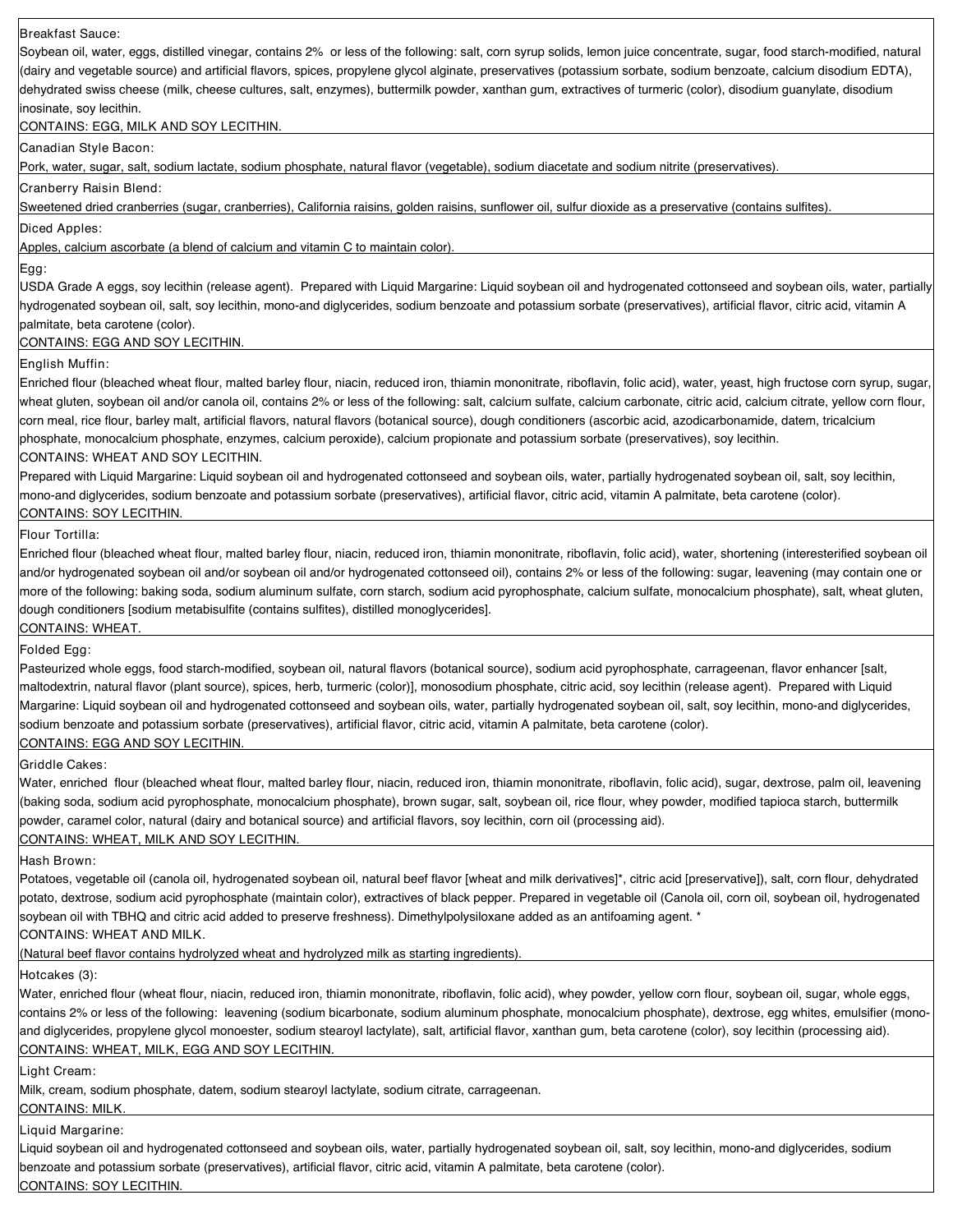#### Breakfast Sauce:

Soybean oil, water, eggs, distilled vinegar, contains 2% or less of the following: salt, corn syrup solids, lemon juice concentrate, sugar, food starch-modified, natural (dairy and vegetable source) and artificial flavors, spices, propylene glycol alginate, preservatives (potassium sorbate, sodium benzoate, calcium disodium EDTA), dehydrated swiss cheese (milk, cheese cultures, salt, enzymes), buttermilk powder, xanthan gum, extractives of turmeric (color), disodium guanylate, disodium inosinate, soy lecithin.

#### CONTAINS: EGG, MILK AND SOY LECITHIN.

Canadian Style Bacon:

Pork, water, sugar, salt, sodium lactate, sodium phosphate, natural flavor (vegetable), sodium diacetate and sodium nitrite (preservatives).

Cranberry Raisin Blend:

Sweetened dried cranberries (sugar, cranberries), California raisins, golden raisins, sunflower oil, sulfur dioxide as a preservative (contains sulfites).

Diced Apples:

Apples, calcium ascorbate (a blend of calcium and vitamin C to maintain color).

### Egg:

USDA Grade A eggs, soy lecithin (release agent). Prepared with Liquid Margarine: Liquid soybean oil and hydrogenated cottonseed and soybean oils, water, partially hydrogenated soybean oil, salt, soy lecithin, mono-and diglycerides, sodium benzoate and potassium sorbate (preservatives), artificial flavor, citric acid, vitamin A palmitate, beta carotene (color).

CONTAINS: EGG AND SOY LECITHIN.

#### English Muffin:

Enriched flour (bleached wheat flour, malted barley flour, niacin, reduced iron, thiamin mononitrate, riboflavin, folic acid), water, yeast, high fructose corn syrup, sugar, wheat gluten, soybean oil and/or canola oil, contains 2% or less of the following: salt, calcium sulfate, calcium carbonate, citric acid, calcium citrate, yellow corn flour, corn meal, rice flour, barley malt, artificial flavors, natural flavors (botanical source), dough conditioners (ascorbic acid, azodicarbonamide, datem, tricalcium phosphate, monocalcium phosphate, enzymes, calcium peroxide), calcium propionate and potassium sorbate (preservatives), soy lecithin. CONTAINS: WHEAT AND SOY LECITHIN.

Prepared with Liquid Margarine: Liquid soybean oil and hydrogenated cottonseed and soybean oils, water, partially hydrogenated soybean oil, salt, soy lecithin, mono-and diglycerides, sodium benzoate and potassium sorbate (preservatives), artificial flavor, citric acid, vitamin A palmitate, beta carotene (color). CONTAINS: SOY LECITHIN.

# Flour Tortilla:

Enriched flour (bleached wheat flour, malted barley flour, niacin, reduced iron, thiamin mononitrate, riboflavin, folic acid), water, shortening (interesterified soybean oil and/or hydrogenated soybean oil and/or soybean oil and/or hydrogenated cottonseed oil), contains 2% or less of the following: sugar, leavening (may contain one or more of the following: baking soda, sodium aluminum sulfate, corn starch, sodium acid pyrophosphate, calcium sulfate, monocalcium phosphate), salt, wheat gluten, dough conditioners [sodium metabisulfite (contains sulfites), distilled monoglycerides].

# CONTAINS: WHEAT.

# Folded Egg:

Pasteurized whole eggs, food starch-modified, soybean oil, natural flavors (botanical source), sodium acid pyrophosphate, carrageenan, flavor enhancer [salt, maltodextrin, natural flavor (plant source), spices, herb, turmeric (color)], monosodium phosphate, citric acid, soy lecithin (release agent). Prepared with Liquid Margarine: Liquid soybean oil and hydrogenated cottonseed and soybean oils, water, partially hydrogenated soybean oil, salt, soy lecithin, mono-and diglycerides, sodium benzoate and potassium sorbate (preservatives), artificial flavor, citric acid, vitamin A palmitate, beta carotene (color). CONTAINS: EGG AND SOY LECITHIN.

# Griddle Cakes:

Water, enriched flour (bleached wheat flour, malted barley flour, niacin, reduced iron, thiamin mononitrate, riboflavin, folic acid), sugar, dextrose, palm oil, leavening (baking soda, sodium acid pyrophosphate, monocalcium phosphate), brown sugar, salt, soybean oil, rice flour, whey powder, modified tapioca starch, buttermilk powder, caramel color, natural (dairy and botanical source) and artificial flavors, soy lecithin, corn oil (processing aid).

# CONTAINS: WHEAT, MILK AND SOY LECITHIN.

## Hash Brown:

Potatoes, vegetable oil (canola oil, hydrogenated soybean oil, natural beef flavor [wheat and milk derivatives]\*, citric acid [preservative]), salt, corn flour, dehydrated potato, dextrose, sodium acid pyrophosphate (maintain color), extractives of black pepper. Prepared in vegetable oil (Canola oil, corn oil, soybean oil, hydrogenated soybean oil with TBHQ and citric acid added to preserve freshness). Dimethylpolysiloxane added as an antifoaming agent. \*

#### CONTAINS: WHEAT AND MILK.

#### (Natural beef flavor contains hydrolyzed wheat and hydrolyzed milk as starting ingredients).

#### Hotcakes (3):

Water, enriched flour (wheat flour, niacin, reduced iron, thiamin mononitrate, riboflavin, folic acid), whey powder, yellow corn flour, soybean oil, sugar, whole eggs, contains 2% or less of the following: leavening (sodium bicarbonate, sodium aluminum phosphate, monocalcium phosphate), dextrose, egg whites, emulsifier (monoand diglycerides, propylene glycol monoester, sodium stearoyl lactylate), salt, artificial flavor, xanthan gum, beta carotene (color), soy lecithin (processing aid). CONTAINS: WHEAT, MILK, EGG AND SOY LECITHIN.

Light Cream:

Milk, cream, sodium phosphate, datem, sodium stearoyl lactylate, sodium citrate, carrageenan.

CONTAINS: MILK.

Liquid Margarine:

Liquid soybean oil and hydrogenated cottonseed and soybean oils, water, partially hydrogenated soybean oil, salt, soy lecithin, mono-and diglycerides, sodium

benzoate and potassium sorbate (preservatives), artificial flavor, citric acid, vitamin A palmitate, beta carotene (color).

CONTAINS: SOY LECITHIN.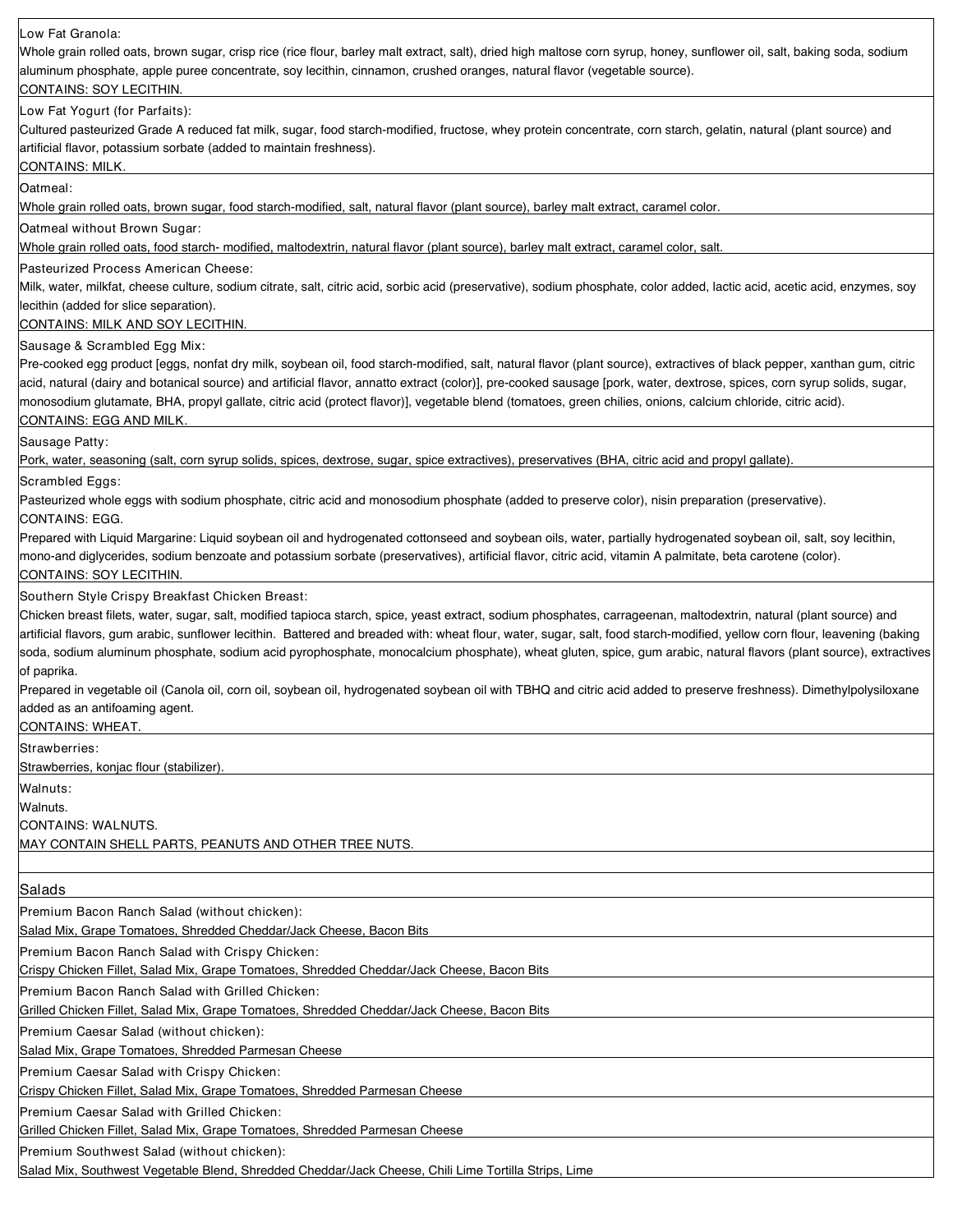### Low Fat Granola:

Whole grain rolled oats, brown sugar, crisp rice (rice flour, barley malt extract, salt), dried high maltose corn syrup, honey, sunflower oil, salt, baking soda, sodium aluminum phosphate, apple puree concentrate, soy lecithin, cinnamon, crushed oranges, natural flavor (vegetable source).

## CONTAINS: SOY LECITHIN.

### Low Fat Yogurt (for Parfaits):

Cultured pasteurized Grade A reduced fat milk, sugar, food starch-modified, fructose, whey protein concentrate, corn starch, gelatin, natural (plant source) and artificial flavor, potassium sorbate (added to maintain freshness).

#### CONTAINS: MILK.

Oatmeal:

Whole grain rolled oats, brown sugar, food starch-modified, salt, natural flavor (plant source), barley malt extract, caramel color.

Oatmeal without Brown Sugar:

Whole grain rolled oats, food starch- modified, maltodextrin, natural flavor (plant source), barley malt extract, caramel color, salt.

Pasteurized Process American Cheese:

Milk, water, milkfat, cheese culture, sodium citrate, salt, citric acid, sorbic acid (preservative), sodium phosphate, color added, lactic acid, acetic acid, enzymes, soy lecithin (added for slice separation).

CONTAINS: MILK AND SOY LECITHIN.

Sausage & Scrambled Egg Mix:

Pre-cooked egg product [eggs, nonfat dry milk, soybean oil, food starch-modified, salt, natural flavor (plant source), extractives of black pepper, xanthan gum, citric acid, natural (dairy and botanical source) and artificial flavor, annatto extract (color)], pre-cooked sausage [pork, water, dextrose, spices, corn syrup solids, sugar, monosodium glutamate, BHA, propyl gallate, citric acid (protect flavor)], vegetable blend (tomatoes, green chilies, onions, calcium chloride, citric acid). CONTAINS: EGG AND MILK.

#### Sausage Patty:

Pork, water, seasoning (salt, corn syrup solids, spices, dextrose, sugar, spice extractives), preservatives (BHA, citric acid and propyl gallate).

Scrambled Eggs:

Pasteurized whole eggs with sodium phosphate, citric acid and monosodium phosphate (added to preserve color), nisin preparation (preservative). CONTAINS: EGG.

Prepared with Liquid Margarine: Liquid soybean oil and hydrogenated cottonseed and soybean oils, water, partially hydrogenated soybean oil, salt, soy lecithin, mono-and diglycerides, sodium benzoate and potassium sorbate (preservatives), artificial flavor, citric acid, vitamin A palmitate, beta carotene (color). CONTAINS: SOY LECITHIN.

Southern Style Crispy Breakfast Chicken Breast:

Chicken breast filets, water, sugar, salt, modified tapioca starch, spice, yeast extract, sodium phosphates, carrageenan, maltodextrin, natural (plant source) and artificial flavors, gum arabic, sunflower lecithin. Battered and breaded with: wheat flour, water, sugar, salt, food starch-modified, yellow corn flour, leavening (baking soda, sodium aluminum phosphate, sodium acid pyrophosphate, monocalcium phosphate), wheat gluten, spice, gum arabic, natural flavors (plant source), extractives of paprika.

Prepared in vegetable oil (Canola oil, corn oil, soybean oil, hydrogenated soybean oil with TBHQ and citric acid added to preserve freshness). Dimethylpolysiloxane added as an antifoaming agent.

#### CONTAINS: WHEAT.

| Strawberries:                                         |  |
|-------------------------------------------------------|--|
| Strawberries, konjac flour (stabilizer).              |  |
| Walnuts:                                              |  |
| Walnuts.                                              |  |
| CONTAINS: WALNUTS.                                    |  |
| MAY CONTAIN SHELL PARTS, PEANUTS AND OTHER TREE NUTS. |  |

#### Salads

Premium Bacon Ranch Salad (without chicken):

Salad Mix, Grape Tomatoes, Shredded Cheddar/Jack Cheese, Bacon Bits

Premium Bacon Ranch Salad with Crispy Chicken:

Crispy Chicken Fillet, Salad Mix, Grape Tomatoes, Shredded Cheddar/Jack Cheese, Bacon Bits

Premium Bacon Ranch Salad with Grilled Chicken:

Grilled Chicken Fillet, Salad Mix, Grape Tomatoes, Shredded Cheddar/Jack Cheese, Bacon Bits

Premium Caesar Salad (without chicken):

Salad Mix, Grape Tomatoes, Shredded Parmesan Cheese

Premium Caesar Salad with Crispy Chicken:

Crispy Chicken Fillet, Salad Mix, Grape Tomatoes, Shredded Parmesan Cheese

Premium Caesar Salad with Grilled Chicken:

Grilled Chicken Fillet, Salad Mix, Grape Tomatoes, Shredded Parmesan Cheese

Premium Southwest Salad (without chicken):

Salad Mix, Southwest Vegetable Blend, Shredded Cheddar/Jack Cheese, Chili Lime Tortilla Strips, Lime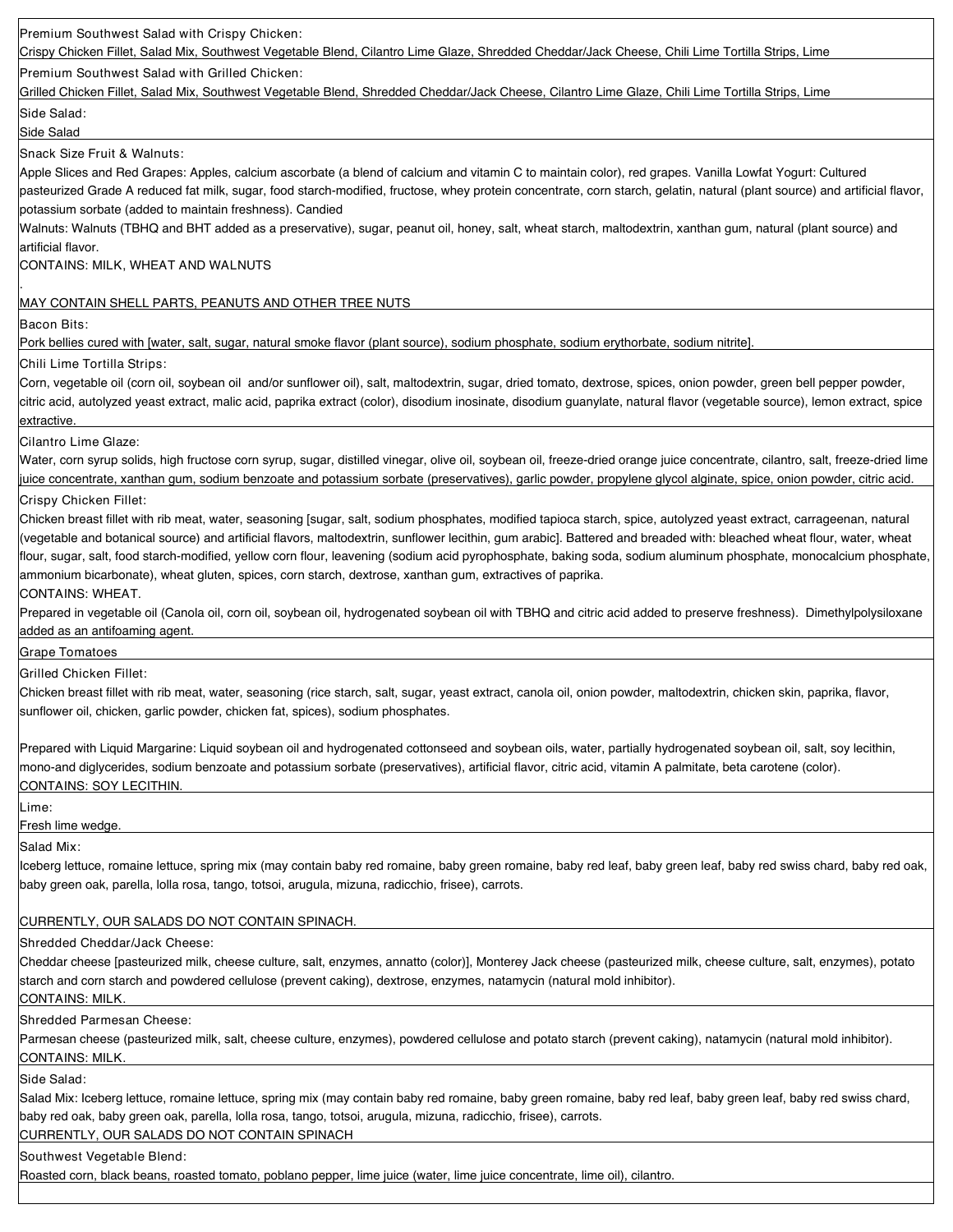Premium Southwest Salad with Crispy Chicken:

Crispy Chicken Fillet, Salad Mix, Southwest Vegetable Blend, Cilantro Lime Glaze, Shredded Cheddar/Jack Cheese, Chili Lime Tortilla Strips, Lime

Premium Southwest Salad with Grilled Chicken:

Grilled Chicken Fillet, Salad Mix, Southwest Vegetable Blend, Shredded Cheddar/Jack Cheese, Cilantro Lime Glaze, Chili Lime Tortilla Strips, Lime

Side Salad:

Side Salad

Snack Size Fruit & Walnuts:

Apple Slices and Red Grapes: Apples, calcium ascorbate (a blend of calcium and vitamin C to maintain color), red grapes. Vanilla Lowfat Yogurt: Cultured pasteurized Grade A reduced fat milk, sugar, food starch-modified, fructose, whey protein concentrate, corn starch, gelatin, natural (plant source) and artificial flavor, potassium sorbate (added to maintain freshness). Candied

Walnuts: Walnuts (TBHQ and BHT added as a preservative), sugar, peanut oil, honey, salt, wheat starch, maltodextrin, xanthan gum, natural (plant source) and artificial flavor.

CONTAINS: MILK, WHEAT AND WALNUTS

.

### MAY CONTAIN SHELL PARTS, PEANUTS AND OTHER TREE NUTS

Bacon Bits:

Pork bellies cured with [water, salt, sugar, natural smoke flavor (plant source), sodium phosphate, sodium erythorbate, sodium nitrite].

Chili Lime Tortilla Strips:

Corn, vegetable oil (corn oil, soybean oil and/or sunflower oil), salt, maltodextrin, sugar, dried tomato, dextrose, spices, onion powder, green bell pepper powder, citric acid, autolyzed yeast extract, malic acid, paprika extract (color), disodium inosinate, disodium guanylate, natural flavor (vegetable source), lemon extract, spice extractive.

Cilantro Lime Glaze:

Water, corn syrup solids, high fructose corn syrup, sugar, distilled vinegar, olive oil, soybean oil, freeze-dried orange juice concentrate, cilantro, salt, freeze-dried lime

Iceberg lettuce, romaine lettuce, spring mix (may contain baby red romaine, baby red leaf, baby green leaf, baby red swiss chard, baby red oak, baby green oak, parella, lolla rosa, tango, totsoi, arugula, mizuna, radicchio, frisee), carrots.

juice concentrate, xanthan gum, sodium benzoate and potassium sorbate (preservatives), garlic powder, propylene glycol alginate, spice, onion powder, citric acid. Crispy Chicken Fillet:

Chicken breast fillet with rib meat, water, seasoning [sugar, salt, sodium phosphates, modified tapioca starch, spice, autolyzed yeast extract, carrageenan, natural (vegetable and botanical source) and artificial flavors, maltodextrin, sunflower lecithin, gum arabic]. Battered and breaded with: bleached wheat flour, water, wheat flour, sugar, salt, food starch-modified, yellow corn flour, leavening (sodium acid pyrophosphate, baking soda, sodium aluminum phosphate, monocalcium phosphate, ammonium bicarbonate), wheat gluten, spices, corn starch, dextrose, xanthan gum, extractives of paprika.

CONTAINS: WHEAT.

Prepared in vegetable oil (Canola oil, corn oil, soybean oil, hydrogenated soybean oil with TBHQ and citric acid added to preserve freshness). Dimethylpolysiloxane added as an antifoaming agent.

Grape Tomatoes

Grilled Chicken Fillet:

Chicken breast fillet with rib meat, water, seasoning (rice starch, salt, sugar, yeast extract, canola oil, onion powder, maltodextrin, chicken skin, paprika, flavor, sunflower oil, chicken, garlic powder, chicken fat, spices), sodium phosphates.

Prepared with Liquid Margarine: Liquid soybean oil and hydrogenated cottonseed and soybean oils, water, partially hydrogenated soybean oil, salt, soy lecithin, mono-and diglycerides, sodium benzoate and potassium sorbate (preservatives), artificial flavor, citric acid, vitamin A palmitate, beta carotene (color). CONTAINS: SOY LECITHIN.

Lime:

Fresh lime wedge.

Salad Mix:

### CURRENTLY, OUR SALADS DO NOT CONTAIN SPINACH.

#### Shredded Cheddar/Jack Cheese:

Cheddar cheese [pasteurized milk, cheese culture, salt, enzymes, annatto (color)], Monterey Jack cheese (pasteurized milk, cheese culture, salt, enzymes), potato starch and corn starch and powdered cellulose (prevent caking), dextrose, enzymes, natamycin (natural mold inhibitor). CONTAINS: MILK.

Shredded Parmesan Cheese:

Parmesan cheese (pasteurized milk, salt, cheese culture, enzymes), powdered cellulose and potato starch (prevent caking), natamycin (natural mold inhibitor). CONTAINS: MILK.

Side Salad:

Salad Mix: Iceberg lettuce, romaine lettuce, spring mix (may contain baby red romaine, baby green romaine, baby red leaf, baby green leaf, baby red swiss chard,

baby red oak, baby green oak, parella, lolla rosa, tango, totsoi, arugula, mizuna, radicchio, frisee), carrots.

CURRENTLY, OUR SALADS DO NOT CONTAIN SPINACH

Southwest Vegetable Blend:

Roasted corn, black beans, roasted tomato, poblano pepper, lime juice (water, lime juice concentrate, lime oil), cilantro.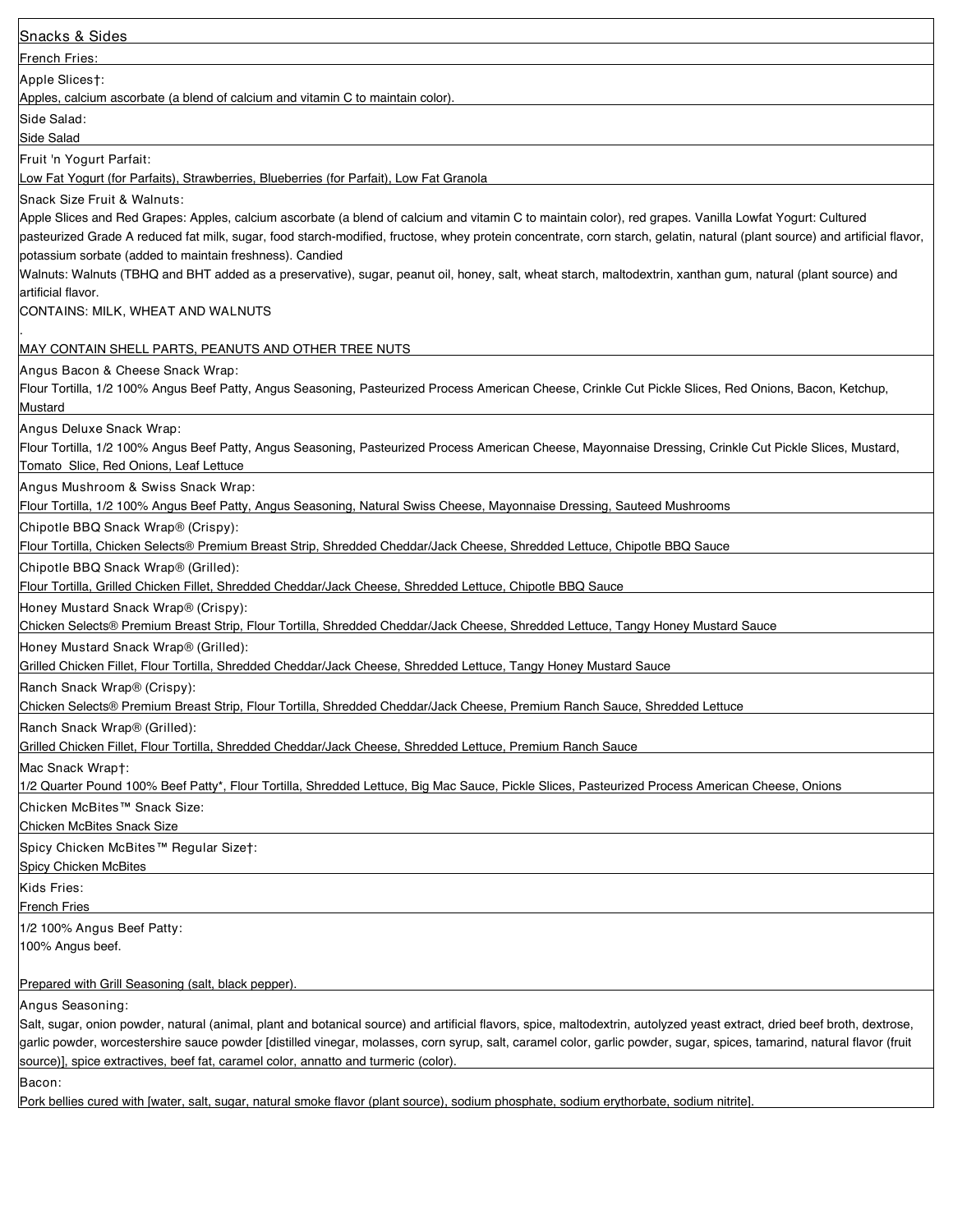# Snacks & Sides

### French Fries:

Apple Slices†:

Apples, calcium ascorbate (a blend of calcium and vitamin C to maintain color).

Side Salad:

Side Salad

Fruit 'n Yogurt Parfait:

Low Fat Yogurt (for Parfaits), Strawberries, Blueberries (for Parfait), Low Fat Granola

Snack Size Fruit & Walnuts:

Apple Slices and Red Grapes: Apples, calcium ascorbate (a blend of calcium and vitamin C to maintain color), red grapes. Vanilla Lowfat Yogurt: Cultured pasteurized Grade A reduced fat milk, sugar, food starch-modified, fructose, whey protein concentrate, corn starch, gelatin, natural (plant source) and artificial flavor, potassium sorbate (added to maintain freshness). Candied

Walnuts: Walnuts (TBHQ and BHT added as a preservative), sugar, peanut oil, honey, salt, wheat starch, maltodextrin, xanthan gum, natural (plant source) and artificial flavor.

CONTAINS: MILK, WHEAT AND WALNUTS

.

# MAY CONTAIN SHELL PARTS, PEANUTS AND OTHER TREE NUTS

Angus Bacon & Cheese Snack Wrap:

Flour Tortilla, 1/2 100% Angus Beef Patty, Angus Seasoning, Pasteurized Process American Cheese, Crinkle Cut Pickle Slices, Red Onions, Bacon, Ketchup, Mustard

Angus Deluxe Snack Wrap:

Flour Tortilla, 1/2 100% Angus Beef Patty, Angus Seasoning, Pasteurized Process American Cheese, Mayonnaise Dressing, Crinkle Cut Pickle Slices, Mustard, Tomato Slice, Red Onions, Leaf Lettuce

|  | TUITIAIU DIICE, TIEU UHIUTIS, LEAT LEIIUCE |
|--|--------------------------------------------|
|  |                                            |

Angus Mushroom & Swiss Snack Wrap:

Flour Tortilla, 1/2 100% Angus Beef Patty, Angus Seasoning, Natural Swiss Cheese, Mayonnaise Dressing, Sauteed Mushrooms

Chipotle BBQ Snack Wrap® (Crispy):

Flour Tortilla, Chicken Selects® Premium Breast Strip, Shredded Cheddar/Jack Cheese, Shredded Lettuce, Chipotle BBQ Sauce

Chipotle BBQ Snack Wrap® (Grilled):

Flour Tortilla, Grilled Chicken Fillet, Shredded Cheddar/Jack Cheese, Shredded Lettuce, Chipotle BBQ Sauce

Honey Mustard Snack Wrap® (Crispy):

Chicken Selects® Premium Breast Strip, Flour Tortilla, Shredded Cheddar/Jack Cheese, Shredded Lettuce, Tangy Honey Mustard Sauce

Honey Mustard Snack Wrap® (Grilled):

Grilled Chicken Fillet, Flour Tortilla, Shredded Cheddar/Jack Cheese, Shredded Lettuce, Tangy Honey Mustard Sauce

Ranch Snack Wrap® (Crispy):

Chicken Selects® Premium Breast Strip, Flour Tortilla, Shredded Cheddar/Jack Cheese, Premium Ranch Sauce, Shredded Lettuce

Ranch Snack Wrap® (Grilled):

Grilled Chicken Fillet, Flour Tortilla, Shredded Cheddar/Jack Cheese, Shredded Lettuce, Premium Ranch Sauce

Mac Snack Wrap†:

1/2 Quarter Pound 100% Beef Patty\*, Flour Tortilla, Shredded Lettuce, Big Mac Sauce, Pickle Slices, Pasteurized Process American Cheese, Onions

Chicken McBites™ Snack Size:

Chicken McBites Snack Size

Spicy Chicken McBites™ Regular Size†:

Spicy Chicken McBites

Kids Fries:

French Fries

1/2 100% Angus Beef Patty:

100% Angus beef.

#### Prepared with Grill Seasoning (salt, black pepper).

Angus Seasoning:

Salt, sugar, onion powder, natural (animal, plant and botanical source) and artificial flavors, spice, maltodextrin, autolyzed yeast extract, dried beef broth, dextrose, garlic powder, worcestershire sauce powder [distilled vinegar, molasses, corn syrup, salt, caramel color, garlic powder, sugar, spices, tamarind, natural flavor (fruit source)], spice extractives, beef fat, caramel color, annatto and turmeric (color).

Bacon:

Pork bellies cured with [water, salt, sugar, natural smoke flavor (plant source), sodium phosphate, sodium erythorbate, sodium nitrite].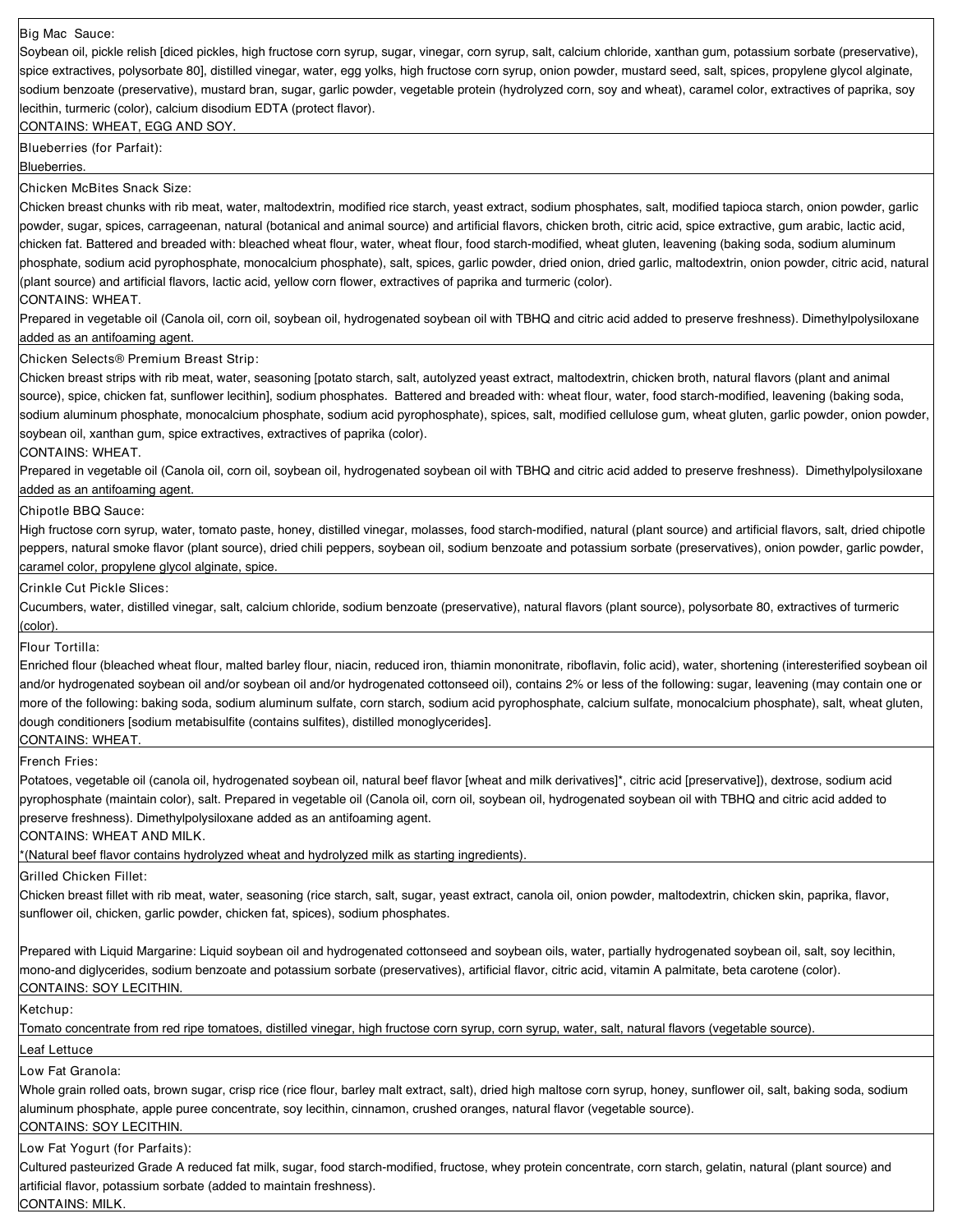#### Big Mac Sauce:

Soybean oil, pickle relish [diced pickles, high fructose corn syrup, sugar, vinegar, corn syrup, salt, calcium chloride, xanthan gum, potassium sorbate (preservative), spice extractives, polysorbate 80], distilled vinegar, water, egg yolks, high fructose corn syrup, onion powder, mustard seed, salt, spices, propylene glycol alginate, sodium benzoate (preservative), mustard bran, sugar, garlic powder, vegetable protein (hydrolyzed corn, soy and wheat), caramel color, extractives of paprika, soy lecithin, turmeric (color), calcium disodium EDTA (protect flavor).

CONTAINS: WHEAT, EGG AND SOY.

Blueberries (for Parfait):

Blueberries.

Chicken McBites Snack Size:

Chicken breast chunks with rib meat, water, maltodextrin, modified rice starch, yeast extract, sodium phosphates, salt, modified tapioca starch, onion powder, garlic powder, sugar, spices, carrageenan, natural (botanical and animal source) and artificial flavors, chicken broth, citric acid, spice extractive, gum arabic, lactic acid, chicken fat. Battered and breaded with: bleached wheat flour, water, wheat flour, food starch-modified, wheat gluten, leavening (baking soda, sodium aluminum phosphate, sodium acid pyrophosphate, monocalcium phosphate), salt, spices, garlic powder, dried onion, dried garlic, maltodextrin, onion powder, citric acid, natural (plant source) and artificial flavors, lactic acid, yellow corn flower, extractives of paprika and turmeric (color). CONTAINS: WHEAT.

High fructose corn syrup, water, tomato paste, honey, distilled vinegar, molasses, food starch-modified, natural (plant source) and artificial flavors, salt, dried chipotle peppers, natural smoke flavor (plant source), dried chili peppers, soybean oil, sodium benzoate and potassium sorbate (preservatives), onion powder, garlic powder, caramel color, propylene glycol alginate, spice.

Prepared in vegetable oil (Canola oil, corn oil, soybean oil, hydrogenated soybean oil with TBHQ and citric acid added to preserve freshness). Dimethylpolysiloxane added as an antifoaming agent.

Chicken Selects® Premium Breast Strip:

Chicken breast strips with rib meat, water, seasoning [potato starch, salt, autolyzed yeast extract, maltodextrin, chicken broth, natural flavors (plant and animal source), spice, chicken fat, sunflower lecithin], sodium phosphates. Battered and breaded with: wheat flour, water, food starch-modified, leavening (baking soda, sodium aluminum phosphate, monocalcium phosphate, sodium acid pyrophosphate), spices, salt, modified cellulose gum, wheat gluten, garlic powder, onion powder, soybean oil, xanthan gum, spice extractives, extractives of paprika (color). CONTAINS: WHEAT.

Prepared in vegetable oil (Canola oil, corn oil, soybean oil, hydrogenated soybean oil with TBHQ and citric acid added to preserve freshness). Dimethylpolysiloxane added as an antifoaming agent.

Chipotle BBQ Sauce:

Crinkle Cut Pickle Slices:

Cucumbers, water, distilled vinegar, salt, calcium chloride, sodium benzoate (preservative), natural flavors (plant source), polysorbate 80, extractives of turmeric (color).

## Flour Tortilla:

Enriched flour (bleached wheat flour, malted barley flour, niacin, reduced iron, thiamin mononitrate, riboflavin, folic acid), water, shortening (interesterified soybean oil and/or hydrogenated soybean oil and/or soybean oil and/or hydrogenated cottonseed oil), contains 2% or less of the following: sugar, leavening (may contain one or more of the following: baking soda, sodium aluminum sulfate, corn starch, sodium acid pyrophosphate, calcium sulfate, monocalcium phosphate), salt, wheat gluten, dough conditioners [sodium metabisulfite (contains sulfites), distilled monoglycerides].

CONTAINS: WHEAT.

# French Fries:

Potatoes, vegetable oil (canola oil, hydrogenated soybean oil, natural beef flavor [wheat and milk derivatives]\*, citric acid [preservative]), dextrose, sodium acid pyrophosphate (maintain color), salt. Prepared in vegetable oil (Canola oil, corn oil, soybean oil, hydrogenated soybean oil with TBHQ and citric acid added to preserve freshness). Dimethylpolysiloxane added as an antifoaming agent.

CONTAINS: WHEAT AND MILK.

\*(Natural beef flavor contains hydrolyzed wheat and hydrolyzed milk as starting ingredients).

Grilled Chicken Fillet:

Chicken breast fillet with rib meat, water, seasoning (rice starch, salt, sugar, yeast extract, canola oil, onion powder, maltodextrin, chicken skin, paprika, flavor, sunflower oil, chicken, garlic powder, chicken fat, spices), sodium phosphates.

Prepared with Liquid Margarine: Liquid soybean oil and hydrogenated cottonseed and soybean oils, water, partially hydrogenated soybean oil, salt, soy lecithin, mono-and diglycerides, sodium benzoate and potassium sorbate (preservatives), artificial flavor, citric acid, vitamin A palmitate, beta carotene (color). CONTAINS: SOY LECITHIN.

#### Ketchup:

Tomato concentrate from red ripe tomatoes, distilled vinegar, high fructose corn syrup, corn syrup, water, salt, natural flavors (vegetable source).

Leaf Lettuce

Low Fat Granola:

Whole grain rolled oats, brown sugar, crisp rice (rice flour, barley malt extract, salt), dried high maltose corn syrup, honey, sunflower oil, salt, baking soda, sodium aluminum phosphate, apple puree concentrate, soy lecithin, cinnamon, crushed oranges, natural flavor (vegetable source). CONTAINS: SOY LECITHIN.

Low Fat Yogurt (for Parfaits):

Cultured pasteurized Grade A reduced fat milk, sugar, food starch-modified, fructose, whey protein concentrate, corn starch, gelatin, natural (plant source) and

artificial flavor, potassium sorbate (added to maintain freshness).

### CONTAINS: MILK.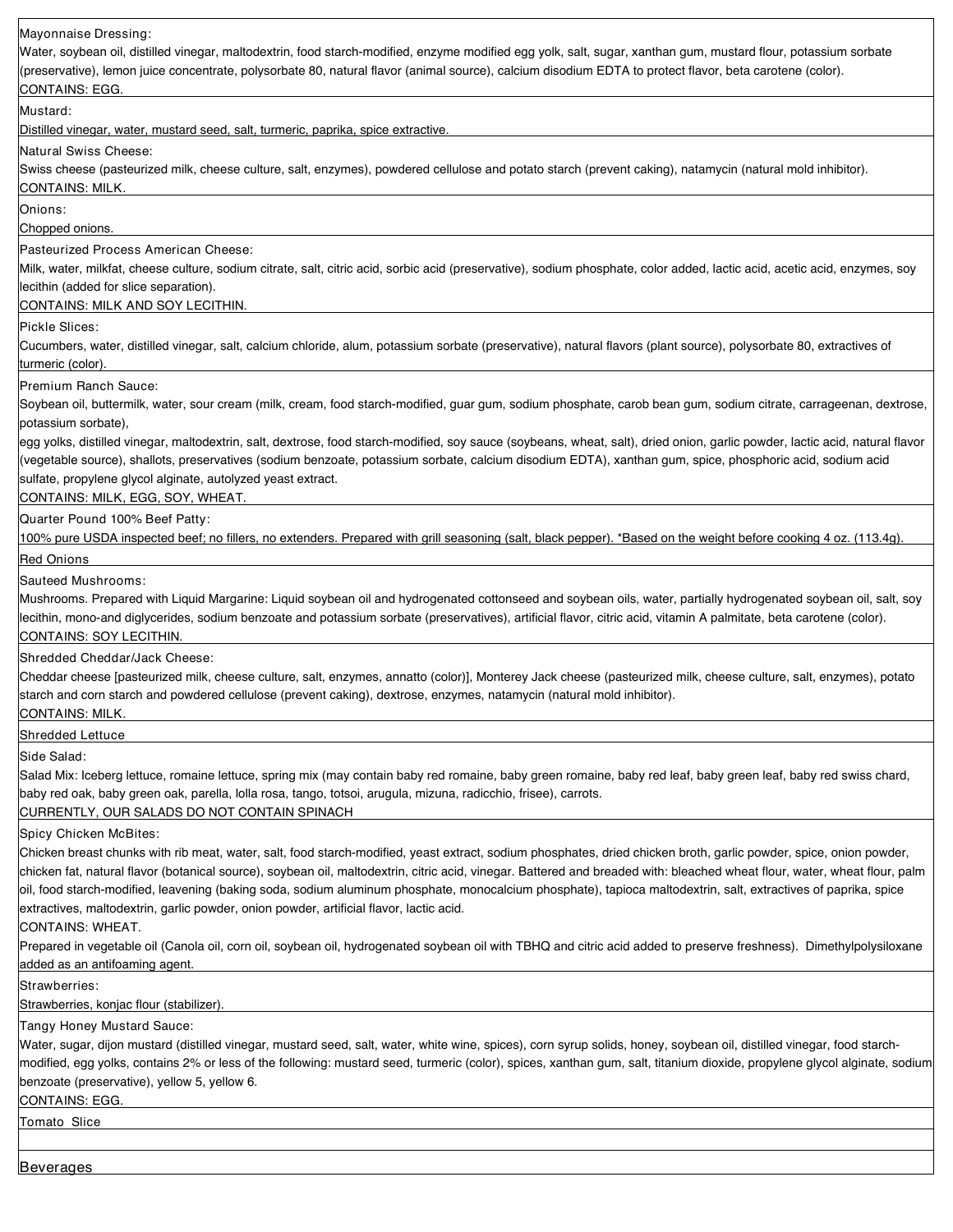#### Mayonnaise Dressing:

Water, soybean oil, distilled vinegar, maltodextrin, food starch-modified, enzyme modified egg yolk, salt, sugar, xanthan gum, mustard flour, potassium sorbate (preservative), lemon juice concentrate, polysorbate 80, natural flavor (animal source), calcium disodium EDTA to protect flavor, beta carotene (color). CONTAINS: EGG.

Mustard:

#### Distilled vinegar, water, mustard seed, salt, turmeric, paprika, spice extractive.

Natural Swiss Cheese:

Swiss cheese (pasteurized milk, cheese culture, salt, enzymes), powdered cellulose and potato starch (prevent caking), natamycin (natural mold inhibitor). CONTAINS: MILK.

Onions:

Chopped onions.

Pasteurized Process American Cheese:

Milk, water, milkfat, cheese culture, sodium citrate, salt, citric acid, sorbic acid (preservative), sodium phosphate, color added, lactic acid, acetic acid, enzymes, soy lecithin (added for slice separation).

CONTAINS: MILK AND SOY LECITHIN.

Pickle Slices:

Cucumbers, water, distilled vinegar, salt, calcium chloride, alum, potassium sorbate (preservative), natural flavors (plant source), polysorbate 80, extractives of turmeric (color).

Premium Ranch Sauce:

Soybean oil, buttermilk, water, sour cream (milk, cream, food starch-modified, guar gum, sodium phosphate, carob bean gum, sodium citrate, carrageenan, dextrose, potassium sorbate),

egg yolks, distilled vinegar, maltodextrin, salt, dextrose, food starch-modified, soy sauce (soybeans, wheat, salt), dried onion, garlic powder, lactic acid, natural flavor (vegetable source), shallots, preservatives (sodium benzoate, potassium sorbate, calcium disodium EDTA), xanthan gum, spice, phosphoric acid, sodium acid

sulfate, propylene glycol alginate, autolyzed yeast extract.

CONTAINS: MILK, EGG, SOY, WHEAT.

Quarter Pound 100% Beef Patty:

100% pure USDA inspected beef; no fillers, no extenders. Prepared with grill seasoning (salt, black pepper). \*Based on the weight before cooking 4 oz. (113.4g).

Red Onions

Sauteed Mushrooms:

Mushrooms. Prepared with Liquid Margarine: Liquid soybean oil and hydrogenated cottonseed and soybean oils, water, partially hydrogenated soybean oil, salt, soy lecithin, mono-and diglycerides, sodium benzoate and potassium sorbate (preservatives), artificial flavor, citric acid, vitamin A palmitate, beta carotene (color). CONTAINS: SOY LECITHIN.

Shredded Cheddar/Jack Cheese:

Cheddar cheese [pasteurized milk, cheese culture, salt, enzymes, annatto (color)], Monterey Jack cheese (pasteurized milk, cheese culture, salt, enzymes), potato starch and corn starch and powdered cellulose (prevent caking), dextrose, enzymes, natamycin (natural mold inhibitor).

# CONTAINS: MILK.

Shredded Lettuce

Side Salad:

Salad Mix: Iceberg lettuce, romaine lettuce, spring mix (may contain baby red romaine, baby green romaine, baby red leaf, baby green leaf, baby red swiss chard, baby red oak, baby green oak, parella, lolla rosa, tango, totsoi, arugula, mizuna, radicchio, frisee), carrots.

CURRENTLY, OUR SALADS DO NOT CONTAIN SPINACH

Spicy Chicken McBites:

Chicken breast chunks with rib meat, water, salt, food starch-modified, yeast extract, sodium phosphates, dried chicken broth, garlic powder, spice, onion powder, chicken fat, natural flavor (botanical source), soybean oil, maltodextrin, citric acid, vinegar. Battered and breaded with: bleached wheat flour, water, wheat flour, palm oil, food starch-modified, leavening (baking soda, sodium aluminum phosphate, monocalcium phosphate), tapioca maltodextrin, salt, extractives of paprika, spice extractives, maltodextrin, garlic powder, onion powder, artificial flavor, lactic acid.

#### CONTAINS: WHEAT.

Prepared in vegetable oil (Canola oil, corn oil, soybean oil, hydrogenated soybean oil with TBHQ and citric acid added to preserve freshness). Dimethylpolysiloxane added as an antifoaming agent.

Strawberries:

Strawberries, konjac flour (stabilizer).

Tangy Honey Mustard Sauce:

Water, sugar, dijon mustard (distilled vinegar, mustard seed, salt, water, white wine, spices), corn syrup solids, honey, soybean oil, distilled vinegar, food starch-

modified, egg yolks, contains 2% or less of the following: mustard seed, turmeric (color), spices, xanthan gum, salt, titanium dioxide, propylene glycol alginate, sodium benzoate (preservative), yellow 5, yellow 6.

CONTAINS: EGG.

Tomato Slice

**Beverages**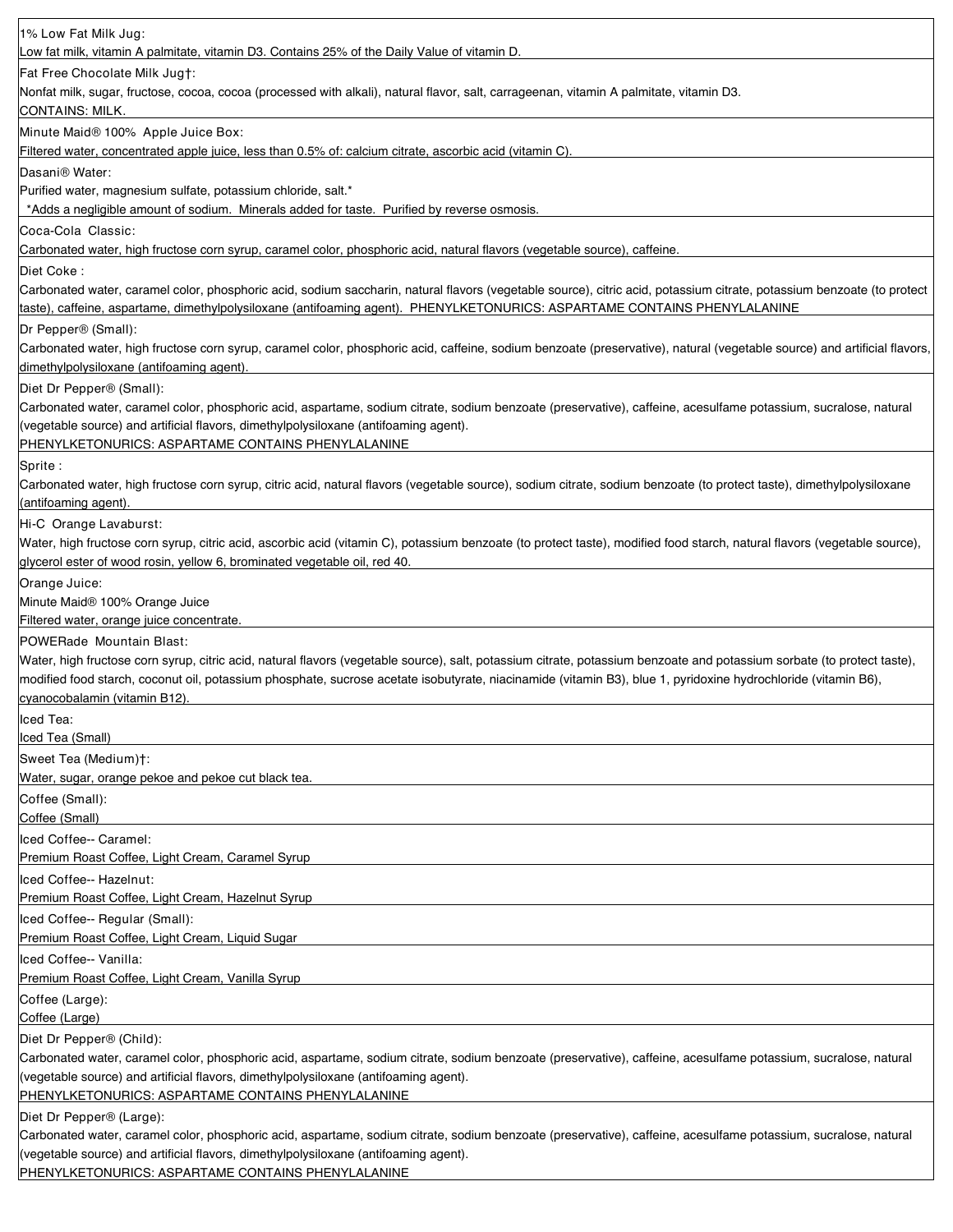### 1% Low Fat Milk Jug:

Low fat milk, vitamin A palmitate, vitamin D3. Contains 25% of the Daily Value of vitamin D.

Fat Free Chocolate Milk Jug†:

Nonfat milk, sugar, fructose, cocoa, cocoa (processed with alkali), natural flavor, salt, carrageenan, vitamin A palmitate, vitamin D3.

# CONTAINS: MILK.

Minute Maid® 100% Apple Juice Box:

Filtered water, concentrated apple juice, less than 0.5% of: calcium citrate, ascorbic acid (vitamin C).

Dasani® Water:

Purified water, magnesium sulfate, potassium chloride, salt.\*

\*Adds a negligible amount of sodium. Minerals added for taste. Purified by reverse osmosis.

Coca-Cola Classic:

Carbonated water, high fructose corn syrup, caramel color, phosphoric acid, natural flavors (vegetable source), caffeine.

Diet Coke :

Carbonated water, caramel color, phosphoric acid, sodium saccharin, natural flavors (vegetable source), citric acid, potassium citrate, potassium benzoate (to protect taste), caffeine, aspartame, dimethylpolysiloxane (antifoaming agent). PHENYLKETONURICS: ASPARTAME CONTAINS PHENYLALANINE

Dr Pepper® (Small):

Carbonated water, high fructose corn syrup, caramel color, phosphoric acid, caffeine, sodium benzoate (preservative), natural (vegetable source) and artificial flavors, dimethylpolysiloxane (antifoaming agent).

Diet Dr Pepper® (Small):

Carbonated water, caramel color, phosphoric acid, aspartame, sodium citrate, sodium benzoate (preservative), caffeine, acesulfame potassium, sucralose, natural (vegetable source) and artificial flavors, dimethylpolysiloxane (antifoaming agent).

PHENYLKETONURICS: ASPARTAME CONTAINS PHENYLALANINE

Sprite :

Carbonated water, high fructose corn syrup, citric acid, natural flavors (vegetable source), sodium citrate, sodium benzoate (to protect taste), dimethylpolysiloxane (antifoaming agent).

Hi-C Orange Lavaburst:

Water, high fructose corn syrup, citric acid, ascorbic acid (vitamin C), potassium benzoate (to protect taste), modified food starch, natural flavors (vegetable source), glycerol ester of wood rosin, yellow 6, brominated vegetable oil, red 40.

Orange Juice: Minute Maid® 100% Orange Juice Filtered water, orange juice concentrate. POWERade Mountain Blast: Water, high fructose corn syrup, citric acid, natural flavors (vegetable source), salt, potassium citrate, potassium benzoate and potassium sorbate (to protect taste), modified food starch, coconut oil, potassium phosphate, sucrose acetate isobutyrate, niacinamide (vitamin B3), blue 1, pyridoxine hydrochloride (vitamin B6), cyanocobalamin (vitamin B12). Iced Tea: Iced Tea (Small) Sweet Tea (Medium)†: Water, sugar, orange pekoe and pekoe cut black tea. Coffee (Small): Coffee (Small) Iced Coffee-- Caramel:

Premium Roast Coffee, Light Cream, Caramel Syrup

Iced Coffee-- Hazelnut:

Premium Roast Coffee, Light Cream, Hazelnut Syrup

Iced Coffee-- Regular (Small):

Iced Coffee-- Vanilla:

Premium Roast Coffee, Light Cream, Vanilla Syrup

Coffee (Large):

Coffee (Large)

Diet Dr Pepper® (Child):

Carbonated water, caramel color, phosphoric acid, aspartame, sodium citrate, sodium benzoate (preservative), caffeine, acesulfame potassium, sucralose, natural (vegetable source) and artificial flavors, dimethylpolysiloxane (antifoaming agent).

PHENYLKETONURICS: ASPARTAME CONTAINS PHENYLALANINE

Diet Dr Pepper® (Large):

Carbonated water, caramel color, phosphoric acid, aspartame, sodium citrate, sodium benzoate (preservative), caffeine, acesulfame potassium, sucralose, natural

(vegetable source) and artificial flavors, dimethylpolysiloxane (antifoaming agent).

PHENYLKETONURICS: ASPARTAME CONTAINS PHENYLALANINE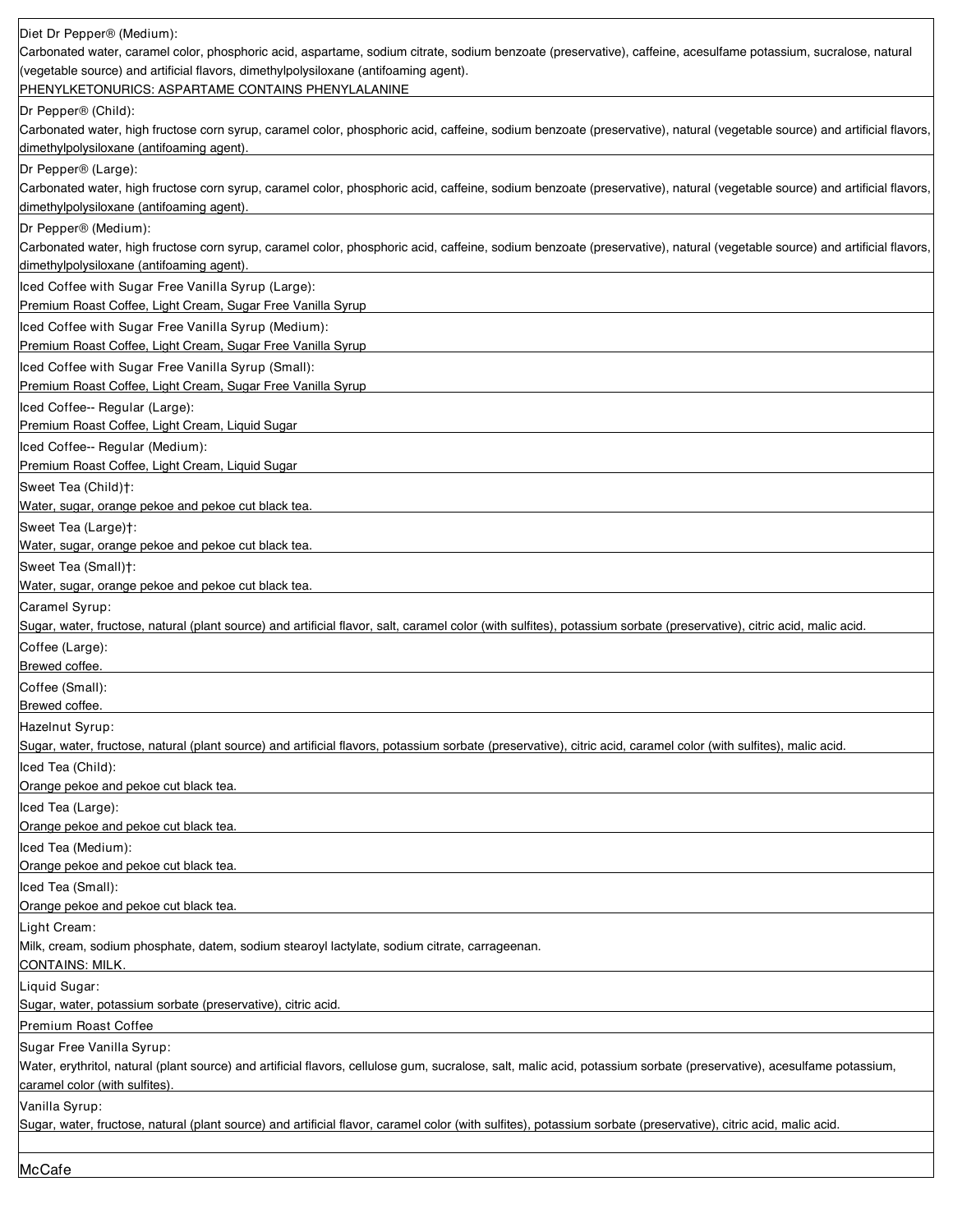Diet Dr Pepper® (Medium):

Carbonated water, caramel color, phosphoric acid, aspartame, sodium citrate, sodium benzoate (preservative), caffeine, acesulfame potassium, sucralose, natural (vegetable source) and artificial flavors, dimethylpolysiloxane (antifoaming agent).

PHENYLKETONURICS: ASPARTAME CONTAINS PHENYLALANINE

Dr Pepper® (Child):

Carbonated water, high fructose corn syrup, caramel color, phosphoric acid, caffeine, sodium benzoate (preservative), natural (vegetable source) and artificial flavors, dimethylpolysiloxane (antifoaming agent).

Dr Pepper® (Large):

Carbonated water, high fructose corn syrup, caramel color, phosphoric acid, caffeine, sodium benzoate (preservative), natural (vegetable source) and artificial flavors, dimethylpolysiloxane (antifoaming agent).

Dr Pepper® (Medium):

Carbonated water, high fructose corn syrup, caramel color, phosphoric acid, caffeine, sodium benzoate (preservative), natural (vegetable source) and artificial flavors, dimethylpolysiloxane (antifoaming agent).

Iced Coffee with Sugar Free Vanilla Syrup (Large):

Premium Roast Coffee, Light Cream, Sugar Free Vanilla Syrup

Iced Coffee with Sugar Free Vanilla Syrup (Medium):

Premium Roast Coffee, Light Cream, Sugar Free Vanilla Syrup

Iced Coffee with Sugar Free Vanilla Syrup (Small):

Premium Roast Coffee, Light Cream, Sugar Free Vanilla Syrup

Iced Coffee-- Regular (Large):

Premium Roast Coffee, Light Cream, Liquid Sugar

Iced Coffee-- Regular (Medium):

Pramium Roast Coffee, Light Cream, Liquid Sugar

| Freihium Roast Conee, Light Cleam, Liguid Sugar                                                                                                                       |
|-----------------------------------------------------------------------------------------------------------------------------------------------------------------------|
| Sweet Tea (Child)†:                                                                                                                                                   |
| Water, sugar, orange pekoe and pekoe cut black tea.                                                                                                                   |
| Sweet Tea (Large)†:                                                                                                                                                   |
| Water, sugar, orange pekoe and pekoe cut black tea.                                                                                                                   |
| Sweet Tea (Small)†:                                                                                                                                                   |
| Water, sugar, orange pekoe and pekoe cut black tea.                                                                                                                   |
| Caramel Syrup:                                                                                                                                                        |
| Sugar, water, fructose, natural (plant source) and artificial flavor, salt, caramel color (with sulfites), potassium sorbate (preservative), citric acid, malic acid. |
| $ Coflee$ (Large):                                                                                                                                                    |
| Brewed coffee.                                                                                                                                                        |
| Coffee (Small):                                                                                                                                                       |
| Brewed coffee.                                                                                                                                                        |
| Hazelnut Syrup:                                                                                                                                                       |
| Sugar, water, fructose, natural (plant source) and artificial flavors, potassium sorbate (preservative), citric acid, caramel color (with sulfites), malic acid.      |
| Iced Tea (Child):                                                                                                                                                     |
| Orange pekoe and pekoe cut black tea.                                                                                                                                 |
| <b>Iced Tea (Large):</b>                                                                                                                                              |
| Orange pekoe and pekoe cut black tea.                                                                                                                                 |
| Iced Tea (Medium):                                                                                                                                                    |
| Orange pekoe and pekoe cut black tea.                                                                                                                                 |
| <b>Iced Tea (Small):</b>                                                                                                                                              |
| Orange pekoe and pekoe cut black tea.                                                                                                                                 |
| Light Cream:                                                                                                                                                          |

Milk, cream, sodium phosphate, datem, sodium stearoyl lactylate, sodium citrate, carrageenan. CONTAINS: MILK.

Liquid Sugar:

Sugar, water, potassium sorbate (preservative), citric acid.

Premium Roast Coffee

Sugar Free Vanilla Syrup:

Water, erythritol, natural (plant source) and artificial flavors, cellulose gum, sucralose, salt, malic acid, potassium sorbate (preservative), acesulfame potassium, caramel color (with sulfites).

Vanilla Syrup:

Sugar, water, fructose, natural (plant source) and artificial flavor, caramel color (with sulfites), potassium sorbate (preservative), citric acid, malic acid.

**McCafe**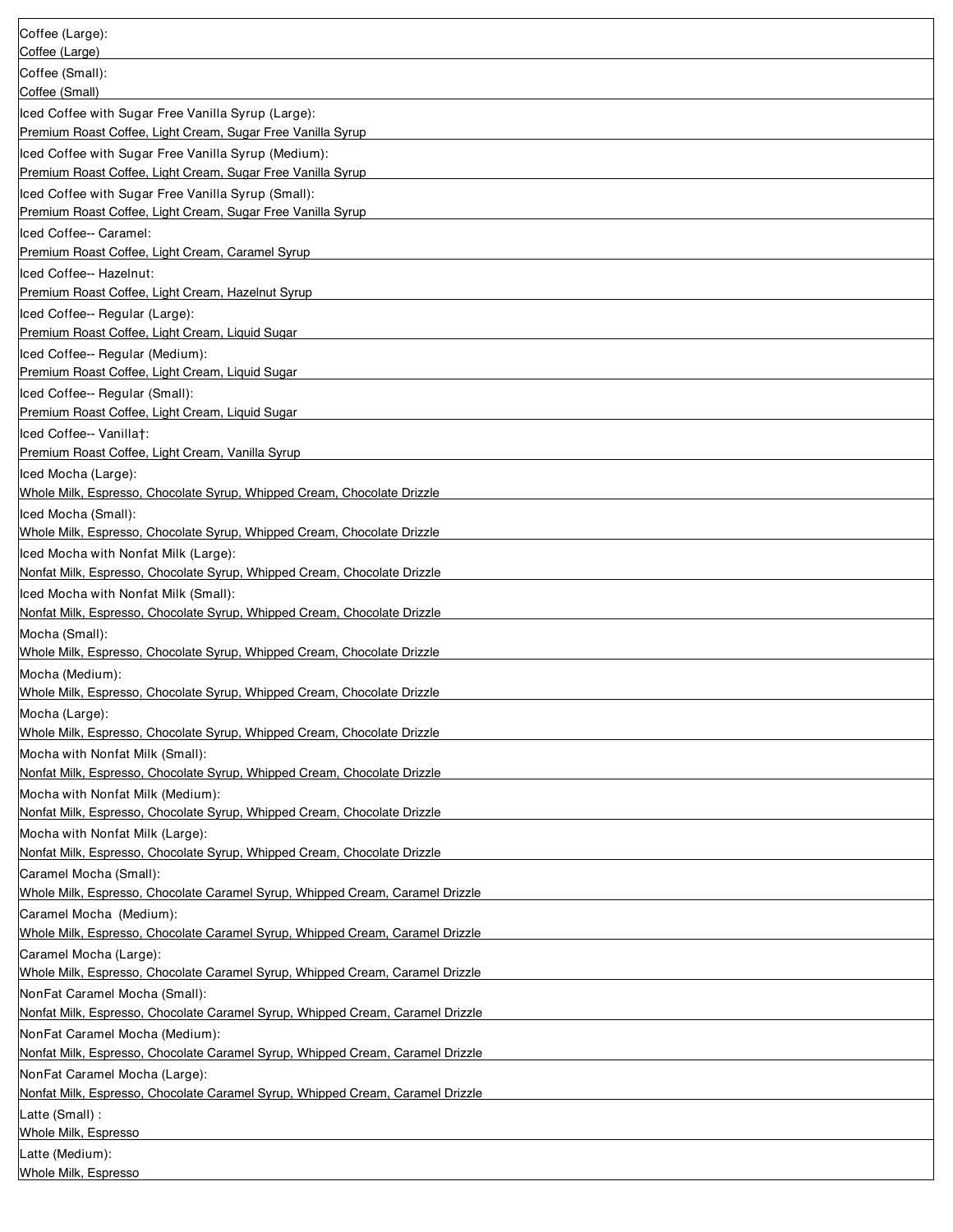| Coffee (Large):                                             |
|-------------------------------------------------------------|
| Coffee (Large)                                              |
| Coffee (Small):                                             |
| Coffee (Small)                                              |
| Iced Coffee with Sugar Free Vanilla Syrup (Large):          |
| Premium Roast Coffee, Light Cream, Sugar Free Vanilla Syrup |
| Iced Coffee with Sugar Free Vanilla Syrup (Medium):         |
| Premium Roast Coffee, Light Cream, Sugar Free Vanilla Syrup |
| Iced Coffee with Sugar Free Vanilla Syrup (Small):          |
| Premium Roast Coffee, Light Cream, Sugar Free Vanilla Syrup |
| <b>Iced Coffee-- Caramel:</b>                               |
| Premium Roast Coffee, Light Cream, Caramel Syrup            |
| <b>Ilced Coffee-- Hazelnut:</b>                             |
| Premium Roast Coffee, Light Cream, Hazelnut Syrup           |
| Iced Coffee-- Regular (Large):                              |
| Premium Roast Coffee, Light Cream, Liquid Sugar             |
| Iced Coffee-- Regular (Medium):                             |
| Premium Roast Coffee, Light Cream, Liquid Sugar             |
| <b>Iced Coffee-- Regular (Small):</b>                       |
| Premium Roast Coffee, Light Cream, Liquid Sugar             |
| <b>Iced Coffee-- Vanillat:</b>                              |
| Premium Roast Coffee, Light Cream, Vanilla Syrup            |

| <b>Iced Mocha (Large):</b>                                                    |
|-------------------------------------------------------------------------------|
| Whole Milk, Espresso, Chocolate Syrup, Whipped Cream, Chocolate Drizzle       |
| Iced Mocha (Small):                                                           |
| Whole Milk, Espresso, Chocolate Syrup, Whipped Cream, Chocolate Drizzle       |
| Iced Mocha with Nonfat Milk (Large):                                          |
| Nonfat Milk, Espresso, Chocolate Syrup, Whipped Cream, Chocolate Drizzle      |
| Iced Mocha with Nonfat Milk (Small):                                          |
| Nonfat Milk, Espresso, Chocolate Syrup, Whipped Cream, Chocolate Drizzle      |
| Mocha (Small):                                                                |
| Whole Milk, Espresso, Chocolate Syrup, Whipped Cream, Chocolate Drizzle       |
| Mocha (Medium):                                                               |
| Whole Milk, Espresso, Chocolate Syrup, Whipped Cream, Chocolate Drizzle       |
| Mocha (Large):                                                                |
| Whole Milk, Espresso, Chocolate Syrup, Whipped Cream, Chocolate Drizzle       |
| Mocha with Nonfat Milk (Small):                                               |
| Nonfat Milk, Espresso, Chocolate Syrup, Whipped Cream, Chocolate Drizzle      |
| Mocha with Nonfat Milk (Medium):                                              |
| Nonfat Milk, Espresso, Chocolate Syrup, Whipped Cream, Chocolate Drizzle      |
| Mocha with Nonfat Milk (Large):                                               |
| Nonfat Milk, Espresso, Chocolate Syrup, Whipped Cream, Chocolate Drizzle      |
| Caramel Mocha (Small):                                                        |
| Whole Milk, Espresso, Chocolate Caramel Syrup, Whipped Cream, Caramel Drizzle |

Caramel Mocha (Medium):

Whole Milk, Espresso, Chocolate Caramel Syrup, Whipped Cream, Caramel Drizzle

Caramel Mocha (Large):

Whole Milk, Espresso, Chocolate Caramel Syrup, Whipped Cream, Caramel Drizzle

NonFat Caramel Mocha (Small):

Nonfat Milk, Espresso, Chocolate Caramel Syrup, Whipped Cream, Caramel Drizzle

NonFat Caramel Mocha (Medium):

Nonfat Milk, Espresso, Chocolate Caramel Syrup, Whipped Cream, Caramel Drizzle

NonFat Caramel Mocha (Large):

Nonfat Milk, Espresso, Chocolate Caramel Syrup, Whipped Cream, Caramel Drizzle

Latte (Small) :

Whole Milk, Espresso

Latte (Medium):

Whole Milk, Espresso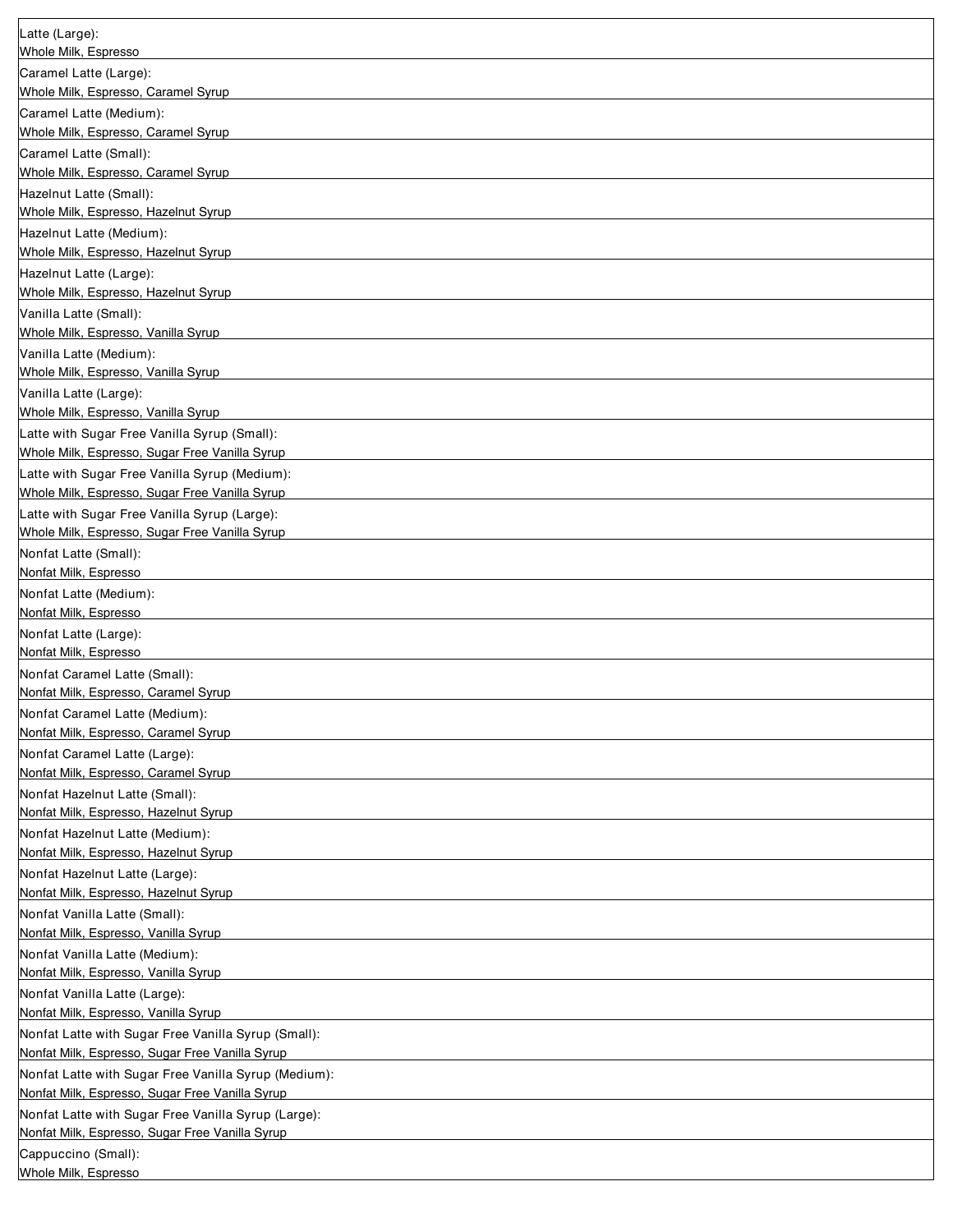| Latte (Large):<br>Whole Milk, Espresso                                                         |
|------------------------------------------------------------------------------------------------|
| Caramel Latte (Large):<br>Whole Milk, Espresso, Caramel Syrup                                  |
| Caramel Latte (Medium):<br>Whole Milk, Espresso, Caramel Syrup                                 |
| Caramel Latte (Small):<br>Whole Milk, Espresso, Caramel Syrup                                  |
| Hazelnut Latte (Small):<br>Whole Milk, Espresso, Hazelnut Syrup                                |
| Hazelnut Latte (Medium):<br>Whole Milk, Espresso, Hazelnut Syrup                               |
| Hazelnut Latte (Large):<br>Whole Milk, Espresso, Hazelnut Syrup                                |
| Vanilla Latte (Small):<br>Whole Milk, Espresso, Vanilla Syrup                                  |
| Vanilla Latte (Medium):<br>Whole Milk, Espresso, Vanilla Syrup                                 |
| Vanilla Latte (Large):<br>Whole Milk, Espresso, Vanilla Syrup                                  |
| Latte with Sugar Free Vanilla Syrup (Small):<br>Whole Milk, Espresso, Sugar Free Vanilla Syrup |

| Latte with Sugar Free Vanilla Syrup (Medium):  |
|------------------------------------------------|
| Whole Milk, Espresso, Sugar Free Vanilla Syrup |
| Latte with Sugar Free Vanilla Syrup (Large):   |
| Whole Milk, Espresso, Sugar Free Vanilla Syrup |
| Nonfat Latte (Small):                          |
| Nonfat Milk, Espresso                          |
| Nonfat Latte (Medium):                         |
| Nonfat Milk, Espresso                          |
| Nonfat Latte (Large):                          |
| Nonfat Milk, Espresso                          |
| Nonfat Caramel Latte (Small):                  |
| Nonfat Milk, Espresso, Caramel Syrup           |
| Nonfat Caramel Latte (Medium):                 |
| Nonfat Milk, Espresso, Caramel Syrup           |
| Nonfat Caramel Latte (Large):                  |
| Nonfat Milk, Espresso, Caramel Syrup           |
| Nonfat Hazelnut Latte (Small):                 |
| Nonfat Milk, Espresso, Hazelnut Syrup          |
| Nonfat Hazelnut Latte (Medium):                |
| Nonfat Milk, Espresso, Hazelnut Syrup          |
| Nonfat Hazelnut Latte (Large):                 |
| Nonfat Milk, Espresso, Hazelnut Syrup          |
| Nonfat Vanilla Latte (Small):                  |
|                                                |

Nonfat Vanilla Latte (Medium):

Nonfat Milk, Espresso, Vanilla Syrup

Nonfat Vanilla Latte (Large):

Nonfat Milk, Espresso, Vanilla Syrup

Nonfat Latte with Sugar Free Vanilla Syrup (Small):

Nonfat Milk, Espresso, Sugar Free Vanilla Syrup

Nonfat Latte with Sugar Free Vanilla Syrup (Medium):

Nonfat Milk, Espresso, Sugar Free Vanilla Syrup

Nonfat Latte with Sugar Free Vanilla Syrup (Large):

Nonfat Milk, Espresso, Sugar Free Vanilla Syrup

Cappuccino (Small):

Whole Milk, Espresso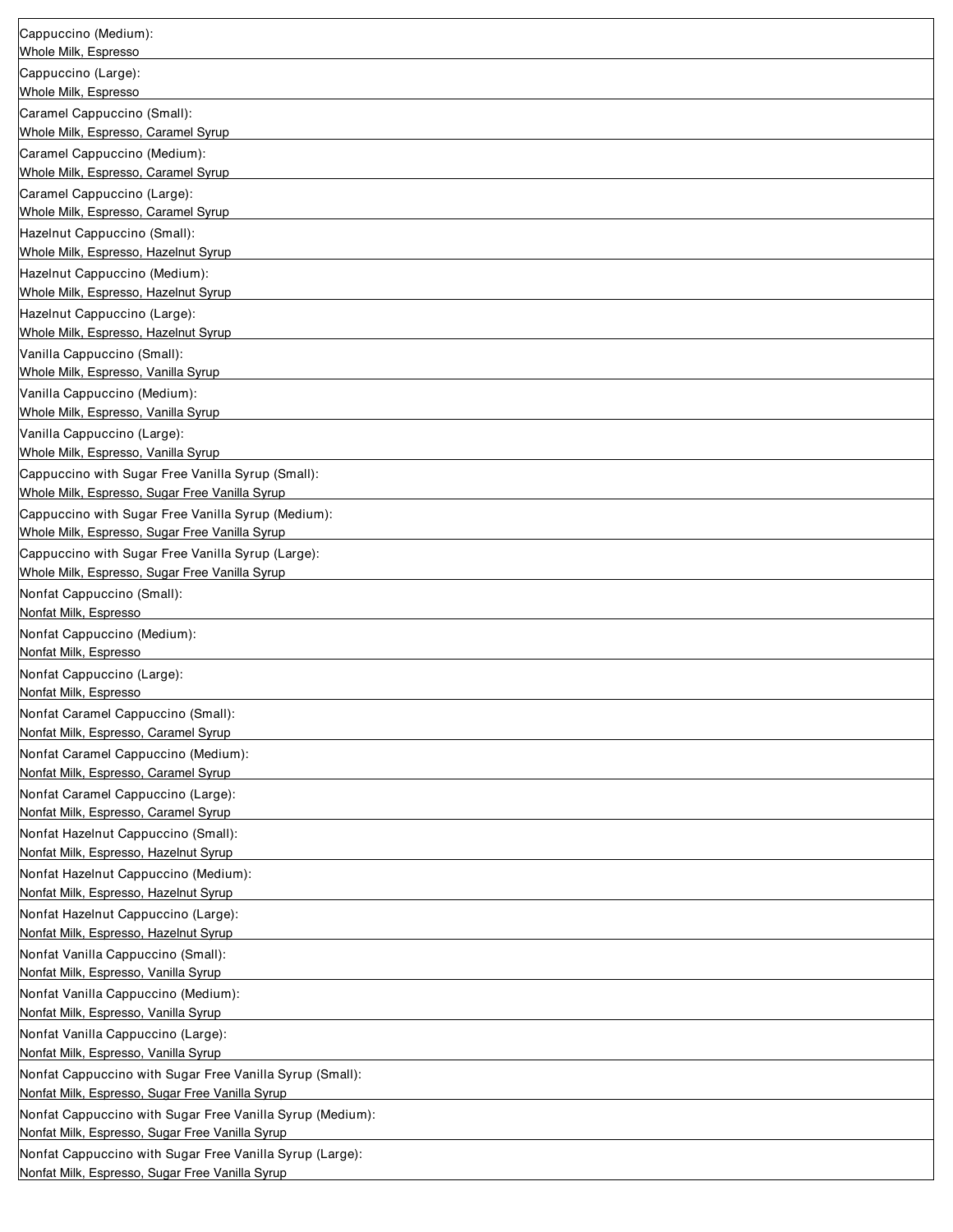| Cappuccino (Medium):<br>Whole Milk, Espresso                                        |
|-------------------------------------------------------------------------------------|
| Cappuccino (Large):                                                                 |
| Whole Milk, Espresso                                                                |
| Caramel Cappuccino (Small):<br>Whole Milk, Espresso, Caramel Syrup                  |
| Caramel Cappuccino (Medium):                                                        |
| Whole Milk, Espresso, Caramel Syrup                                                 |
| Caramel Cappuccino (Large):                                                         |
| Whole Milk, Espresso, Caramel Syrup                                                 |
| Hazelnut Cappuccino (Small):                                                        |
| Whole Milk, Espresso, Hazelnut Syrup                                                |
| Hazelnut Cappuccino (Medium):                                                       |
| Whole Milk, Espresso, Hazelnut Syrup                                                |
| Hazelnut Cappuccino (Large):                                                        |
| Whole Milk, Espresso, Hazelnut Syrup                                                |
| Vanilla Cappuccino (Small):                                                         |
| Whole Milk, Espresso, Vanilla Syrup                                                 |
| Vanilla Cappuccino (Medium):                                                        |
| Whole Milk, Espresso, Vanilla Syrup                                                 |
| Vanilla Cappuccino (Large):                                                         |
| Whole Milk, Espresso, Vanilla Syrup                                                 |
| Cappuccino with Sugar Free Vanilla Syrup (Small):                                   |
| Whole Milk, Espresso, Sugar Free Vanilla Syrup                                      |
| Cappuccino with Sugar Free Vanilla Syrup (Medium):                                  |
| Whole Milk, Espresso, Sugar Free Vanilla Syrup                                      |
| Cappuccino with Sugar Free Vanilla Syrup (Large):                                   |
| Whole Milk, Espresso, Sugar Free Vanilla Syrup                                      |
| Nonfat Cappuccino (Small):                                                          |
| Nonfat Milk, Espresso                                                               |
| Nonfat Cappuccino (Medium):                                                         |
| Nonfat Milk, Espresso                                                               |
| Nonfat Cappuccino (Large):                                                          |
| Nonfat Milk, Espresso                                                               |
| <b>Nonfat Caramel Cappuccino (Small):</b>                                           |
| Nonfat Milk, Espresso, Caramel Syrup                                                |
| Nonfat Caramel Cappuccino (Medium):                                                 |
| Nonfat Milk, Espresso, Caramel Syrup                                                |
| Nonfat Caramel Cappuccino (Large):                                                  |
| Nonfat Milk, Espresso, Caramel Syrup                                                |
| Nonfat Hazelnut Cappuccino (Small):                                                 |
| Nonfat Milk, Espresso, Hazelnut Syrup                                               |
| Nonfat Hazelnut Cappuccino (Medium):                                                |
| Nonfat Milk, Espresso, Hazelnut Syrup                                               |
| Nonfat Hazelnut Cappuccino (Large):<br>Norfot Mills $\Gamma$ onneces Userlaut Cymra |

Nonfat Vanilla Cappuccino (Small):

Nonfat Milk, Espresso, Vanilla Syrup

Nonfat Vanilla Cappuccino (Medium):

Nonfat Milk, Espresso, Vanilla Syrup

Nonfat Vanilla Cappuccino (Large):

Nonfat Milk, Espresso, Vanilla Syrup

Nonfat Cappuccino with Sugar Free Vanilla Syrup (Small):

Nonfat Milk, Espresso, Sugar Free Vanilla Syrup

Nonfat Cappuccino with Sugar Free Vanilla Syrup (Medium):

Nonfat Milk, Espresso, Sugar Free Vanilla Syrup

Nonfat Cappuccino with Sugar Free Vanilla Syrup (Large):

Nonfat Milk, Espresso, Sugar Free Vanilla Syrup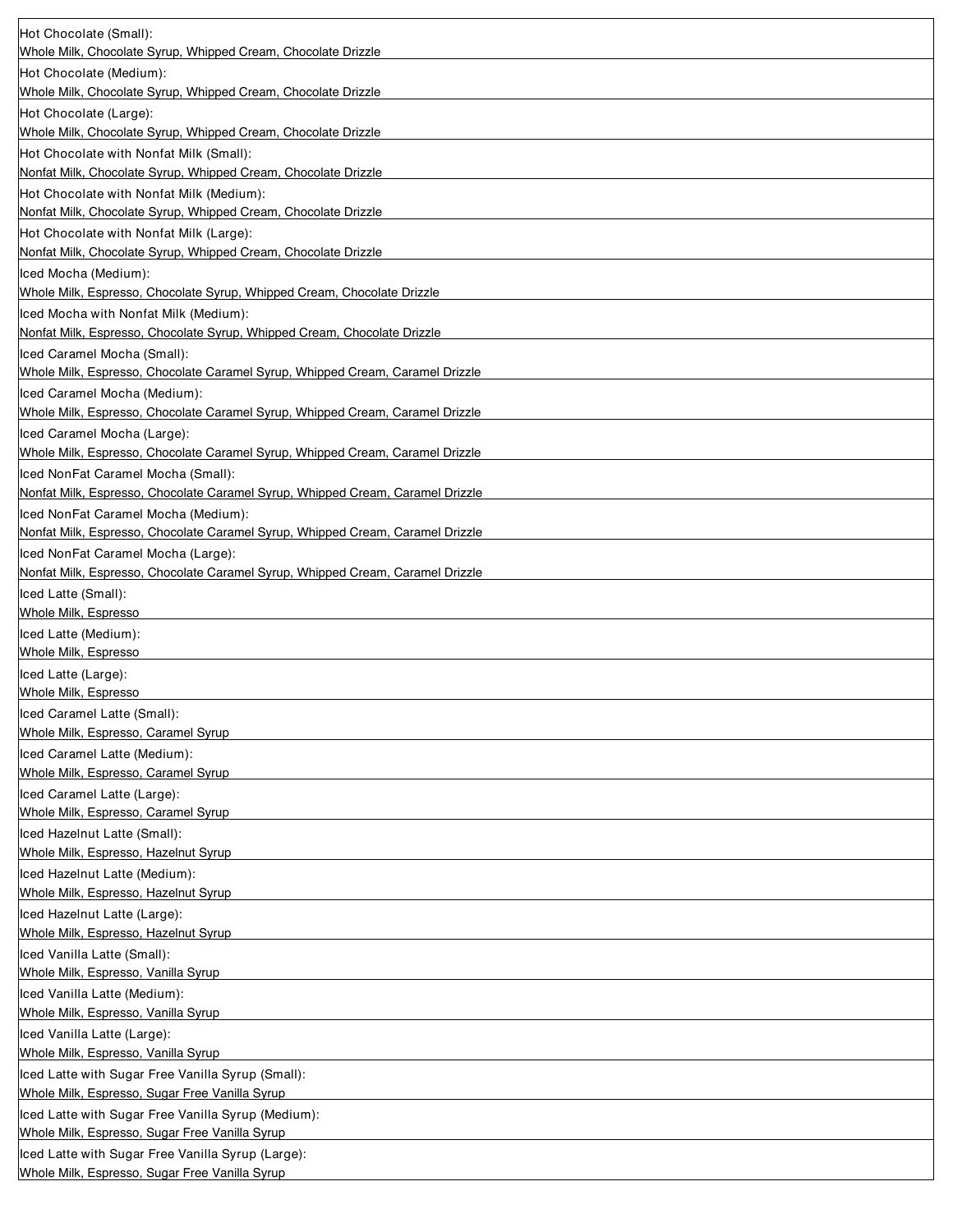| Hot Chocolate (Small):                                                        |
|-------------------------------------------------------------------------------|
| Whole Milk, Chocolate Syrup, Whipped Cream, Chocolate Drizzle                 |
| Hot Chocolate (Medium):                                                       |
| Whole Milk, Chocolate Syrup, Whipped Cream, Chocolate Drizzle                 |
| Hot Chocolate (Large):                                                        |
| Whole Milk, Chocolate Syrup, Whipped Cream, Chocolate Drizzle                 |
| Hot Chocolate with Nonfat Milk (Small):                                       |
| Nonfat Milk, Chocolate Syrup, Whipped Cream, Chocolate Drizzle                |
| Hot Chocolate with Nonfat Milk (Medium):                                      |
| Nonfat Milk, Chocolate Syrup, Whipped Cream, Chocolate Drizzle                |
| Hot Chocolate with Nonfat Milk (Large):                                       |
| Nonfat Milk, Chocolate Syrup, Whipped Cream, Chocolate Drizzle                |
| Iced Mocha (Medium):                                                          |
| Whole Milk, Espresso, Chocolate Syrup, Whipped Cream, Chocolate Drizzle       |
| Iced Mocha with Nonfat Milk (Medium):                                         |
| Nonfat Milk, Espresso, Chocolate Syrup, Whipped Cream, Chocolate Drizzle      |
| Iced Caramel Mocha (Small):                                                   |
| Whole Milk, Espresso, Chocolate Caramel Syrup, Whipped Cream, Caramel Drizzle |
| Iced Caramel Mocha (Medium):                                                  |
| Whole Milk, Espresso, Chocolate Caramel Syrup, Whipped Cream, Caramel Drizzle |
| Iced Caramel Mocha (Large):                                                   |
| Whole Milk, Espresso, Chocolate Caramel Syrup, Whipped Cream, Caramel Drizzle |

| Iced NonFat Caramel Mocha (Small):                                             |
|--------------------------------------------------------------------------------|
| Nonfat Milk, Espresso, Chocolate Caramel Syrup, Whipped Cream, Caramel Drizzle |
| Iced NonFat Caramel Mocha (Medium):                                            |
| Nonfat Milk, Espresso, Chocolate Caramel Syrup, Whipped Cream, Caramel Drizzle |
| Iced NonFat Caramel Mocha (Large):                                             |
| Nonfat Milk, Espresso, Chocolate Caramel Syrup, Whipped Cream, Caramel Drizzle |
| <b>Iced Latte (Small):</b>                                                     |
| Whole Milk, Espresso                                                           |
| <b>Iced Latte (Medium):</b>                                                    |
| Whole Milk, Espresso                                                           |
| <b>Iced Latte (Large):</b>                                                     |
| Whole Milk, Espresso                                                           |
| Iced Caramel Latte (Small):                                                    |
| Whole Milk, Espresso, Caramel Syrup                                            |
| <b>Iced Caramel Latte (Medium):</b>                                            |
| Whole Milk, Espresso, Caramel Syrup                                            |
| <b>Iced Caramel Latte (Large):</b>                                             |
| Whole Milk, Espresso, Caramel Syrup                                            |
| <b>Iced Hazelnut Latte (Small):</b>                                            |
| Whole Milk, Espresso, Hazelnut Syrup                                           |
| <b>Iced Hazelnut Latte (Medium):</b>                                           |
| Whole Milk, Espresso, Hazelnut Syrup                                           |
| <b>Iced Hazelnut Latte (Large):</b>                                            |
|                                                                                |

| <b>Iced Vanilla Latte (Small):</b><br>Whole Milk, Espresso, Vanilla Syrup                            |
|------------------------------------------------------------------------------------------------------|
| <b>Iced Vanilla Latte (Medium):</b><br>Whole Milk, Espresso, Vanilla Syrup                           |
| <b>Iced Vanilla Latte (Large):</b><br>Whole Milk, Espresso, Vanilla Syrup                            |
| Iced Latte with Sugar Free Vanilla Syrup (Small):<br>Whole Milk, Espresso, Sugar Free Vanilla Syrup  |
| Iced Latte with Sugar Free Vanilla Syrup (Medium):<br>Whole Milk, Espresso, Sugar Free Vanilla Syrup |
| Iced Latte with Sugar Free Vanilla Syrup (Large):<br>Whole Milk, Espresso, Sugar Free Vanilla Syrup  |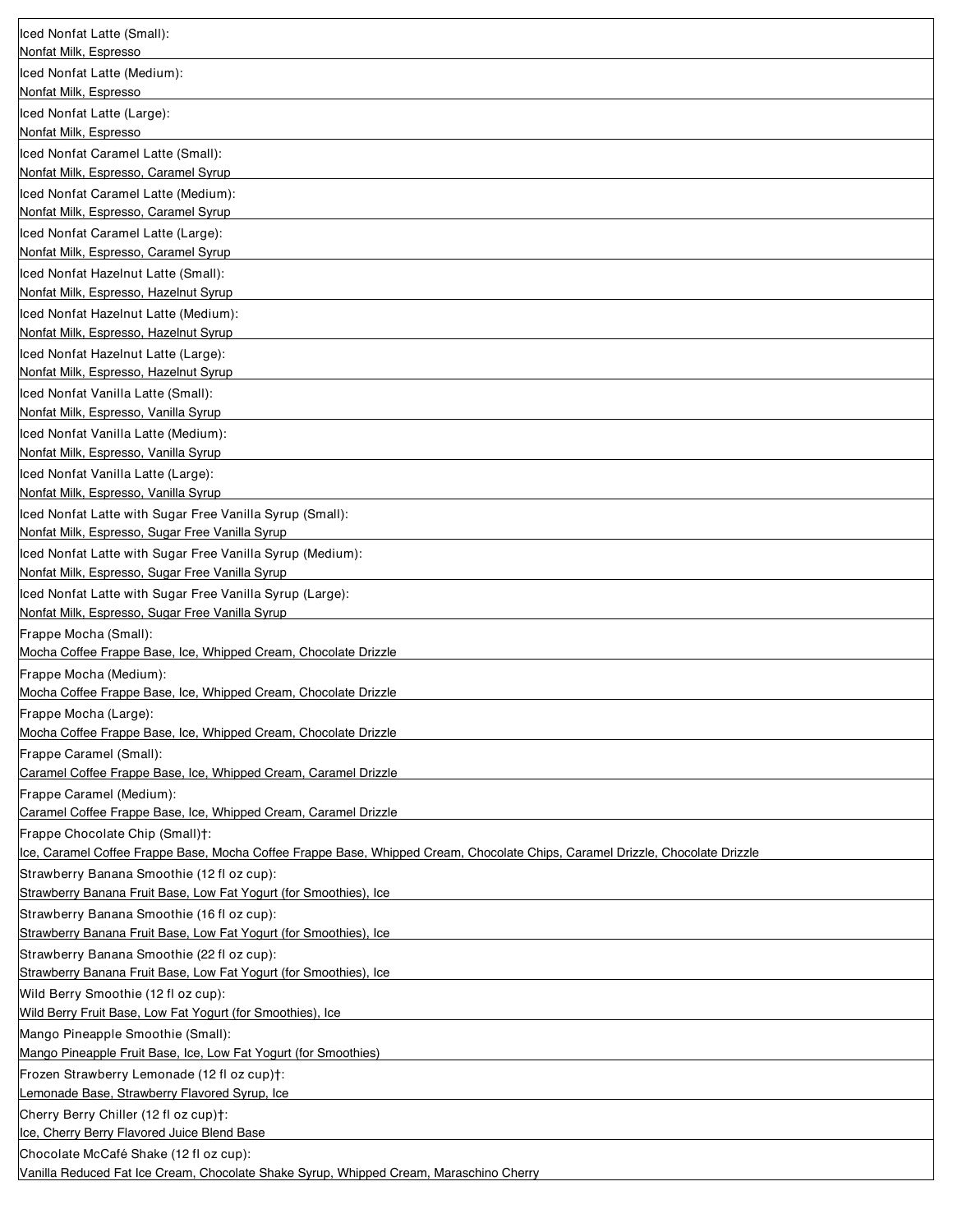| <b>Iced Nonfat Latte (Small):</b>                                                                                             |
|-------------------------------------------------------------------------------------------------------------------------------|
| Nonfat Milk, Espresso                                                                                                         |
| <b>Iced Nonfat Latte (Medium):</b><br>Nonfat Milk, Espresso                                                                   |
|                                                                                                                               |
| <b>Iced Nonfat Latte (Large):</b><br>Nonfat Milk, Espresso                                                                    |
| <b>Iced Nonfat Caramel Latte (Small):</b>                                                                                     |
| Nonfat Milk, Espresso, Caramel Syrup                                                                                          |
| Iced Nonfat Caramel Latte (Medium):                                                                                           |
| Nonfat Milk, Espresso, Caramel Syrup                                                                                          |
| Iced Nonfat Caramel Latte (Large):                                                                                            |
| Nonfat Milk, Espresso, Caramel Syrup                                                                                          |
| Iced Nonfat Hazelnut Latte (Small):                                                                                           |
| Nonfat Milk, Espresso, Hazelnut Syrup                                                                                         |
| Iced Nonfat Hazelnut Latte (Medium):                                                                                          |
| Nonfat Milk, Espresso, Hazelnut Syrup                                                                                         |
| Iced Nonfat Hazelnut Latte (Large):                                                                                           |
| Nonfat Milk, Espresso, Hazelnut Syrup                                                                                         |
| Iced Nonfat Vanilla Latte (Small):                                                                                            |
| Nonfat Milk, Espresso, Vanilla Syrup                                                                                          |
| Iced Nonfat Vanilla Latte (Medium):                                                                                           |
| Nonfat Milk, Espresso, Vanilla Syrup                                                                                          |
| Iced Nonfat Vanilla Latte (Large):                                                                                            |
| Nonfat Milk, Espresso, Vanilla Syrup                                                                                          |
| Iced Nonfat Latte with Sugar Free Vanilla Syrup (Small):                                                                      |
| Nonfat Milk, Espresso, Sugar Free Vanilla Syrup                                                                               |
| Iced Nonfat Latte with Sugar Free Vanilla Syrup (Medium):                                                                     |
| Nonfat Milk, Espresso, Sugar Free Vanilla Syrup                                                                               |
| Iced Nonfat Latte with Sugar Free Vanilla Syrup (Large):                                                                      |
| Nonfat Milk, Espresso, Sugar Free Vanilla Syrup                                                                               |
| Frappe Mocha (Small):                                                                                                         |
| Mocha Coffee Frappe Base, Ice, Whipped Cream, Chocolate Drizzle                                                               |
| Frappe Mocha (Medium):                                                                                                        |
| Mocha Coffee Frappe Base, Ice, Whipped Cream, Chocolate Drizzle                                                               |
| <b> Frappe Mocha (Large):</b>                                                                                                 |
| Mocha Coffee Frappe Base, Ice, Whipped Cream, Chocolate Drizzle                                                               |
| Frappe Caramel (Small):                                                                                                       |
| Caramel Coffee Frappe Base, Ice, Whipped Cream, Caramel Drizzle                                                               |
| Frappe Caramel (Medium):                                                                                                      |
| Caramel Coffee Frappe Base, Ice, Whipped Cream, Caramel Drizzle                                                               |
| Frappe Chocolate Chip (Small)†:                                                                                               |
| Ice, Caramel Coffee Frappe Base, Mocha Coffee Frappe Base, Whipped Cream, Chocolate Chips, Caramel Drizzle, Chocolate Drizzle |
| Strawberry Banana Smoothie (12 fl oz cup):                                                                                    |
| Strawberry Banana Fruit Base, Low Fat Yogurt (for Smoothies), Ice                                                             |
| Strawberry Banana Smoothie (16 fl oz cup):                                                                                    |

Strawberry Banana Fruit Base, Low Fat Yogurt (for Smoothies), Ice

Strawberry Banana Smoothie (22 fl oz cup):

Strawberry Banana Fruit Base, Low Fat Yogurt (for Smoothies), Ice

Wild Berry Smoothie (12 fl oz cup):

Wild Berry Fruit Base, Low Fat Yogurt (for Smoothies), Ice

Mango Pineapple Smoothie (Small):

Mango Pineapple Fruit Base, Ice, Low Fat Yogurt (for Smoothies)

Frozen Strawberry Lemonade (12 fl oz cup)†:

Lemonade Base, Strawberry Flavored Syrup, Ice

Cherry Berry Chiller (12 fl oz cup)†:

Ice, Cherry Berry Flavored Juice Blend Base

Chocolate McCafé Shake (12 fl oz cup):

Vanilla Reduced Fat Ice Cream, Chocolate Shake Syrup, Whipped Cream, Maraschino Cherry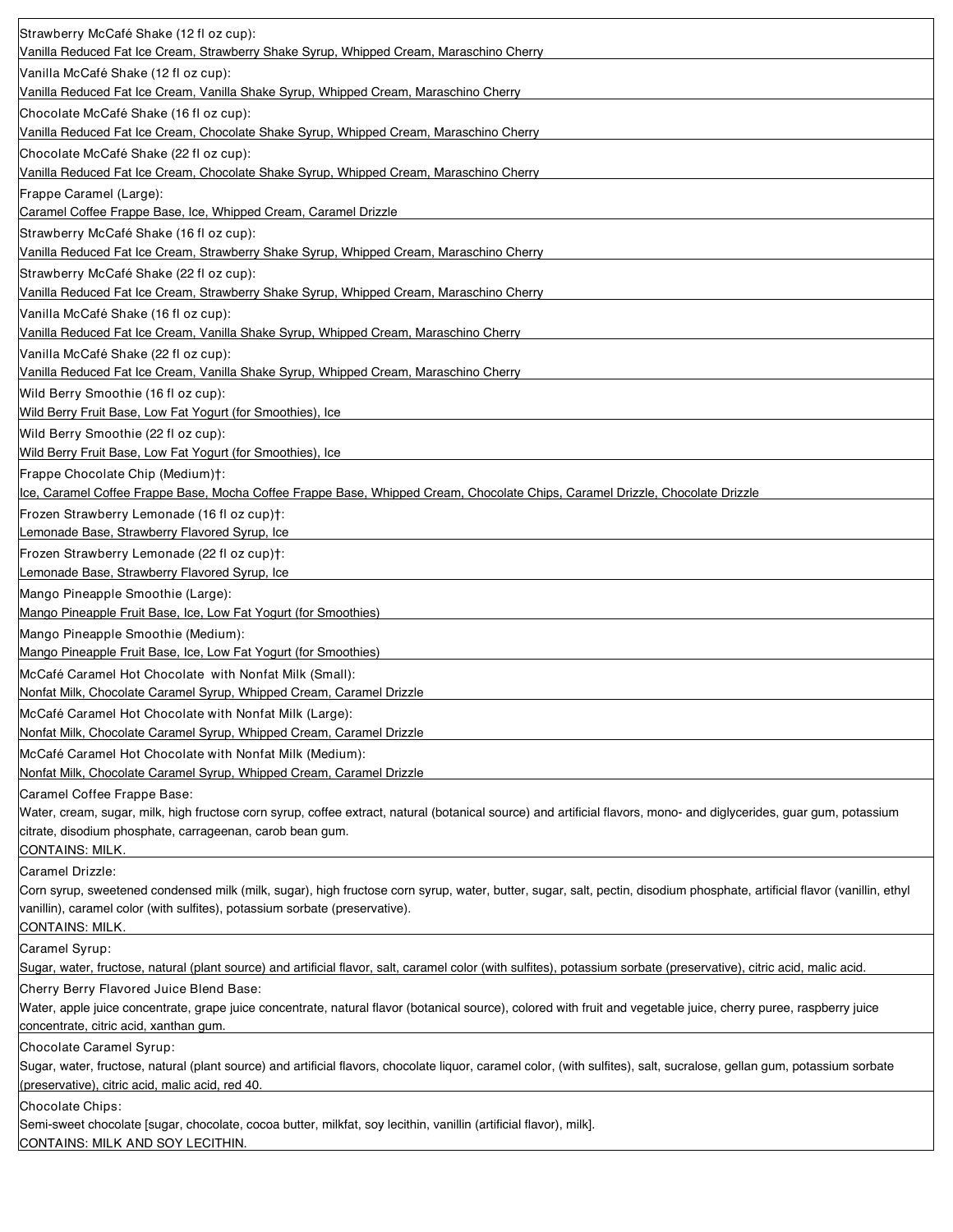| Strawberry McCafé Shake (12 fl oz cup):                                                                                                                                  |
|--------------------------------------------------------------------------------------------------------------------------------------------------------------------------|
| Vanilla Reduced Fat Ice Cream, Strawberry Shake Syrup, Whipped Cream, Maraschino Cherry                                                                                  |
| Vanilla McCafé Shake (12 fl oz cup):                                                                                                                                     |
| Vanilla Reduced Fat Ice Cream, Vanilla Shake Syrup, Whipped Cream, Maraschino Cherry                                                                                     |
| Chocolate McCafé Shake (16 fl oz cup):                                                                                                                                   |
| Vanilla Reduced Fat Ice Cream, Chocolate Shake Syrup, Whipped Cream, Maraschino Cherry                                                                                   |
| Chocolate McCafé Shake (22 fl oz cup):                                                                                                                                   |
| Vanilla Reduced Fat Ice Cream, Chocolate Shake Syrup, Whipped Cream, Maraschino Cherry                                                                                   |
| <b>Frappe Caramel (Large):</b>                                                                                                                                           |
| Caramel Coffee Frappe Base, Ice, Whipped Cream, Caramel Drizzle                                                                                                          |
| Strawberry McCafé Shake (16 fl oz cup):                                                                                                                                  |
| Vanilla Reduced Fat Ice Cream, Strawberry Shake Syrup, Whipped Cream, Maraschino Cherry                                                                                  |
| Strawberry McCafé Shake (22 fl oz cup):                                                                                                                                  |
| Vanilla Reduced Fat Ice Cream, Strawberry Shake Syrup, Whipped Cream, Maraschino Cherry                                                                                  |
| Vanilla McCafé Shake (16 fl oz cup):                                                                                                                                     |
| Vanilla Reduced Fat Ice Cream, Vanilla Shake Syrup, Whipped Cream, Maraschino Cherry                                                                                     |
| Vanilla McCafé Shake (22 fl oz cup):                                                                                                                                     |
| Vanilla Reduced Fat Ice Cream, Vanilla Shake Syrup, Whipped Cream, Maraschino Cherry                                                                                     |
| Wild Berry Smoothie (16 fl oz cup):                                                                                                                                      |
| Wild Berry Fruit Base, Low Fat Yogurt (for Smoothies), Ice                                                                                                               |
| Wild Berry Smoothie (22 fl oz cup):                                                                                                                                      |
| Wild Berry Fruit Base, Low Fat Yogurt (for Smoothies), Ice                                                                                                               |
| Frappe Chocolate Chip (Medium)†:                                                                                                                                         |
| Ice, Caramel Coffee Frappe Base, Mocha Coffee Frappe Base, Whipped Cream, Chocolate Chips, Caramel Drizzle, Chocolate Drizzle                                            |
| Frozen Strawberry Lemonade (16 fl oz cup)   :                                                                                                                            |
| Lemonade Base, Strawberry Flavored Syrup, Ice                                                                                                                            |
| Frozen Strawberry Lemonade (22 fl oz cup)†:                                                                                                                              |
| Lemonade Base, Strawberry Flavored Syrup, Ice                                                                                                                            |
| Mango Pineapple Smoothie (Large):                                                                                                                                        |
| Mango Pineapple Fruit Base, Ice, Low Fat Yogurt (for Smoothies)                                                                                                          |
| Mango Pineapple Smoothie (Medium):                                                                                                                                       |
| Mango Pineapple Fruit Base, Ice, Low Fat Yogurt (for Smoothies)                                                                                                          |
| McCafé Caramel Hot Chocolate with Nonfat Milk (Small):                                                                                                                   |
| Nonfat Milk, Chocolate Caramel Syrup, Whipped Cream, Caramel Drizzle                                                                                                     |
| McCafé Caramel Hot Chocolate with Nonfat Milk (Large):                                                                                                                   |
| Nonfat Milk, Chocolate Caramel Syrup, Whipped Cream, Caramel Drizzle                                                                                                     |
| McCafé Caramel Hot Chocolate with Nonfat Milk (Medium):                                                                                                                  |
| Nonfat Milk, Chocolate Caramel Syrup, Whipped Cream, Caramel Drizzle                                                                                                     |
| Caramel Coffee Frappe Base:                                                                                                                                              |
| Water, cream, sugar, milk, high fructose corn syrup, coffee extract, natural (botanical source) and artificial flavors, mono- and diglycerides, guar gum, potassium      |
| citrate, disodium phosphate, carrageenan, carob bean gum.                                                                                                                |
| <b>CONTAINS: MILK.</b>                                                                                                                                                   |
| Caramel Drizzle:                                                                                                                                                         |
| Corn syrup, sweetened condensed milk (milk, sugar), high fructose corn syrup, water, butter, sugar, salt, pectin, disodium phosphate, artificial flavor (vanillin, ethyl |

vanillin), caramel color (with sulfites), potassium sorbate (preservative).

#### CONTAINS: MILK.

### Caramel Syrup:

Sugar, water, fructose, natural (plant source) and artificial flavor, salt, caramel color (with sulfites), potassium sorbate (preservative), citric acid, malic acid.

Cherry Berry Flavored Juice Blend Base:

Water, apple juice concentrate, grape juice concentrate, natural flavor (botanical source), colored with fruit and vegetable juice, cherry puree, raspberry juice concentrate, citric acid, xanthan gum.

Chocolate Caramel Syrup:

Sugar, water, fructose, natural (plant source) and artificial flavors, chocolate liquor, caramel color, (with sulfites), salt, sucralose, gellan gum, potassium sorbate (preservative), citric acid, malic acid, red 40.

Chocolate Chips:

Semi-sweet chocolate [sugar, chocolate, cocoa butter, milkfat, soy lecithin, vanillin (artificial flavor), milk].

CONTAINS: MILK AND SOY LECITHIN.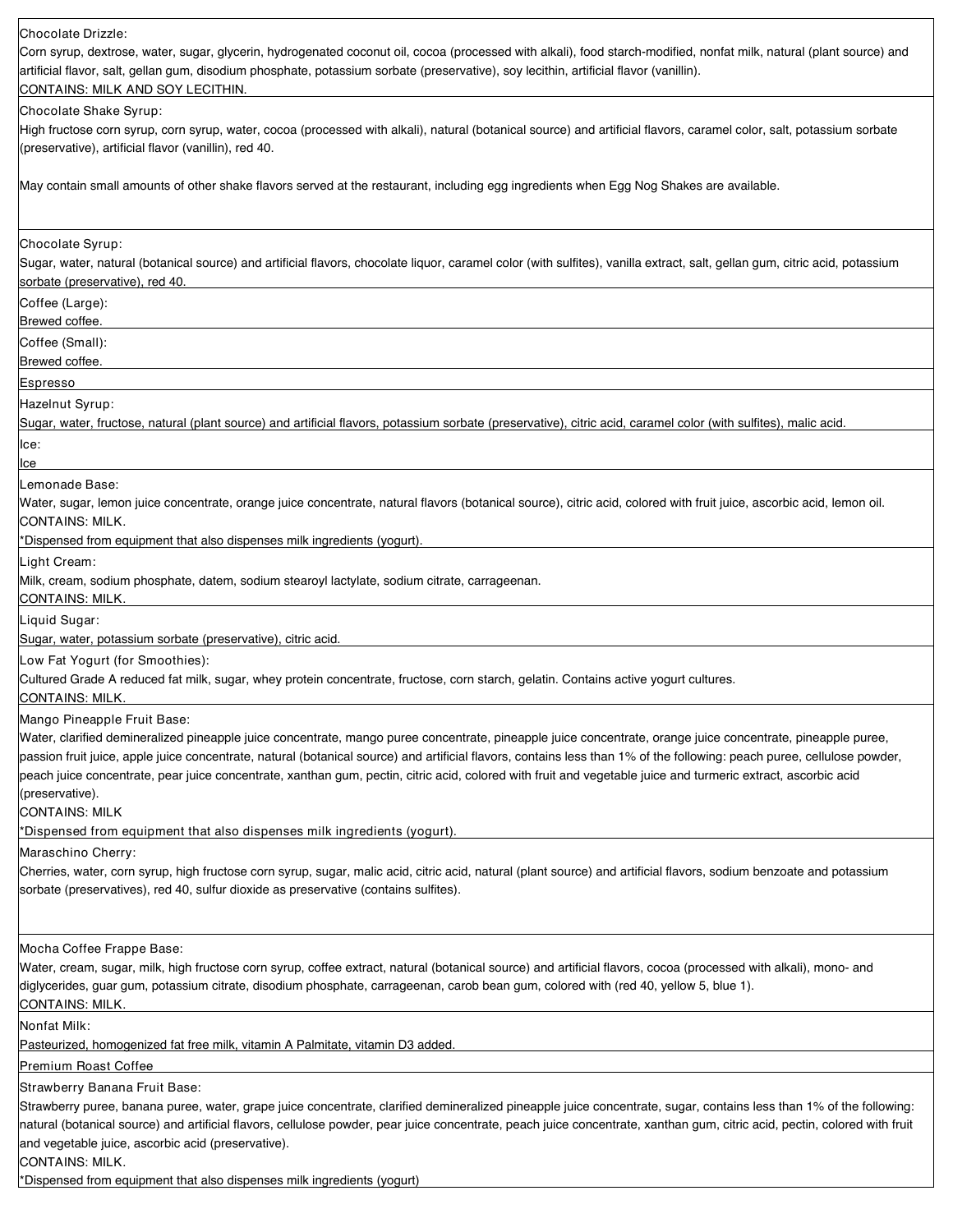#### Chocolate Drizzle:

 $Chocolota$  Syrup:

Corn syrup, dextrose, water, sugar, glycerin, hydrogenated coconut oil, cocoa (processed with alkali), food starch-modified, nonfat milk, natural (plant source) and artificial flavor, salt, gellan gum, disodium phosphate, potassium sorbate (preservative), soy lecithin, artificial flavor (vanillin). CONTAINS: MILK AND SOY LECITHIN.

Chocolate Shake Syrup:

High fructose corn syrup, corn syrup, water, cocoa (processed with alkali), natural (botanical source) and artificial flavors, caramel color, salt, potassium sorbate (preservative), artificial flavor (vanillin), red 40.

May contain small amounts of other shake flavors served at the restaurant, including egg ingredients when Egg Nog Shakes are available.

| $ U $ luuulalt oyi up.                                                                                                                                                      |
|-----------------------------------------------------------------------------------------------------------------------------------------------------------------------------|
| Sugar, water, natural (botanical source) and artificial flavors, chocolate liquor, caramel color (with sulfites), vanilla extract, salt, gellan gum, citric acid, potassium |
| sorbate (preservative), red 40.                                                                                                                                             |
| Coffee (Large):                                                                                                                                                             |
| Brewed coffee.                                                                                                                                                              |
| Coffee (Small):                                                                                                                                                             |
| Brewed coffee.                                                                                                                                                              |
| Espresso                                                                                                                                                                    |
| Hazelnut Syrup:                                                                                                                                                             |
| Sugar, water, fructose, natural (plant source) and artificial flavors, potassium sorbate (preservative), citric acid, caramel color (with sulfites), malic acid.            |
| $ $ Ice:                                                                                                                                                                    |

Ice

Lemonade Base:

Water, sugar, lemon juice concentrate, orange juice concentrate, natural flavors (botanical source), citric acid, colored with fruit juice, ascorbic acid, lemon oil. CONTAINS: MILK.

\*Dispensed from equipment that also dispenses milk ingredients (yogurt).

Light Cream:

Milk, cream, sodium phosphate, datem, sodium stearoyl lactylate, sodium citrate, carrageenan.

CONTAINS: MILK.

Liquid Sugar:

Sugar, water, potassium sorbate (preservative), citric acid.

Low Fat Yogurt (for Smoothies):

Cultured Grade A reduced fat milk, sugar, whey protein concentrate, fructose, corn starch, gelatin. Contains active yogurt cultures.

CONTAINS: MILK.

Mango Pineapple Fruit Base:

Water, clarified demineralized pineapple juice concentrate, mango puree concentrate, pineapple juice concentrate, orange juice concentrate, pineapple puree, passion fruit juice, apple juice concentrate, natural (botanical source) and artificial flavors, contains less than 1% of the following: peach puree, cellulose powder, peach juice concentrate, pear juice concentrate, xanthan gum, pectin, citric acid, colored with fruit and vegetable juice and turmeric extract, ascorbic acid (preservative).

CONTAINS: MILK

\*Dispensed from equipment that also dispenses milk ingredients (yogurt).

Maraschino Cherry:

Cherries, water, corn syrup, high fructose corn syrup, sugar, malic acid, citric acid, natural (plant source) and artificial flavors, sodium benzoate and potassium sorbate (preservatives), red 40, sulfur dioxide as preservative (contains sulfites).

### Mocha Coffee Frappe Base:

Water, cream, sugar, milk, high fructose corn syrup, coffee extract, natural (botanical source) and artificial flavors, cocoa (processed with alkali), mono- and diglycerides, guar gum, potassium citrate, disodium phosphate, carrageenan, carob bean gum, colored with (red 40, yellow 5, blue 1). CONTAINS: MILK.

Nonfat Milk:

Pasteurized, homogenized fat free milk, vitamin A Palmitate, vitamin D3 added.

Premium Roast Coffee

Strawberry Banana Fruit Base:

Strawberry puree, banana puree, water, grape juice concentrate, clarified demineralized pineapple juice concentrate, sugar, contains less than 1% of the following: natural (botanical source) and artificial flavors, cellulose powder, pear juice concentrate, peach juice concentrate, xanthan gum, citric acid, pectin, colored with fruit and vegetable juice, ascorbic acid (preservative).

CONTAINS: MILK.

\*Dispensed from equipment that also dispenses milk ingredients (yogurt)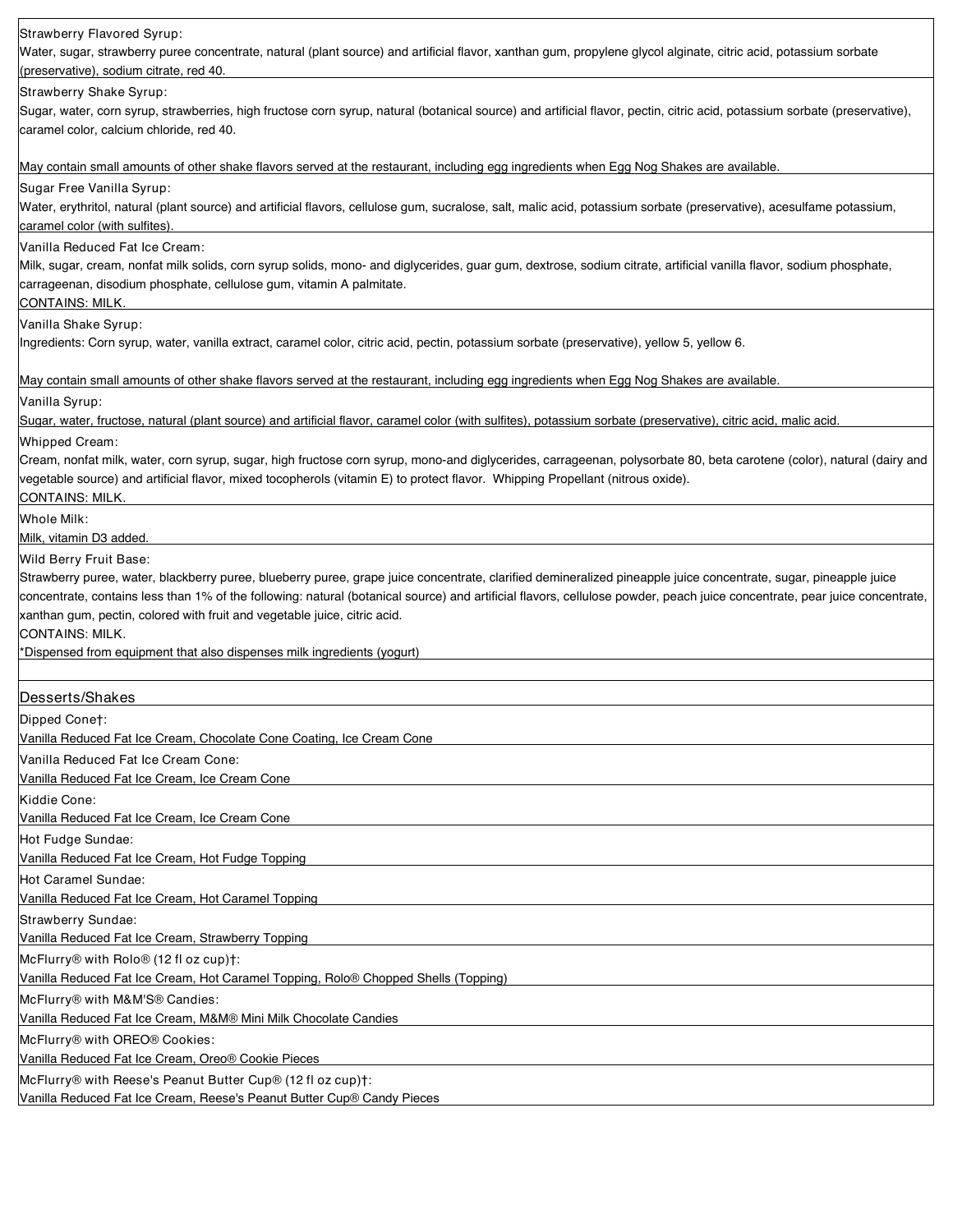### Strawberry Flavored Syrup:

Water, sugar, strawberry puree concentrate, natural (plant source) and artificial flavor, xanthan gum, propylene glycol alginate, citric acid, potassium sorbate (preservative), sodium citrate, red 40.

Strawberry Shake Syrup:

Sugar, water, corn syrup, strawberries, high fructose corn syrup, natural (botanical source) and artificial flavor, pectin, citric acid, potassium sorbate (preservative), caramel color, calcium chloride, red 40.

May contain small amounts of other shake flavors served at the restaurant, including egg ingredients when Egg Nog Shakes are available.

Sugar Free Vanilla Syrup:

Water, erythritol, natural (plant source) and artificial flavors, cellulose gum, sucralose, salt, malic acid, potassium sorbate (preservative), acesulfame potassium, caramel color (with sulfites).

Vanilla Reduced Fat Ice Cream:

Milk, sugar, cream, nonfat milk solids, corn syrup solids, mono- and diglycerides, guar gum, dextrose, sodium citrate, artificial vanilla flavor, sodium phosphate, carrageenan, disodium phosphate, cellulose gum, vitamin A palmitate.

### CONTAINS: MILK.

Vanilla Shake Syrup:

Ingredients: Corn syrup, water, vanilla extract, caramel color, citric acid, pectin, potassium sorbate (preservative), yellow 5, yellow 6.

May contain small amounts of other shake flavors served at the restaurant, including egg ingredients when Egg Nog Shakes are available.

Vanilla Syrup:

Sugar, water, fructose, natural (plant source) and artificial flavor, caramel color (with sulfites), potassium sorbate (preservative), citric acid, malic acid.

Whipped Cream:

Cream, nonfat milk, water, corn syrup, sugar, high fructose corn syrup, mono-and diglycerides, carrageenan, polysorbate 80, beta carotene (color), natural (dairy and

vegetable source) and artificial flavor, mixed tocopherols (vitamin E) to protect flavor. Whipping Propellant (nitrous oxide). CONTAINS: MILK.

Whole Milk:

Milk, vitamin D3 added.

Wild Berry Fruit Base:

Strawberry puree, water, blackberry puree, blueberry puree, grape juice concentrate, clarified demineralized pineapple juice concentrate, sugar, pineapple juice concentrate, contains less than 1% of the following: natural (botanical source) and artificial flavors, cellulose powder, peach juice concentrate, pear juice concentrate, xanthan gum, pectin, colored with fruit and vegetable juice, citric acid.

CONTAINS: MILK.

\*Dispensed from equipment that also dispenses milk ingredients (yogurt)

| Desserts/Shakes                                                       |
|-----------------------------------------------------------------------|
| Dipped Conet:                                                         |
| Vanilla Reduced Fat Ice Cream, Chocolate Cone Coating, Ice Cream Cone |
| Vanilla Reduced Fat Ice Cream Cone:                                   |
| Vanilla Reduced Fat Ice Cream, Ice Cream Cone                         |
| Kiddie Cone:                                                          |
| Vanilla Reduced Fat Ice Cream, Ice Cream Cone                         |
| Hot Fudge Sundae:                                                     |
| Vanilla Reduced Fat Ice Cream, Hot Fudge Topping                      |
| Hot Caramel Sundae:                                                   |
| Vanilla Reduced Fat Ice Cream, Hot Caramel Topping                    |
| <b>Strawberry Sundae:</b>                                             |

Vanilla Reduced Fat Ice Cream, Strawberry Topping

McFlurry® with Rolo® (12 fl oz cup)†:

Vanilla Reduced Fat Ice Cream, Hot Caramel Topping, Rolo® Chopped Shells (Topping)

McFlurry® with M&M'S® Candies:

Vanilla Reduced Fat Ice Cream, M&M® Mini Milk Chocolate Candies

McFlurry® with OREO® Cookies:

Vanilla Reduced Fat Ice Cream, Oreo® Cookie Pieces

McFlurry® with Reese's Peanut Butter Cup® (12 fl oz cup)†:

Vanilla Reduced Fat Ice Cream, Reese's Peanut Butter Cup® Candy Pieces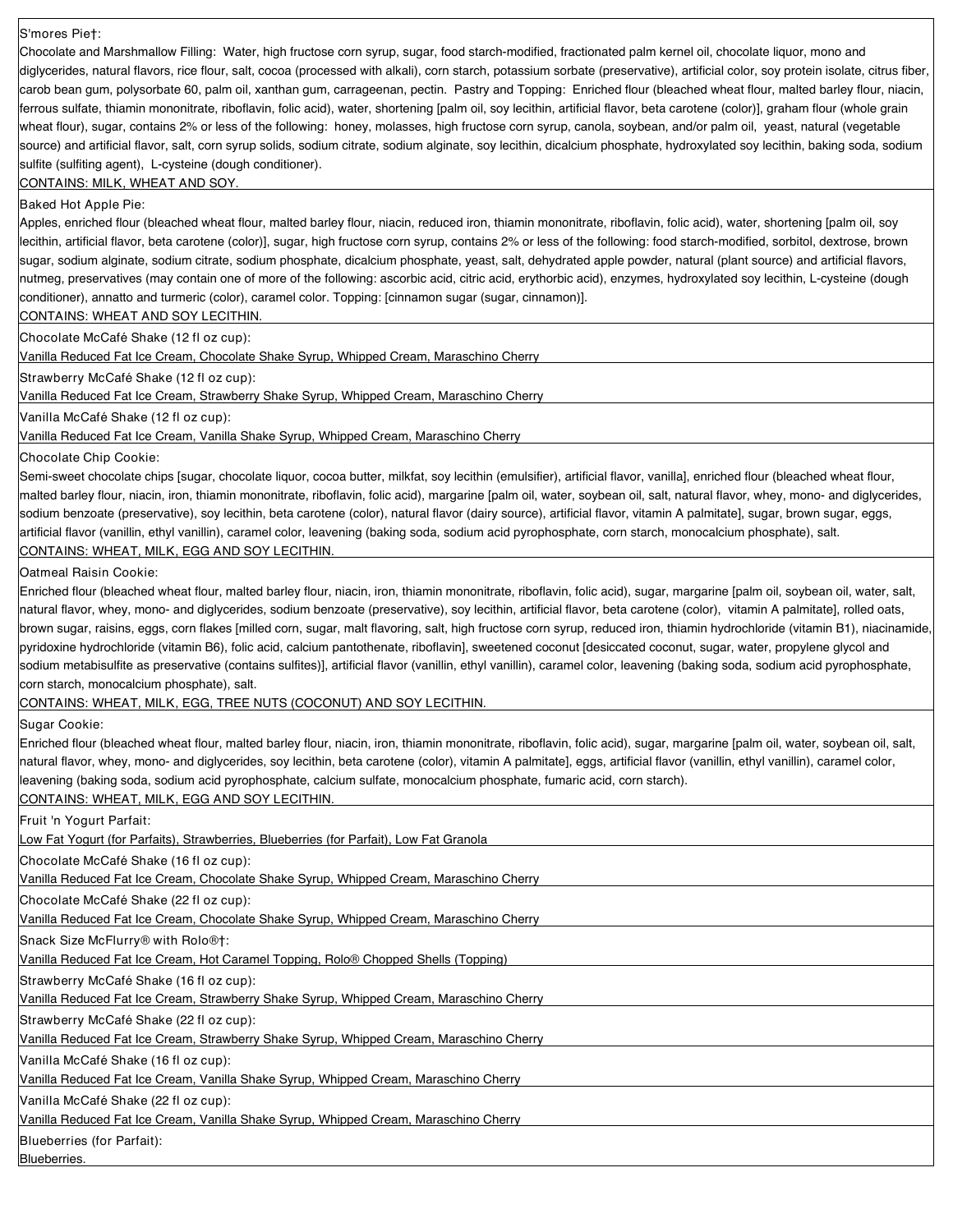#### S'mores Pie†:

Chocolate and Marshmallow Filling: Water, high fructose corn syrup, sugar, food starch-modified, fractionated palm kernel oil, chocolate liquor, mono and diglycerides, natural flavors, rice flour, salt, cocoa (processed with alkali), corn starch, potassium sorbate (preservative), artificial color, soy protein isolate, citrus fiber, carob bean gum, polysorbate 60, palm oil, xanthan gum, carrageenan, pectin. Pastry and Topping: Enriched flour (bleached wheat flour, malted barley flour, niacin, ferrous sulfate, thiamin mononitrate, riboflavin, folic acid), water, shortening [palm oil, soy lecithin, artificial flavor, beta carotene (color)], graham flour (whole grain wheat flour), sugar, contains 2% or less of the following: honey, molasses, high fructose corn syrup, canola, soybean, and/or palm oil, yeast, natural (vegetable source) and artificial flavor, salt, corn syrup solids, sodium citrate, sodium alginate, soy lecithin, dicalcium phosphate, hydroxylated soy lecithin, baking soda, sodium sulfite (sulfiting agent), L-cysteine (dough conditioner).

CONTAINS: MILK, WHEAT AND SOY.

Baked Hot Apple Pie:

Apples, enriched flour (bleached wheat flour, malted barley flour, niacin, reduced iron, thiamin mononitrate, riboflavin, folic acid), water, shortening [palm oil, soy lecithin, artificial flavor, beta carotene (color)], sugar, high fructose corn syrup, contains 2% or less of the following: food starch-modified, sorbitol, dextrose, brown sugar, sodium alginate, sodium citrate, sodium phosphate, dicalcium phosphate, yeast, salt, dehydrated apple powder, natural (plant source) and artificial flavors, nutmeg, preservatives (may contain one of more of the following: ascorbic acid, citric acid, erythorbic acid), enzymes, hydroxylated soy lecithin, L-cysteine (dough conditioner), annatto and turmeric (color), caramel color. Topping: [cinnamon sugar (sugar, cinnamon)].

CONTAINS: WHEAT AND SOY LECITHIN.

Chocolate McCafé Shake (12 fl oz cup):

Vanilla Reduced Fat Ice Cream, Chocolate Shake Syrup, Whipped Cream, Maraschino Cherry

Strawberry McCafé Shake (12 fl oz cup):

Vanilla Reduced Fat Ice Cream, Strawberry Shake Syrup, Whipped Cream, Maraschino Cherry

Vanilla McCafé Shake (12 fl oz cup):

Vanilla Reduced Fat Ice Cream, Vanilla Shake Syrup, Whipped Cream, Maraschino Cherry

Chocolate Chip Cookie:

Semi-sweet chocolate chips [sugar, chocolate liquor, cocoa butter, milkfat, soy lecithin (emulsifier), artificial flavor, vanilla], enriched flour (bleached wheat flour, malted barley flour, niacin, iron, thiamin mononitrate, riboflavin, folic acid), margarine [palm oil, water, soybean oil, salt, natural flavor, whey, mono- and diglycerides, sodium benzoate (preservative), soy lecithin, beta carotene (color), natural flavor (dairy source), artificial flavor, vitamin A palmitate], sugar, brown sugar, eggs, artificial flavor (vanillin, ethyl vanillin), caramel color, leavening (baking soda, sodium acid pyrophosphate, corn starch, monocalcium phosphate), salt. CONTAINS: WHEAT, MILK, EGG AND SOY LECITHIN.

### Oatmeal Raisin Cookie:

Enriched flour (bleached wheat flour, malted barley flour, niacin, iron, thiamin mononitrate, riboflavin, folic acid), sugar, margarine [palm oil, soybean oil, water, salt, natural flavor, whey, mono- and diglycerides, sodium benzoate (preservative), soy lecithin, artificial flavor, beta carotene (color), vitamin A palmitate], rolled oats, brown sugar, raisins, eggs, corn flakes [milled corn, sugar, malt flavoring, salt, high fructose corn syrup, reduced iron, thiamin hydrochloride (vitamin B1), niacinamide, pyridoxine hydrochloride (vitamin B6), folic acid, calcium pantothenate, riboflavin], sweetened coconut [desiccated coconut, sugar, water, propylene glycol and sodium metabisulfite as preservative (contains sulfites)], artificial flavor (vanillin, ethyl vanillin), caramel color, leavening (baking soda, sodium acid pyrophosphate, corn starch, monocalcium phosphate), salt.

CONTAINS: WHEAT, MILK, EGG, TREE NUTS (COCONUT) AND SOY LECITHIN.

Sugar Cookie:

Enriched flour (bleached wheat flour, malted barley flour, niacin, iron, thiamin mononitrate, riboflavin, folic acid), sugar, margarine [palm oil, water, soybean oil, salt, natural flavor, whey, mono- and diglycerides, soy lecithin, beta carotene (color), vitamin A palmitate], eggs, artificial flavor (vanillin, ethyl vanillin), caramel color, leavening (baking soda, sodium acid pyrophosphate, calcium sulfate, monocalcium phosphate, fumaric acid, corn starch).

CONTAINS: WHEAT, MILK, EGG AND SOY LECITHIN.

Fruit 'n Yogurt Parfait:

Low Fat Yogurt (for Parfaits), Strawberries, Blueberries (for Parfait), Low Fat Granola

Chocolate McCafé Shake (16 fl oz cup):

Vanilla Reduced Fat Ice Cream, Chocolate Shake Syrup, Whipped Cream, Maraschino Cherry

Chocolate McCafé Shake (22 fl oz cup):

Vanilla Reduced Fat Ice Cream, Chocolate Shake Syrup, Whipped Cream, Maraschino Cherry

Snack Size McFlurry® with Rolo®†:

Vanilla Reduced Fat Ice Cream, Hot Caramel Topping, Rolo® Chopped Shells (Topping)

Strawberry McCafé Shake (16 fl oz cup):

Vanilla Reduced Fat Ice Cream, Strawberry Shake Syrup, Whipped Cream, Maraschino Cherry

Strawberry McCafé Shake (22 fl oz cup):

Vanilla Reduced Fat Ice Cream, Strawberry Shake Syrup, Whipped Cream, Maraschino Cherry

Vanilla McCafé Shake (16 fl oz cup):

Vanilla Reduced Fat Ice Cream, Vanilla Shake Syrup, Whipped Cream, Maraschino Cherry

Vanilla McCafé Shake (22 fl oz cup):

Vanilla Reduced Fat Ice Cream, Vanilla Shake Syrup, Whipped Cream, Maraschino Cherry

Blueberries (for Parfait):

Blueberries.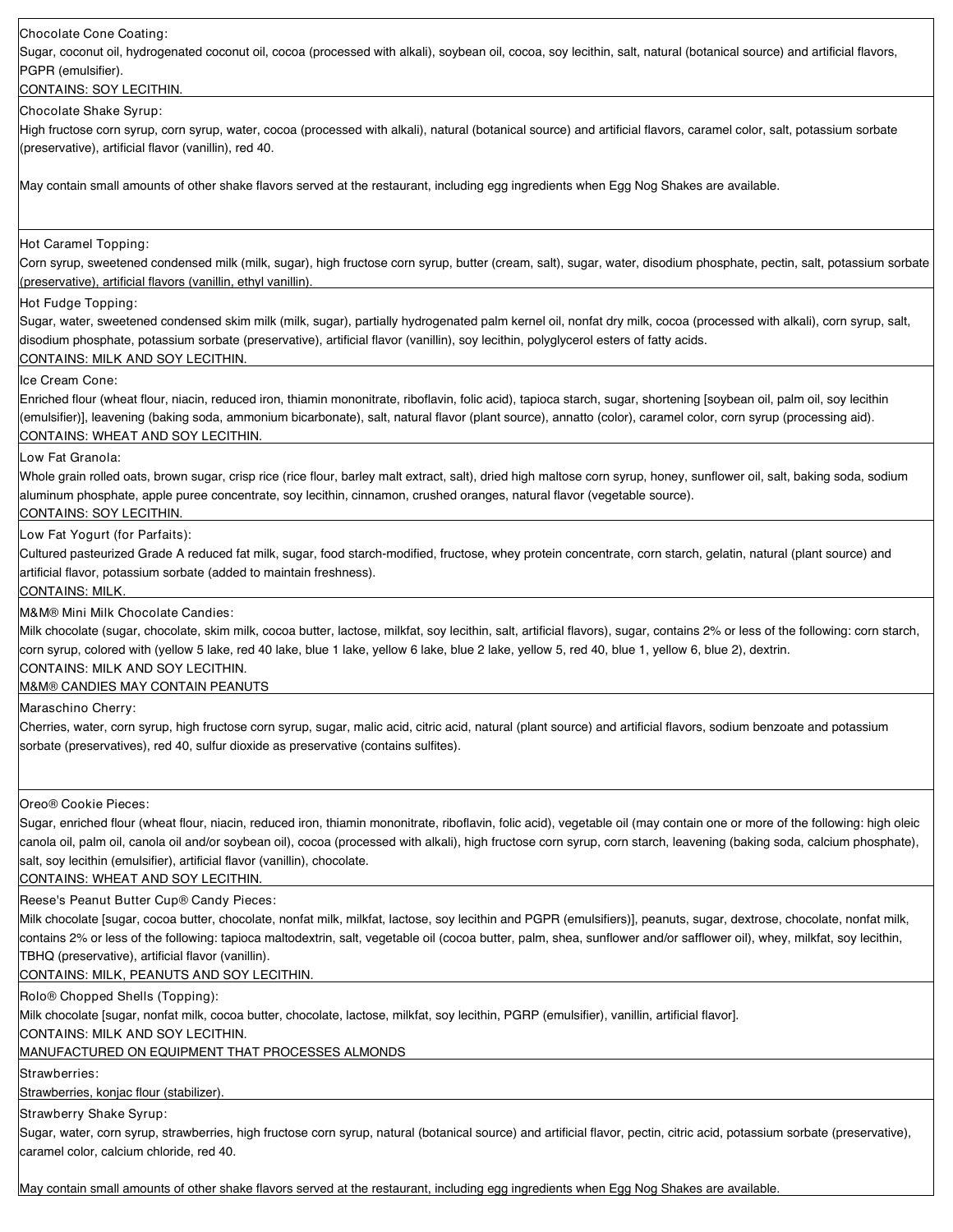Chocolate Cone Coating:

Sugar, coconut oil, hydrogenated coconut oil, cocoa (processed with alkali), soybean oil, cocoa, soy lecithin, salt, natural (botanical source) and artificial flavors, PGPR (emulsifier).

CONTAINS: SOY LECITHIN.

Chocolate Shake Syrup:

High fructose corn syrup, corn syrup, water, cocoa (processed with alkali), natural (botanical source) and artificial flavors, caramel color, salt, potassium sorbate (preservative), artificial flavor (vanillin), red 40.

May contain small amounts of other shake flavors served at the restaurant, including egg ingredients when Egg Nog Shakes are available.

Hot Caramel Topping:

Corn syrup, sweetened condensed milk (milk, sugar), high fructose corn syrup, butter (cream, salt), sugar, water, disodium phosphate, pectin, salt, potassium sorbate (preservative), artificial flavors (vanillin, ethyl vanillin).

Hot Fudge Topping:

Sugar, water, sweetened condensed skim milk (milk, sugar), partially hydrogenated palm kernel oil, nonfat dry milk, cocoa (processed with alkali), corn syrup, salt, disodium phosphate, potassium sorbate (preservative), artificial flavor (vanillin), soy lecithin, polyglycerol esters of fatty acids.

CONTAINS: MILK AND SOY LECITHIN.

Ice Cream Cone:

Enriched flour (wheat flour, niacin, reduced iron, thiamin mononitrate, riboflavin, folic acid), tapioca starch, sugar, shortening [soybean oil, palm oil, soy lecithin (emulsifier)], leavening (baking soda, ammonium bicarbonate), salt, natural flavor (plant source), annatto (color), caramel color, corn syrup (processing aid). CONTAINS: WHEAT AND SOY LECITHIN.

Low Fat Granola:

Whole grain rolled oats, brown sugar, crisp rice (rice flour, barley malt extract, salt), dried high maltose corn syrup, honey, sunflower oil, salt, baking soda, sodium aluminum phosphate, apple puree concentrate, soy lecithin, cinnamon, crushed oranges, natural flavor (vegetable source). CONTAINS: SOY LECITHIN.

Low Fat Yogurt (for Parfaits):

Cultured pasteurized Grade A reduced fat milk, sugar, food starch-modified, fructose, whey protein concentrate, corn starch, gelatin, natural (plant source) and artificial flavor, potassium sorbate (added to maintain freshness).

CONTAINS: MILK.

M&M® Mini Milk Chocolate Candies:

Milk chocolate (sugar, chocolate, skim milk, cocoa butter, lactose, milkfat, soy lecithin, salt, artificial flavors), sugar, contains 2% or less of the following: corn starch, corn syrup, colored with (yellow 5 lake, red 40 lake, blue 1 lake, yellow 6 lake, blue 2 lake, yellow 5, red 40, blue 1, yellow 6, blue 2), dextrin. CONTAINS: MILK AND SOY LECITHIN.

M&M® CANDIES MAY CONTAIN PEANUTS

Maraschino Cherry:

Cherries, water, corn syrup, high fructose corn syrup, sugar, malic acid, citric acid, natural (plant source) and artificial flavors, sodium benzoate and potassium sorbate (preservatives), red 40, sulfur dioxide as preservative (contains sulfites).

Oreo® Cookie Pieces:

Sugar, enriched flour (wheat flour, niacin, reduced iron, thiamin mononitrate, riboflavin, folic acid), vegetable oil (may contain one or more of the following: high oleic canola oil, palm oil, canola oil and/or soybean oil), cocoa (processed with alkali), high fructose corn syrup, corn starch, leavening (baking soda, calcium phosphate), salt, soy lecithin (emulsifier), artificial flavor (vanillin), chocolate.

CONTAINS: WHEAT AND SOY LECITHIN.

Reese's Peanut Butter Cup® Candy Pieces:

Milk chocolate [sugar, cocoa butter, chocolate, nonfat milk, milkfat, lactose, soy lecithin and PGPR (emulsifiers)], peanuts, sugar, dextrose, chocolate, nonfat milk,

contains 2% or less of the following: tapioca maltodextrin, salt, vegetable oil (cocoa butter, palm, shea, sunflower and/or safflower oil), whey, milkfat, soy lecithin, TBHQ (preservative), artificial flavor (vanillin).

# CONTAINS: MILK, PEANUTS AND SOY LECITHIN.

Rolo® Chopped Shells (Topping):

Milk chocolate [sugar, nonfat milk, cocoa butter, chocolate, lactose, milkfat, soy lecithin, PGRP (emulsifier), vanillin, artificial flavor].

CONTAINS: MILK AND SOY LECITHIN.

MANUFACTURED ON EQUIPMENT THAT PROCESSES ALMONDS

Strawberries:

Strawberries, konjac flour (stabilizer).

Strawberry Shake Syrup:

Sugar, water, corn syrup, strawberries, high fructose corn syrup, natural (botanical source) and artificial flavor, pectin, citric acid, potassium sorbate (preservative), caramel color, calcium chloride, red 40.

May contain small amounts of other shake flavors served at the restaurant, including egg ingredients when Egg Nog Shakes are available.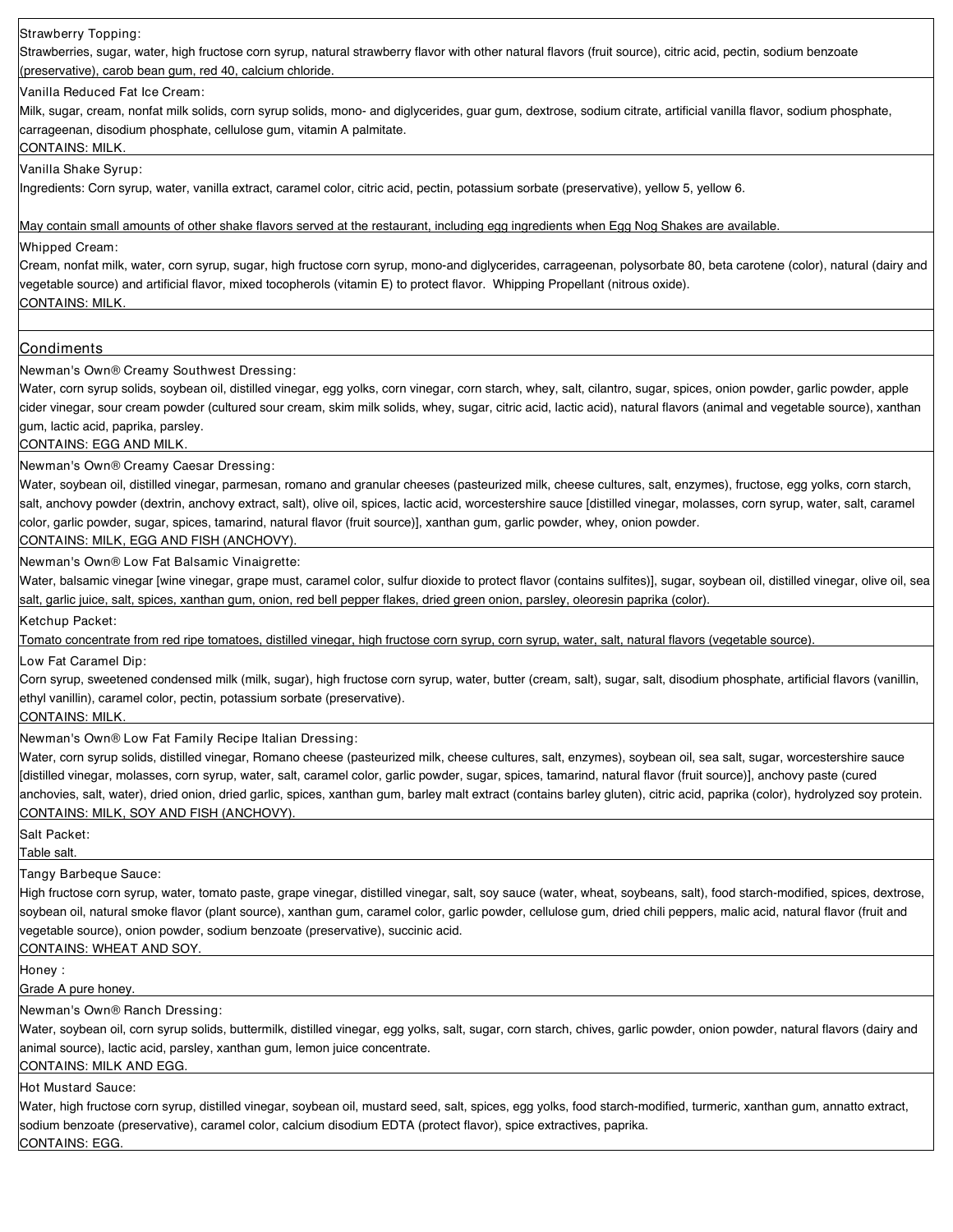#### Strawberry Topping:

Strawberries, sugar, water, high fructose corn syrup, natural strawberry flavor with other natural flavors (fruit source), citric acid, pectin, sodium benzoate (preservative), carob bean gum, red 40, calcium chloride.

### Vanilla Reduced Fat Ice Cream:

Milk, sugar, cream, nonfat milk solids, corn syrup solids, mono- and diglycerides, guar gum, dextrose, sodium citrate, artificial vanilla flavor, sodium phosphate, carrageenan, disodium phosphate, cellulose gum, vitamin A palmitate.

### CONTAINS: MILK.

Vanilla Shake Syrup:

Ingredients: Corn syrup, water, vanilla extract, caramel color, citric acid, pectin, potassium sorbate (preservative), yellow 5, yellow 6.

May contain small amounts of other shake flavors served at the restaurant, including egg ingredients when Egg Nog Shakes are available.

#### Whipped Cream:

Cream, nonfat milk, water, corn syrup, sugar, high fructose corn syrup, mono-and diglycerides, carrageenan, polysorbate 80, beta carotene (color), natural (dairy and vegetable source) and artificial flavor, mixed tocopherols (vitamin E) to protect flavor. Whipping Propellant (nitrous oxide). CONTAINS: MILK.

Water, soybean oil, distilled vinegar, parmesan, romano and granular cheeses (pasteurized milk, cheese cultures, salt, enzymes), fructose, egg yolks, corn starch, salt, anchovy powder (dextrin, anchovy extract, salt), olive oil, spices, lactic acid, worcestershire sauce [distilled vinegar, molasses, corn syrup, water, salt, caramel color, garlic powder, sugar, spices, tamarind, natural flavor (fruit source)], xanthan gum, garlic powder, whey, onion powder.

# Condiments

Newman's Own® Creamy Southwest Dressing:

Water, corn syrup solids, soybean oil, distilled vinegar, egg yolks, corn vinegar, corn starch, whey, salt, cilantro, sugar, spices, onion powder, garlic powder, apple cider vinegar, sour cream powder (cultured sour cream, skim milk solids, whey, sugar, citric acid, lactic acid), natural flavors (animal and vegetable source), xanthan gum, lactic acid, paprika, parsley.

## CONTAINS: EGG AND MILK.

Newman's Own® Creamy Caesar Dressing:

## CONTAINS: MILK, EGG AND FISH (ANCHOVY).

Newman's Own® Low Fat Balsamic Vinaigrette:

Water, balsamic vinegar [wine vinegar, grape must, caramel color, sulfur dioxide to protect flavor (contains sulfites)], sugar, soybean oil, distilled vinegar, olive oil, sea salt, garlic juice, salt, spices, xanthan gum, onion, red bell pepper flakes, dried green onion, parsley, oleoresin paprika (color).

Ketchup Packet:

Tomato concentrate from red ripe tomatoes, distilled vinegar, high fructose corn syrup, corn syrup, water, salt, natural flavors (vegetable source).

Low Fat Caramel Dip:

Corn syrup, sweetened condensed milk (milk, sugar), high fructose corn syrup, water, butter (cream, salt), sugar, salt, disodium phosphate, artificial flavors (vanillin, ethyl vanillin), caramel color, pectin, potassium sorbate (preservative).

### CONTAINS: MILK.

Newman's Own® Low Fat Family Recipe Italian Dressing:

Water, corn syrup solids, distilled vinegar, Romano cheese (pasteurized milk, cheese cultures, salt, enzymes), soybean oil, sea salt, sugar, worcestershire sauce [distilled vinegar, molasses, corn syrup, water, salt, caramel color, garlic powder, sugar, spices, tamarind, natural flavor (fruit source)], anchovy paste (cured anchovies, salt, water), dried onion, dried garlic, spices, xanthan gum, barley malt extract (contains barley gluten), citric acid, paprika (color), hydrolyzed soy protein. CONTAINS: MILK, SOY AND FISH (ANCHOVY).

Salt Packet:

Table salt.

Tangy Barbeque Sauce:

High fructose corn syrup, water, tomato paste, grape vinegar, distilled vinegar, salt, soy sauce (water, wheat, soybeans, salt), food starch-modified, spices, dextrose, soybean oil, natural smoke flavor (plant source), xanthan gum, caramel color, garlic powder, cellulose gum, dried chili peppers, malic acid, natural flavor (fruit and vegetable source), onion powder, sodium benzoate (preservative), succinic acid.

### CONTAINS: WHEAT AND SOY.

Honey :

Grade A pure honey.

Newman's Own® Ranch Dressing:

Water, soybean oil, corn syrup solids, buttermilk, distilled vinegar, egg yolks, salt, sugar, corn starch, chives, garlic powder, onion powder, natural flavors (dairy and animal source), lactic acid, parsley, xanthan gum, lemon juice concentrate.

# CONTAINS: MILK AND EGG.

Hot Mustard Sauce:

Water, high fructose corn syrup, distilled vinegar, soybean oil, mustard seed, salt, spices, egg yolks, food starch-modified, turmeric, xanthan gum, annatto extract, sodium benzoate (preservative), caramel color, calcium disodium EDTA (protect flavor), spice extractives, paprika. CONTAINS: EGG.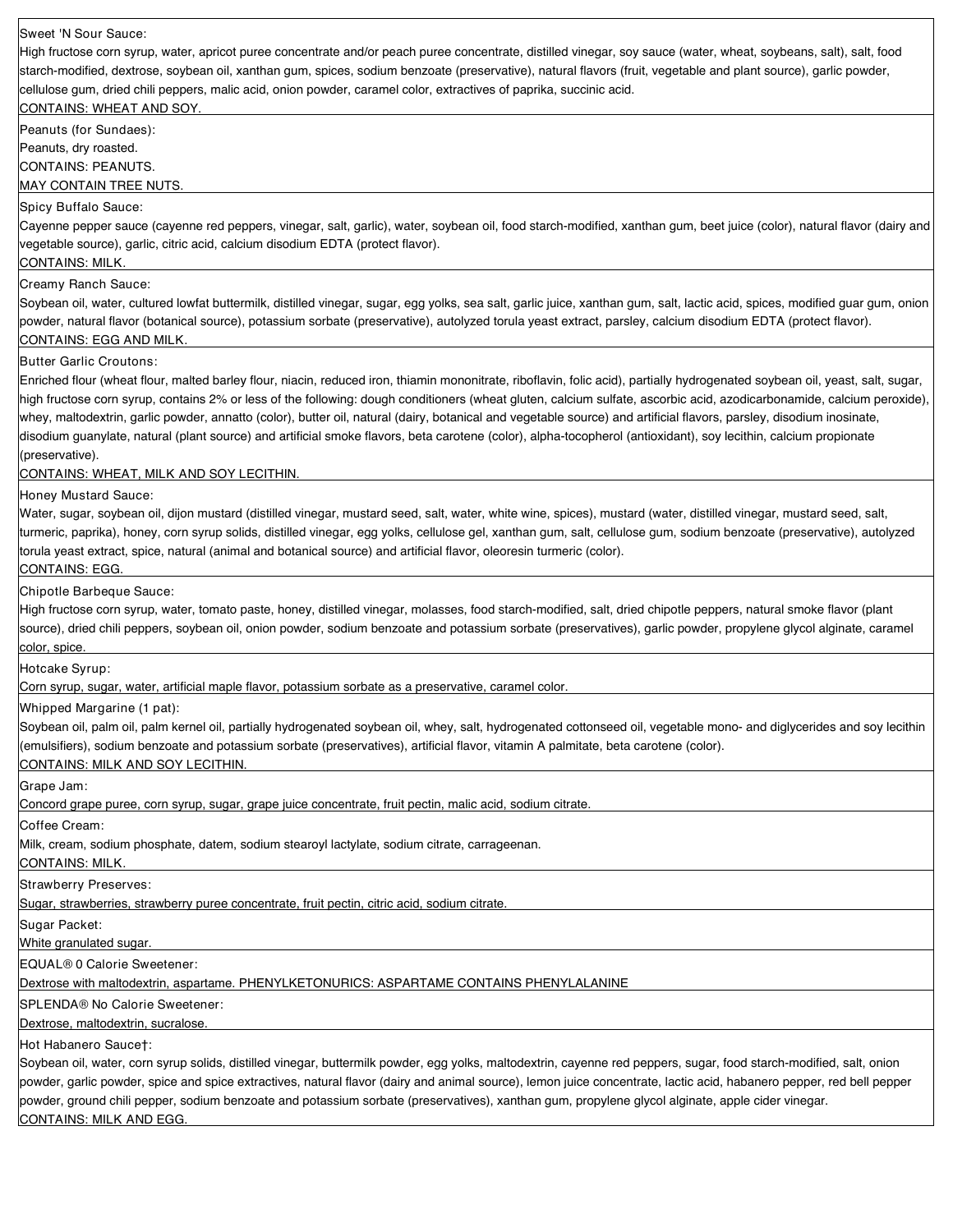#### Sweet 'N Sour Sauce:

High fructose corn syrup, water, apricot puree concentrate and/or peach puree concentrate, distilled vinegar, soy sauce (water, wheat, soybeans, salt), salt, food starch-modified, dextrose, soybean oil, xanthan gum, spices, sodium benzoate (preservative), natural flavors (fruit, vegetable and plant source), garlic powder, cellulose gum, dried chili peppers, malic acid, onion powder, caramel color, extractives of paprika, succinic acid. CONTAINS: WHEAT AND SOY.

Peanuts (for Sundaes):

Peanuts, dry roasted.

CONTAINS: PEANUTS.

MAY CONTAIN TREE NUTS.

Spicy Buffalo Sauce:

Cayenne pepper sauce (cayenne red peppers, vinegar, salt, garlic), water, soybean oil, food starch-modified, xanthan gum, beet juice (color), natural flavor (dairy and vegetable source), garlic, citric acid, calcium disodium EDTA (protect flavor).

CONTAINS: MILK.

Creamy Ranch Sauce:

Soybean oil, water, cultured lowfat buttermilk, distilled vinegar, sugar, egg yolks, sea salt, garlic juice, xanthan gum, salt, lactic acid, spices, modified guar gum, onion powder, natural flavor (botanical source), potassium sorbate (preservative), autolyzed torula yeast extract, parsley, calcium disodium EDTA (protect flavor). CONTAINS: EGG AND MILK.

Butter Garlic Croutons:

Enriched flour (wheat flour, malted barley flour, niacin, reduced iron, thiamin mononitrate, riboflavin, folic acid), partially hydrogenated soybean oil, yeast, salt, sugar, high fructose corn syrup, contains 2% or less of the following: dough conditioners (wheat gluten, calcium sulfate, ascorbic acid, azodicarbonamide, calcium peroxide), whey, maltodextrin, garlic powder, annatto (color), butter oil, natural (dairy, botanical and vegetable source) and artificial flavors, parsley, disodium inosinate, disodium guanylate, natural (plant source) and artificial smoke flavors, beta carotene (color), alpha-tocopherol (antioxidant), soy lecithin, calcium propionate (preservative).

#### CONTAINS: WHEAT, MILK AND SOY LECITHIN.

Honey Mustard Sauce:

Water, sugar, soybean oil, dijon mustard (distilled vinegar, mustard seed, salt, water, white wine, spices), mustard (water, distilled vinegar, mustard seed, salt, turmeric, paprika), honey, corn syrup solids, distilled vinegar, egg yolks, cellulose gel, xanthan gum, salt, cellulose gum, sodium benzoate (preservative), autolyzed torula yeast extract, spice, natural (animal and botanical source) and artificial flavor, oleoresin turmeric (color).

CONTAINS: EGG.

Chipotle Barbeque Sauce:

High fructose corn syrup, water, tomato paste, honey, distilled vinegar, molasses, food starch-modified, salt, dried chipotle peppers, natural smoke flavor (plant source), dried chili peppers, soybean oil, onion powder, sodium benzoate and potassium sorbate (preservatives), garlic powder, propylene glycol alginate, caramel color, spice.

Hotcake Syrup:

Corn syrup, sugar, water, artificial maple flavor, potassium sorbate as a preservative, caramel color.

Whipped Margarine (1 pat):

Soybean oil, palm oil, palm kernel oil, partially hydrogenated soybean oil, whey, salt, hydrogenated cottonseed oil, vegetable mono- and diglycerides and soy lecithin (emulsifiers), sodium benzoate and potassium sorbate (preservatives), artificial flavor, vitamin A palmitate, beta carotene (color).

CONTAINS: MILK AND SOY LECITHIN.

Grape Jam:

Concord grape puree, corn syrup, sugar, grape juice concentrate, fruit pectin, malic acid, sodium citrate.

Coffee Cream:

Milk, cream, sodium phosphate, datem, sodium stearoyl lactylate, sodium citrate, carrageenan.

CONTAINS: MILK.

Strawberry Preserves:

Sugar, strawberries, strawberry puree concentrate, fruit pectin, citric acid, sodium citrate.

Sugar Packet:

#### White granulated sugar.

EQUAL® 0 Calorie Sweetener:

Dextrose with maltodextrin, aspartame. PHENYLKETONURICS: ASPARTAME CONTAINS PHENYLALANINE

SPLENDA® No Calorie Sweetener:

Dextrose, maltodextrin, sucralose.

Hot Habanero Sauce†:

Soybean oil, water, corn syrup solids, distilled vinegar, buttermilk powder, egg yolks, maltodextrin, cayenne red peppers, sugar, food starch-modified, salt, onion powder, garlic powder, spice and spice extractives, natural flavor (dairy and animal source), lemon juice concentrate, lactic acid, habanero pepper, red bell pepper powder, ground chili pepper, sodium benzoate and potassium sorbate (preservatives), xanthan gum, propylene glycol alginate, apple cider vinegar. CONTAINS: MILK AND EGG.